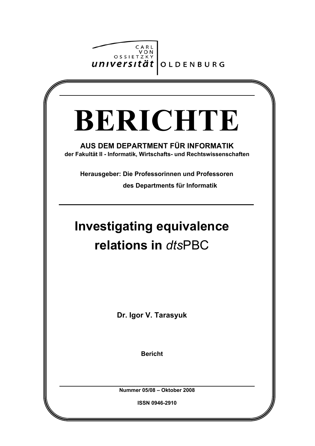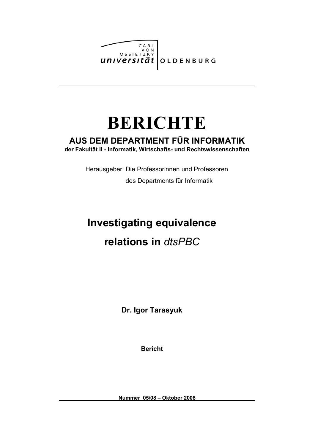

# **BERICHTE**

## **AUS DEM DEPARTMENT FÜR INFORMATIK**

**der Fakultät II - Informatik, Wirtschafts- und Rechtswissenschaften**

Herausgeber: Die Professorinnen und Professoren

des Departments für Informatik

## **Investigating equivalence relations in** *dtsPBC*

**Dr. Igor Tarasyuk**

**Bericht**

**Nummer 05/08 – Oktober 2008**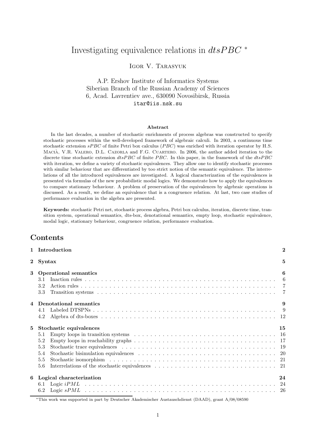## Investigating equivalence relations in  $dt s PBC$ <sup>\*</sup>

Igor V. Tarasyuk

## A.P. Ershov Institute of Informatics Systems Siberian Branch of the Russian Academy of Sciences 6, Acad. Lavrentiev ave., 630090 Novosibirsk, Russia itar@iis.nsk.su

#### Abstract

In the last decades, a number of stochastic enrichments of process algebras was constructed to specify stochastic processes within the well-developed framework of algebraic calculi. In 2003, a continuous time stochastic extension sPBC of finite Petri box calculus (PBC) was enriched with iteration operator by H.S. MACIÀ, V.R. VALERO, D.L. CAZORLA and F.G. CUARTERO. In 2006, the author added iteration to the discrete time stochastic extension dtsPBC of finite PBC. In this paper, in the framework of the dtsPBC with iteration, we define a variety of stochastic equivalences. They allow one to identify stochastic processes with similar behaviour that are differentiated by too strict notion of the semantic equivalence. The interrelations of all the introduced equivalences are investigated. A logical characterization of the equivalences is presented via formulas of the new probabilistic modal logics. We demonstrate how to apply the equivalences to compare stationary behaviour. A problem of preservation of the equivalences by algebraic operations is discussed. As a result, we define an equivalence that is a congruence relation. At last, two case studies of performance evaluation in the algebra are presented.

Keywords: stochastic Petri net, stochastic process algebra, Petri box calculus, iteration, discrete time, transition system, operational semantics, dts-box, denotational semantics, empty loop, stochastic equivalence, modal logic, stationary behaviour, congruence relation, performance evaluation.

## **Contents**

|   | 1 Introduction                                                                                                                                                                                         |    |  |  |  |  |
|---|--------------------------------------------------------------------------------------------------------------------------------------------------------------------------------------------------------|----|--|--|--|--|
|   | 2 Syntax                                                                                                                                                                                               | 5  |  |  |  |  |
| 3 | <b>Operational semantics</b><br>3.1<br>3.2<br>3.3                                                                                                                                                      | 6  |  |  |  |  |
|   | Denotational semantics<br>4.1<br>4.2                                                                                                                                                                   | 9  |  |  |  |  |
| 5 | Stochastic equivalences<br>Empty loops in transition systems $\ldots \ldots \ldots \ldots \ldots \ldots \ldots \ldots \ldots \ldots \ldots \ldots \ldots 16$<br>5.1<br>5.2<br>5.3<br>5.4<br>5.5<br>5.6 | 15 |  |  |  |  |
| 6 | Logical characterization<br>6.1<br>6.2                                                                                                                                                                 | 24 |  |  |  |  |

<sup>∗</sup>This work was supported in part by Deutscher Akademischer Austauschdienst (DAAD), grant A/08/08590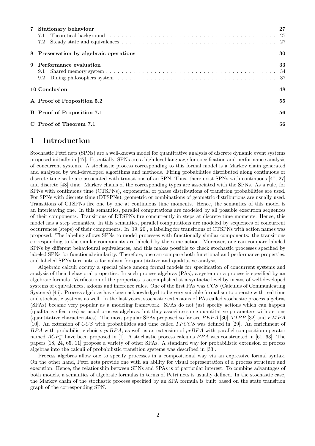| 7 Stationary behaviour                 |    |  |  |
|----------------------------------------|----|--|--|
|                                        |    |  |  |
| 7.2                                    |    |  |  |
| 8 Preservation by algebraic operations | 30 |  |  |
| 9 Performance evaluation               | 33 |  |  |
|                                        |    |  |  |
|                                        |    |  |  |
| 10 Conclusion                          | 48 |  |  |
| A Proof of Proposition 5.2             | 55 |  |  |
| <b>B</b> Proof of Proposition 7.1      | 56 |  |  |
| C Proof of Theorem 7.1                 | 56 |  |  |

## 1 Introduction

Stochastic Petri nets (SPNs) are a well-known model for quantitative analysis of discrete dynamic event systems proposed initially in [47]. Essentially, SPNs are a high level language for specification and performance analysis of concurrent systems. A stochastic process corresponding to this formal model is a Markov chain generated and analyzed by well-developed algorithms and methods. Firing probabilities distributed along continuous or discrete time scale are associated with transitions of an SPN. Thus, there exist SPNs with continuous [47, 27] and discrete [48] time. Markov chains of the corresponding types are associated with the SPNs. As a rule, for SPNs with continuous time (CTSPNs), exponential or phase distributions of transition probabilities are used. For SPNs with discrete time (DTSPNs), geometric or combinations of geometric distributions are usually used. Transitions of CTSPNs fire one by one at continuous time moments. Hence, the semantics of this model is an interleaving one. In this semantics, parallel computations are modeled by all possible execution sequences of their components. Transitions of DTSPNs fire concurrently in steps at discrete time moments. Hence, this model has a step semantics. In this semantics, parallel computations are modeled by sequences of concurrent occurrences (steps) of their components. In [19, 20], a labeling for transitions of CTSPNs with action names was proposed. The labeling allows SPNs to model processes with functionally similar components: the transitions corresponding to the similar components are labeled by the same action. Moreover, one can compare labeled SPNs by different behavioural equivalences, and this makes possible to check stochastic processes specified by labeled SPNs for functional similarity. Therefore, one can compare both functional and performance properties, and labeled SPNs turn into a formalism for quantitative and qualitative analysis.

Algebraic calculi occupy a special place among formal models for specification of concurrent systems and analysis of their behavioral properties. In such process algebras (PAs), a system or a process is specified by an algebraic formula. Verification of the properties is accomplished at a syntactic level by means of well-developed systems of equivalences, axioms and inference rules. One of the first PAs was CCS (Calculus of Communicating Systems) [46]. Process algebras have been acknowledged to be very suitable formalism to operate with real time and stochastic systems as well. In the last years, stochastic extensions of PAs called stochastic process algebras (SPAs) became very popular as a modeling framework. SPAs do not just specify actions which can happen (qualitative features) as usual process algebras, but they associate some quantitative parameters with actions (quantitative characteristics). The most popular SPAs proposed so far are  $PEPA$  [30],  $TIPP$  [32] and  $EMPA$ [10]. An extension of CCS with probabilities and time called TPCCS was defined in [29]. An enrichment of  $BPA$  with probabilistic choice,  $prBPA$ , as well as an extension of  $prBPA$  with parallel composition operator named  $ACP_{\pi}^+$  have been proposed in [1]. A stochastic process calculus  $PPA$  was constructed in [61, 63]. The papers [18, 24, 65, 11] propose a variety of other SPAs. A standard way for probabilistic extension of process algebras into the calculi of probabilistic transition systems was described in [33].

Process algebras allow one to specify processes in a compositional way via an expressive formal syntax. On the other hand, Petri nets provide one with an ability for visual representation of a process structure and execution. Hence, the relationship between SPNs and SPAs is of particular interest. To combine advantages of both models, a semantics of algebraic formulas in terms of Petri nets is usually defined. In the stochastic case, the Markov chain of the stochastic process specified by an SPA formula is built based on the state transition graph of the corresponding SPN.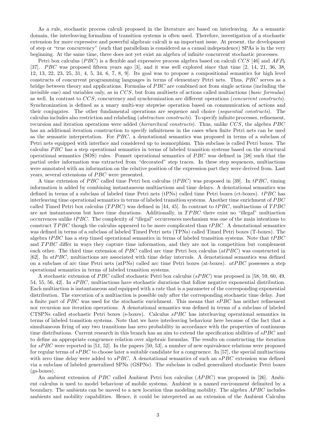As a rule, stochastic process calculi proposed in the literature are based on interleaving. As a semantic domain, the interleaving formalism of transition systems is often used. Therefore, investigation of a stochastic extension for more expressive and powerful algebraic calculi is an important issue. At present, the development of step or "true concurrency" (such that parallelism is considered as a causal independence) SPAs is in the very beginning. At the same time, there does not yet exist an algebra of infinite concurrent stochastic processes.

Petri box calculus (PBC) is a flexible and expressive process algebra based on calculi CCS [46] and  $AFP_0$ [37]. PBC was proposed fifteen years ago [3], and it was well explored since that time [2, 14, 21, 36, 38, 12, 13, 22, 23, 25, 31, 4, 5, 34, 6, 7, 8, 9]. Its goal was to propose a compositional semantics for high level constructs of concurrent programming languages in terms of elementary Petri nets. Thus, PBC serves as a bridge between theory and applications. Formulas of PBC are combined not from single actions (including the invisible one) and variables only, as in  $CCS$ , but from multisets of actions called multiactions (*basic formulas*) as well. In contrast to CCS, concurrency and synchronization are different operations (concurrent constructs). Synchronization is defined as a unary multi-way stepwise operation based on communication of actions and their conjugates. The other fundamental operations are sequence and choice (sequential constructs). The calculus includes also restriction and relabeling (abstraction constructs). To specify infinite processes, refinement, recursion and iteration operations were added *(hierarchical constructs)*. Thus, unlike CCS, the algebra PBC has an additional iteration construction to specify infiniteness in the cases when finite Petri nets can be used as the semantic interpretation. For PBC, a denotational semantics was proposed in terms of a subclass of Petri nets equipped with interface and considered up to isomorphism. This subclass is called Petri boxes. The calculus PBC has a step operational semantics in terms of labeled transition systems based on the structural operational semantics (SOS) rules. Pomset operational semantics of PBC was defined in [38] such that the partial order information was extracted from "decorated" step traces. In these step sequences, multiactions were annotated with an information on the relative position of the expression part they were derived from. Last years, several extensions of PBC were presented.

A time extension of PBC called time Petri box calculus ( $tPBC$ ) was proposed in [39]. In  $tPBC$ , timing information is added by combining instantaneous multiactions and time delays. A denotational semantics was defined in terms of a subclass of labeled time Petri nets (tPNs) called time Petri boxes (ct-boxes).  $tPBC$  has interleaving time operational semantics in terms of labeled transition systems. Another time enrichment of PBC called Timed Petri box calculus (TPBC) was defined in [44, 45]. In contrast to  $tPBC$ , multiactions of TPBC are not instantaneous but have time durations. Additionally, in TPBC there exist no "illegal" multiaction occurrences unlike tPBC. The complexity of "illegal" occurrences mechanism was one of the main intentions to construct TPBC though the calculus appeared to be more complicated than  $tPBC$ . A denotational semantics was defined in terms of a subclass of labeled Timed Petri nets (TPNs) called Timed Petri boxes (T-boxes). The algebra  $tPBC$  has a step timed operational semantics in terms of labeled transition systems. Note that  $tPBC$ and TPBC differ in ways they capture time information, and they are not in competition but complement each other. The third time extension of *PBC* called arc time Petri box calculus  $(atPBC)$  was constructed in [62]. In atPBC, multiactions are associated with time delay intervals. A denotational semantics was defined on a subclass of arc time Petri nets (atPNs) called arc time Petri boxes (at-boxes). atPBC possesses a step operational semantics in terms of labeled transition systems.

A stochastic extension of PBC called stochastic Petri box calculus (sPBC) was proposed in [58, 59, 60, 49, 54, 55, 56, 42]. In sPBC, multiactions have stochastic durations that follow negative exponential distribution. Each multiaction is instantaneous and equipped with a rate that is a parameter of the corresponding exponential distribution. The execution of a multiaction is possible only after the corresponding stochastic time delay. Just a finite part of PBC was used for the stochastic enrichment. This means that  $sPBC$  has neither refinement nor recursion nor iteration operations. A denotational semantics was defined in terms of a subclass of labeled CTSPNs called stochastic Petri boxes (s-boxes). Calculus sPBC has interleaving operational semantics in terms of labeled transition systems. Note that we have interleaving behaviour here because of the fact that a simultaneous firing of any two transitions has zero probability in accordance with the properties of continuous time distributions. Current research in this branch has an aim to extend the specification abilities of  $sPBC$  and to define an appropriate congruence relation over algebraic formulas. The results on constructing the iteration for  $sPBC$  were reported in [51, 52]. In the papers [50, 53], a number of new equivalence relations were proposed for regular terms of  $sPBC$  to choose later a suitable candidate for a congruence. In [57], the special multiactions with zero time delay were added to  $sPBC$ . A denotational semantics of such an  $sPBC$  extension was defined via a subclass of labeled generalized SPNs (GSPNs). The subclass is called generalized stochastic Petri boxes (gs-boxes).

An ambient extension of PBC called Ambient Petri box calculus (APBC) was proposed in [26]. Ambient calculus is used to model behaviour of mobile systems. Ambient is a named environment delimited by a boundary. The ambients can be moved to a new location thus modeling mobility. The algebra APBC includes ambients and mobility capabilities. Hence, it could be interpreted as an extension of the Ambient Calculus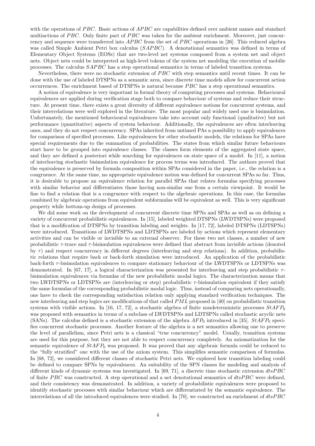with the operations of  $PBC$ . Basic actions of  $APBC$  are capabilities defined over ambient names and standard multiactions of PBC. Only finite part of PBC was taken for the ambient enrichment. Moreover, just concurrency and sequence were transferred into  $APBC$  from the set of PBC operations in [26]. This reduced algebra was called Simple Ambient Petri box calculus (SAPBC). A denotational semantics was defined in terms of Elementary Object Systems (EOSs) that are two-level net systems composed from a system net and object nets. Object nets could be interpreted as high-level tokens of the system net modeling the execution of mobilie processes. The calculus SAPBC has a step operational semantics in terms of labeled transition systems.

Nevertheless, there were no stochastic extension of PBC with step semantics until recent times. It can be done with the use of labeled DTSPNs as a semantic area, since discrete time models allow for concurrent action occurrences. The enrichment based of DTSPNs is natural because PBC has a step operational semantics.

A notion of equivalence is very important in formal theory of computing processes and systems. Behavioural equivalences are applied during verification stage both to compare behaviour of systems and reduce their structure. At present time, there exists a great diversity of different equivalence notions for concurrent systems, and their interrelations were well explored in the literature. The most popular and widely used one is bisimulation. Unfortunately, the mentioned behavioural equivalences take into account only functional (qualitative) but not performance (quantitative) aspects of system behaviour. Additionally, the equivalences are often interleaving ones, and they do not respect concurrency. SPAs inherited from untimed PAs a possibility to apply equivalences for comparison of specified processes. Like equivalences for other stochastic models, the relations for SPAs have special requirements due to the summation of probabilities. The states from which similar future behaviours start have to be grouped into equivalence classes. The classes form elements of the aggregated state space, and they are defined a posteriori while searching for equivalences on state space of a model. In [11], a notion of interleaving stochastic bisimulation equivalence for process terms was introduced. The authors proved that the equivalence is preserved by formula composition within SPAs considered in the paper, i.e., the relation is a congruence. At the same time, no appropriate equivalence notion was defined for concurrent SPAs so far. Thus, it is desirable to propose an equivalence relation for parallel SPAs that relates formulas specifying processes with similar behavior and differentiates those having non-similar one from a certain viewpoint. It would be fine to find a relation that is a congruence with respect to the algebraic operations. In this case, the formulas combined by algebraic operations from equivalent subformulas will be equivalent as well. This is very significant property while bottom-up design of processes.

We did some work on the development of concurrent discrete time SPNs and SPAs as well as on defining a variety of concurrent probabilistic equivalences. In [15], labeled weighted DTSPNs (LWDTSPNs) were proposed that is a modification of DTSPNs by transition labeling and weights. In [17, 72], labeled DTSPNs (LDTSPNs) were introduced. Transitions of LWDTSPNs and LDTSPNs are labeled by actions which represent elementary activities and can be visible or invisible to an external observer. For these two net classes, a number of new probabilistic  $\tau$ -trace and  $\tau$ -bisimulation equivalences were defined that abstract from invisible actions (denoted by  $\tau$ ) and respect concurrency in different degrees (interleaving and step relations). In addition, probabilistic relations that require back or back-forth simulation were introduced. An application of the probabilistic back-forth  $\tau$ -bisimulation equivalences to compare stationary behaviour of the LWDTSPNs or LDTSPNs was demonstrated. In [67, 17], a logical characterization was presented for interleaving and step probabilistic  $\tau$ bisimulation equivalences via formulas of the new probabilistic modal logics. The characterization means that two LWDTSPNs or LDTSPNs are (interleaving or step) probabilistic  $\tau$ -bisimulation equivalent if they satisfy the same formulas of the corresponding probabilistic modal logic. Thus, instead of comparing nets operationally, one have to check the corresponding satisfaction relation only applying standard verification techniques. The new interleaving and step logics are modifications of that called  $PML$  proposed in [40] on probabilistic transition systems with visible actions. In [16, 17, 72], a stochastic algebra of finite nondeterministic processes  $StAFP_0$ was proposed with semantics in terms of a subclass of LWDTSPNs and LDTSPNs called stochastic acyclic nets (SANs). The calculus defined is a stochastic extension of the algebra  $AFP_0$  introduced in [35].  $StAFP_0$  specifies concurrent stochastic processes. Another feature of the algebra is a net semantics allowing one to preserve the level of parallelism, since Petri nets is a classical "true concurrency" model. Usually, transition systems are used for this purpose, but they are not able to respect concurrency completely. An axiomatization for the semantic equivalence of  $StAFP_0$  was proposed. It was proved that any algebraic formula could be reduced to the "fully stratified" one with the use of the axiom system. This simplifies semantic comparison of formulas. In [68, 72], we considered different classes of stochastic Petri nets. We explored how transition labeling could be defined to compare SPNs by equivalences. An suitability of the SPN classes for modeling and analysis of different kinds of dynamic systems was investigated. In [69, 71], a discrete time stochastic extension dtsPBC of finite PBC was constructed. A step operational and a net denotational semantics of  $dtsPBC$  were defined, and their consistency was demonstrated. In addition, a variety of probabilistic equivalences were proposed to identify stochastic processes with similar behaviour which are differentiated by the semantic equivalence. The interrelations of all the introduced equivalences were studied. In [70], we constructed an enrichment of  $dtsPBC$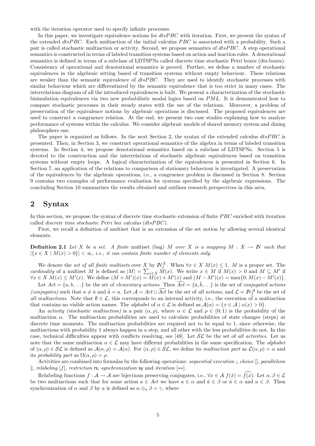with the iteration operator used to specify infinite processes.

In this paper, we investigate equivalence notions for  $dtsPBC$  with iteration. First, we present the syntax of the extended dtsPBC. Each multiaction of the initial calculus PBC is associated with a probability. Such a pair is called stochastic multiaction or activity. Second, we propose semantics of  $dtsPBC$ . A step operational semantics is constructed in terms of labeled transition systems based on action and inaction rules. A denotational semantics is defined in terms of a subclass of LDTSPNs called discrete time stochastic Petri boxes (dts-boxes). Consistency of operational and denotational semantics is proved. Further, we define a number of stochastic equivalences in the algebraic setting based of transition systems without empty behaviour. These relations are weaker than the semantic equivalence of  $dtsPBC$ . They are used to identify stochastic processes with similar behaviour which are differentiated by the semantic equivalence that is too strict in many cases. The interrelations diagram of all the introduced equivalences is built. We present a characterization of the stochastic bisimulation equivalences via two new probabilistic modal logics based on PML. It is demonstrated how to compare stochastic processes in their steady states with the use of the relations. Moreover, a problem of preservation of the equivalence notions by algebraic operations is discussed. The proposed equivalences are used to construct a congruence relation. At the end, we present two case studies explaining how to analyze performance of systems within the calculus. We consider algebraic models of shared memory system and dining philosophers one.

The paper is organized as follows. In the next Section 2, the syntax of the extended calculus dtsPBC is presented. Then, in Section 3, we construct operational semantics of the algebra in terms of labeled transition systems. In Section 4, we propose denotational semantics based on a subclass of LDTSPNs. Section 5 is devoted to the construction and the interrelations of stochastic algebraic equivalences based on transition systems without empty loops. A logical characterization of the equivalences is presented in Section 6. In Section 7, an application of the relations to comparison of stationary behaviour is investigated. A preservation of the equivalences by the algebraic operations, i.e., a congruence problem is discussed in Section 8. Section 9 contains two examples of performance evaluation for systems specified by the algebraic expressions. The concluding Section 10 summarizes the results obtained and outlines research perspectives in this area.

## 2 Syntax

In this section, we propose the syntax of discrete time stochastic extension of finite PBC enriched with iteration called discrete time stochastic Petri box calculus (dtsPBC).

First, we recall a definition of multiset that is an extension of the set notion by allowing several identical elements.

**Definition 2.1** Let X be a set. A finite multiset (bag) M over X is a mapping  $M : X \to \mathbb{N}$  such that  $|\{x \in X \mid M(x) > 0\}| < \infty$ , i.e., it can contain finite number of elements only.

We denote the set of all finite multisets over X by  $\mathbb{N}_f^X$ . When  $\forall x \in X \ M(x) \leq 1$ , M is a proper set. The cardinality of a multiset M is defined as  $|M| = \sum_{x \in X} M(x)$ . We write  $x \in M$  if  $M(x) > 0$  and  $M \subseteq M'$  if  $\forall x \in X \ M(x) \leq M'(x)$ . We define  $(M + M')(x) = \overline{M}(x) + M'(x)$  and  $(M - M')(x) = \max\{0, M(x) - M'(x)\}.$ 

Let  $Act = \{a, b, \ldots\}$  be the set of *elementary actions*. Then  $\widehat{Act} = \{\hat{a}, \hat{b}, \ldots\}$  is the set of *conjugated actions* (conjugates) such that  $a \neq \hat{a}$  and  $\hat{a} = a$ . Let  $\mathcal{A} = Act \cup \widehat{Act}$  be the set of all actions, and  $\mathcal{L} = \mathbb{N}_f^{\mathcal{A}}$  be the set of all multiactions. Note that  $\emptyset \in \mathcal{L}$ , this corresponds to an internal activity, i.e., the execution of a multiaction that contains no visible action names. The *alphabet* of  $\alpha \in \mathcal{L}$  is defined as  $\mathcal{A}(\alpha) = \{x \in \mathcal{A} \mid \alpha(x) > 0\}$ .

An activity (stochastic multiaction) is a pair  $(\alpha, \rho)$ , where  $\alpha \in \mathcal{L}$  and  $\rho \in (0, 1)$  is the probability of the multiaction  $\alpha$ . The multiaction probabilities are used to calculate probabilities of state changes (steps) at discrete time moments. The multiaction probabilities are required not to be equal to 1, since otherwise, the multiactions with probability 1 always happen in a step, and all other with the less probabilities do not. In this case, technical difficulties appear with conflicts resolving, see [48]. Let  $\mathcal{SL}$  be the set of all activities. Let us note that the same multiaction  $\alpha \in \mathcal{L}$  may have different probabilities in the same specification. The *alphabet* of  $(\alpha, \rho) \in \mathcal{SL}$  is defined as  $\mathcal{A}(\alpha, \rho) = \mathcal{A}(\alpha)$ . For  $(\alpha, \rho) \in \mathcal{SL}$ , we define its multiaction part as  $\mathcal{L}(\alpha, \rho) = \alpha$  and its probability part as  $\Omega(\alpha, \rho) = \rho$ .

Activities are combined into formulas by the following operations: sequential execution ;, choice  $[]$ , parallelism  $\parallel$ , relabeling [f], restriction rs, synchronization sy and iteration [∗∗].

Relabeling functions  $f : \mathcal{A} \to \mathcal{A}$  are bijections preserving conjugates, i.e.,  $\forall x \in \mathcal{A}$   $f(\hat{x}) = \overline{f(x)}$ . Let  $\alpha, \beta \in \mathcal{L}$ be two multiactions such that for some action  $a \in Act$  we have  $a \in \alpha$  and  $\hat{a} \in \beta$  or  $\hat{a} \in \alpha$  and  $a \in \beta$ . Then synchronization of  $\alpha$  and  $\beta$  by a is defined as  $\alpha \oplus_{\alpha} \beta = \gamma$ , where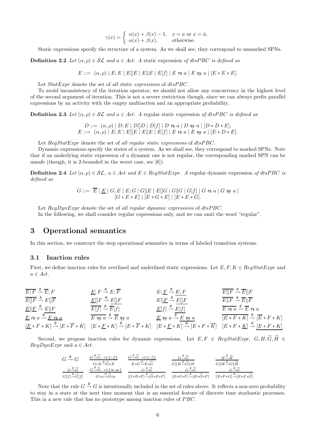$$
\gamma(x) = \begin{cases} \alpha(x) + \beta(x) - 1, & x = a \text{ or } x = \hat{a}; \\ \alpha(x) + \beta(x), & \text{otherwise.} \end{cases}
$$

Static expressions specify the structure of a system. As we shall see, they correspond to unmarked SPNs.

**Definition 2.2** Let  $(\alpha, \rho) \in \mathcal{SL}$  and  $a \in Act$ . A static expression of dtsPBC is defined as

 $E ::= (\alpha, \rho) | E; E | E | E | E | E | E | E | f | E \text{ is a } | E \text{ sy a } | [E * E * E].$ 

Let  $StatExpr$  denote the set of all static expressions of  $dt sPBC$ .

To avoid inconsistency of the iteration operator, we should not allow any concurrency in the highest level of the second argument of iteration. This is not a severe restriction though, since we can always prefix parallel expressions by an activity with the empty multiaction and an appropriate probability.

**Definition 2.3** Let  $(\alpha, \rho) \in \mathcal{SL}$  and  $a \in Act$ . A regular static expression of dtsPBC is defined as

 $D ::= (\alpha, \rho) | D; E | D[|D | D[f] | D$  rs  $a | D$  sy  $a | [D * D * E],$ E ::= (α, ρ) | E; E | E[]E | EkE | E[f] | E rs a | E sy a | [E ∗ D ∗ E].

Let  $RegStatexpr$  denote the set of all regular static expressions of  $dtsPBC$ .

Dynamic expressions specify the states of a system. As we shall see, they correspond to marked SPNs. Note that if an underlying static expression of a dynamic one is not regular, the corresponding marked SPN can be unsafe (though, it is 2-bounded in the worst case, see [6]).

**Definition 2.4** Let  $(\alpha, \rho) \in \mathcal{SL}$ ,  $a \in Act$  and  $E \in RegStatExpr$ . A regular dynamic expression of dtsPBC is defined as

$$
G ::= \overline{E} | \underline{E} | G; E | E; G | G[]E | E[]G | G[|G| | G[f] | G \text{ rs } a | G \text{ sy } a |
$$
  

$$
[G * E * E] | [E * G * E] | [E * E * G].
$$

Let  $\text{Re}qDynExpr$  denote the set of all regular dynamic expressions of dtsPBC. In the following, we shall consider regular expressions only, and we can omit the word "regular".

## 3 Operational semantics

In this section, we construct the step operational semantics in terms of labeled transition systems.

#### 3.1 Inaction rules

First, we define inaction rules for overlined and underlined static expressions. Let  $E, F, K \in RegStatExpr$  and  $a \in Act.$ 

| $E; F \xrightarrow{\theta} E; F$ | $E; F \xrightarrow{\theta} E; \overline{F}$ | $E; F \xrightarrow{\theta} E; \overline{F}$ | $E; F \xrightarrow{\theta} E; \overline{F}$ | $E; F \xrightarrow{\theta} E; \overline{F}$ | $E; F \xrightarrow{\theta} E; \overline{F}$ | $E; F \xrightarrow{\theta} E; \overline{F}$ | $E; F \xrightarrow{\theta} E; \overline{F}$ | $E; F \xrightarrow{\theta} E; \overline{F}$ | $E; F \xrightarrow{\theta} E; \overline{F}$ | $E; F \xrightarrow{\theta} E; \overline{F}$ | $E; F \xrightarrow{\theta} E; \overline{F}$ | $E; F \xrightarrow{\theta} E; \overline{F}$ | $E; F \xrightarrow{\theta} E; \overline{F}$ | $E; F \xrightarrow{\theta} E; \overline{F}$ | $E; F \xrightarrow{\theta} E; \overline{F}$ | $E; F \xrightarrow{\theta} E; \overline{F}$ | $E; F \xrightarrow{\theta} E; \overline{F}$ | $E; F \xrightarrow{\theta} E; \overline{F}$ | $E; F \xrightarrow{\theta} E; \overline{F}$ | $E; F \xrightarrow{\theta} E; \overline{F}$ | $E; F \xrightarrow{\theta} E; \overline{F}$ | $E; F \xrightarrow{\theta} E; \overline{F}$ | $E; F \xrightarrow{\theta} E; \overline{F}$ | $E; F \xrightarrow{\theta} E; \overline{F}$ | $E; F \xrightarrow{\theta} E; \overline{F}$ | $E; F \xrightarrow{\theta} E; \overline{F}$ | $E; F \xrightarrow{\theta} E; \overline{F}$ | $E; F \xrightarrow{\theta} E; \overline{F}$ | $E; F \xrightarrow{\theta} E; \overline{F}$ | $E; F \xrightarrow{\$ |
|----------------------------------|---------------------------------------------|---------------------------------------------|---------------------------------------------|---------------------------------------------|---------------------------------------------|---------------------------------------------|---------------------------------------------|---------------------------------------------|---------------------------------------------|---------------------------------------------|---------------------------------------------|---------------------------------------------|---------------------------------------------|---------------------------------------------|---------------------------------------------|---------------------------------------------|---------------------------------------------|---------------------------------------------|---------------------------------------------|---------------------------------------------|---------------------------------------------|---------------------------------------------|---------------------------------------------|---------------------------------------------|---------------------------------------------|---------------------------------------------|---------------------------------------------|---------------------------------------------|---------------------------------------------|-----------------------|
|----------------------------------|---------------------------------------------|---------------------------------------------|---------------------------------------------|---------------------------------------------|---------------------------------------------|---------------------------------------------|---------------------------------------------|---------------------------------------------|---------------------------------------------|---------------------------------------------|---------------------------------------------|---------------------------------------------|---------------------------------------------|---------------------------------------------|---------------------------------------------|---------------------------------------------|---------------------------------------------|---------------------------------------------|---------------------------------------------|---------------------------------------------|---------------------------------------------|---------------------------------------------|---------------------------------------------|---------------------------------------------|---------------------------------------------|---------------------------------------------|---------------------------------------------|---------------------------------------------|---------------------------------------------|-----------------------|

Second, we propose inaction rules for dynamic expressions. Let  $E, F \in RegStatExpr, G, H, \widetilde{G}, \widetilde{H} \in$  $\text{Re} q \text{D} y n \text{E} x \text{p} r$  and  $a \in \text{Act.}$ 

$$
\frac{G \stackrel{\emptyset}{\rightarrow} G}{G \stackrel{\emptyset}{\rightarrow} \widetilde{G}} \quad \frac{G \stackrel{\emptyset}{\rightarrow} \widetilde{G}, \circ \in \{;,\parallel\}}{\underset{G \uplus E \stackrel{\emptyset}{\rightarrow} \widetilde{G} \circ E}{G \stackrel{\emptyset}{\rightarrow} \widetilde{G} \circ E}} \quad \frac{G \stackrel{\emptyset}{\rightarrow} \widetilde{G}, \circ \in \{;,\parallel\}}{\underset{E \circ G \stackrel{\emptyset}{\rightarrow} \widetilde{G}}{\underset{E \circ G \stackrel{\emptyset}{\rightarrow} \widetilde{G}}{\oplus} \widetilde{G}}} \quad \frac{G \stackrel{\emptyset}{\rightarrow} \widetilde{G}}{\underset{G \parallel H \stackrel{\emptyset}{\rightarrow} \widetilde{G} \parallel H}{G \parallel H \stackrel{\emptyset}{\rightarrow} \widetilde{G}}} \quad \frac{H \stackrel{\emptyset}{\rightarrow} \widetilde{H}}{\underset{G \parallel H \stackrel{\emptyset}{\rightarrow} \widetilde{G}}{\oplus} H \stackrel{\emptyset}{\rightarrow} \widetilde{H}}}{G \parallel H \stackrel{\emptyset}{\rightarrow} \widetilde{G} \parallel H} \quad \frac{H \stackrel{\emptyset}{\rightarrow} \widetilde{H}}{\underset{G \parallel H \stackrel{\emptyset}{\rightarrow} \widetilde{G}}{\oplus} H \stackrel{\emptyset}{\rightarrow} \widetilde{H}}}{G \parallel H \stackrel{\emptyset}{\rightarrow} \widetilde{G} \parallel H} \quad \frac{H \stackrel{\emptyset}{\rightarrow} \widetilde{H}}{\underset{G \parallel H \stackrel{\emptyset}{\rightarrow} \widetilde{G}}{\oplus} \widetilde{H}}
$$

Note that the rule  $G\stackrel{\emptyset}{\to}G$  is intentionally included in the set of rules above. It reflects a non-zero probability to stay in a state at the next time moment that is an essential feature of discrete time stochastic processes. This ia a new rule that has no prototype among inaction rules of PBC.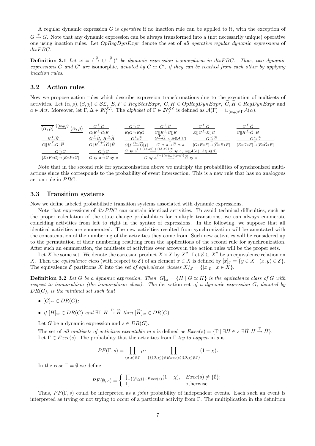A regular dynamic expression  $G$  is *operative* if no inaction rule can be applied to it, with the exception of  $G \stackrel{\emptyset}{\rightarrow} G$ . Note that any dynamic expression can be always transformed into a (not necessarily unique) operative one using inaction rules. Let  $Op$ RegDynExpr denote the set of all operative regular dynamic expressions of dtsPBC.

**Definition 3.1** Let  $\simeq$   $\in$   $(\overset{\emptyset}{\rightarrow} \cup \overset{\emptyset}{\leftarrow})^*$  be dynamic expression isomorphism in dtsPBC. Thus, two dynamic expressions G and G' are isomorphic, denoted by  $G \simeq G'$ , if they can be reached from each other by applying inaction rules.

#### 3.2 Action rules

Now we propose action rules which describe expression transformations due to the execution of multisets of activities. Let  $(\alpha, \rho), (\beta, \chi) \in \mathcal{SL}, E, F \in RegStatExpr, G, H \in OpRegDynExpr, G, H \in RegDynExpr$  and  $a \in Act$ . Moreover, let  $\Gamma, \Delta \in \mathbb{N}_f^{\mathcal{SL}}$ . The alphabet of  $\Gamma \in \mathbb{N}_f^{\mathcal{SL}}$  is defined as  $\mathcal{A}(\Gamma) = \cup_{(\alpha,\rho) \in \Gamma} \mathcal{A}(\alpha)$ .

$$
\begin{array}{ccccc}\n\overline{(\alpha,\rho)}\n\end{array}\n\stackrel{\{\alpha,\rho\}}{=} & \frac{G^{\Gamma}\widetilde{G}}{G;E^{\Gamma}\widetilde{G};E}\n\end{array}\n\qquad\n\begin{array}{ccccc}\n\overline{G^{\Gamma}\widetilde{G}} & & \frac{G^{\Gamma}\widetilde{G}}{G[E^{\Gamma}\widetilde{G}]E}\n\end{array}\n\qquad\n\begin{array}{ccccc}\n\overline{G^{\Gamma}\widetilde{G}} & & \frac{G^{\Gamma}\widetilde{G}}{G[E^{\Gamma}\widetilde{G}]E}\n\end{array}\n\qquad\n\begin{array}{ccccc}\n\overline{G^{\Gamma}\widetilde{G}} & & \frac{G^{\Gamma}\widetilde{G}}{G[E^{\Gamma}\widetilde{G}]E}\n\end{array}\n\qquad\n\begin{array}{ccccc}\n\overline{G^{\Gamma}\widetilde{G}} & & \frac{G^{\Gamma}\widetilde{G}}{G[E^{\Gamma}\widetilde{G}]E}\n\end{array}\n\qquad\n\begin{array}{ccccc}\n\overline{G^{\Gamma}\widetilde{G}} & & \frac{G^{\Gamma}\widetilde{G}}{G[E^{\Gamma}\widetilde{G}]E}\n\end{array}\n\qquad\n\begin{array}{ccccc}\n\overline{G^{\Gamma}\widetilde{G}} & & \frac{G^{\Gamma}\widetilde{G}}{G[E^{\Gamma}\widetilde{G}]E}\n\end{array}\n\qquad\n\begin{array}{ccccc}\n\overline{G^{\Gamma}\widetilde{G}} & & \frac{G^{\Gamma}\widetilde{G}}{G[E^{\Gamma}\widetilde{G}]E}\n\end{array}
$$
\n
$$
\begin{array}{ccccc}\n\overline{G^{\Gamma}\widetilde{G}} & & \frac{G^{\Gamma}\widetilde{G}}{G[E^{\Gamma}\widetilde{G}]E}\n\end{array}\n\qquad\n\begin{array}{ccccc}\n\overline{G^{\Gamma}\widetilde{G}} & & \frac{G^{\Gamma}\widetilde{G}}{G[E^{\Gamma}\widetilde{G}]E}\n\end{array}\n\qquad\n\begin{array}{ccccc}\n\overline{G^{\Gamma}\widetilde{G}} & & \frac{G^{\Gamma}\widetilde{G}}{
$$

Note that in the second rule for synchronization above we multiply the probabilities of synchronized multiactions since this corresponds to the probability of event intersection. This is a new rule that has no analogous action rule in PBC.

#### 3.3 Transition systems

Now we define labeled probabilistic transition systems associated with dynamic expressions.

Note that expressions of  $dtsPBC$  can contain identical activities. To avoid technical difficulties, such as the proper calculation of the state change probabilities for multiple transitions, we can always enumerate coinciding activities from left to right in the syntax of expressions. In the following, we suppose that all identical activities are enumerated. The new activities resulted from synchronization will be annotated with the concatenation of the numbering of the activities they come from. Such new activities will be considered up to the permutation of their numbering resulting from the applications of the second rule for synchronization. After such an enumeration, the multisets of activities over arrows in the action rules will be the proper sets.

Let X be some set. We denote the cartesian product  $X \times X$  by  $X^2$ . Let  $\mathcal{E} \subseteq X^2$  be an equivalence relation on X. Then the equivalence class (with respect to  $\mathcal{E}$ ) of an element  $x \in X$  is defined by  $[x]_{\mathcal{E}} = \{y \in X \mid (x, y) \in \mathcal{E}\}.$ The equivalence  $\mathcal E$  partitions X into the set of equivalence classes  $X/\varepsilon = \{[x]_{\mathcal E} | x \in X\}$ .

**Definition 3.2** Let G be a dynamic expression. Then  $[G]_{\simeq} = \{H \mid G \simeq H\}$  is the equivalence class of G with respect to isomorphism (the isomorphism class). The derivation set of a dynamic expression G, denoted by  $DR(G)$ , is the minimal set such that

- $[G]_{\simeq} \in DR(G);$
- if  $[H]_{\simeq} \in DR(G)$  and  $\exists \Gamma \ H \stackrel{\Gamma}{\to} \widetilde{H}$  then  $[\widetilde{H}]_{\simeq} \in DR(G)$ .

Let G be a dynamic expression and  $s \in DR(G)$ .

The set of all multisets of activities executable in s is defined as  $Exec(s) = {\Gamma \mid \exists H \in s \exists \widetilde{H} \ H \stackrel{\Gamma}{\rightarrow} \widetilde{H}}$ . Let  $\Gamma \in \text{Exec}(s)$ . The probability that the activities from  $\Gamma$  try to happen in s is

$$
PF(\Gamma,s) = \prod_{(\alpha,\rho)\in\Gamma} \rho \cdot \prod_{\{\{(\beta,\chi)\}\in\mathit{Exec}(s)|( \beta,\chi)\not\in\Gamma\}} (1-\chi).
$$

In the case  $\Gamma = \emptyset$  we define

$$
PF(\emptyset, s) = \begin{cases} \prod_{\{(\beta, \chi)\}\in \text{Exec}(s)} (1 - \chi), & \text{Exec}(s) \neq \{\emptyset\}; \\ 1, & \text{otherwise.} \end{cases}
$$

Thus,  $PF(\Gamma, s)$  could be interpreted as a *joint* probability of independent events. Each such an event is interpreted as trying or not trying to occur of a particular activity from Γ. The multiplication in the definition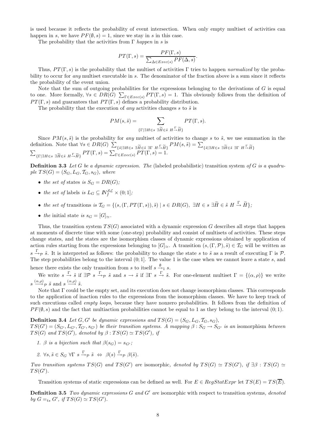is used because it reflects the probability of event intersection. When only empty multiset of activities can happen in s, we have  $PF(\emptyset, s) = 1$ , since we stay in s in this case.

The probability that the activities from  $\Gamma$  happen in s is

$$
PT(\Gamma, s) = \frac{PF(\Gamma, s)}{\sum_{\Delta \in E}{\text{vec}(s)} PF(\Delta, s)}.
$$

Thus,  $PT(\Gamma, s)$  is the probability that the multiset of activities Γ tries to happen normalized by the probability to occur for *any* multiset executable in s. The denominator of the fraction above is a sum since it reflects the probability of the event union.

Note that the sum of outgoing probabilities for the expressions belonging to the derivations of  $G$  is equal to one. More formally,  $\forall s \in DR(G)$   $\sum_{\Gamma \in Exercise(s)} PT(\Gamma, s) = 1$ . This obviously follows from the definition of  $PT(\Gamma, s)$  and guarantees that  $PT(\Gamma, s)$  defines a probability distribution.

The probability that the execution of *any* activities changes s to  $\tilde{s}$  is

$$
PM(s, \tilde{s}) = \sum_{\{\Gamma \mid \exists H \in s \ \exists \widetilde{H} \in \tilde{s} \ H \xrightarrow{\Gamma} \widetilde{H}\}} PT(\Gamma, s).
$$

Since  $PM(s, \tilde{s})$  is the probability for any multiset of activities to change s to  $\tilde{s}$ , we use summation in the definition. Note that  $\forall s \in DR(G)$   $\sum$  $\{\tilde{s}|\exists H\in s\ \exists \widetilde{H}\in \tilde{s}\ \exists \Gamma\ H\rightarrow \widetilde{H}\}\,PM(s,\tilde{s})=\sum_{\mathcal{DT}(\Gamma,s)=1}$  $\sum_{s \in P} \frac{P}{\{s \mid s} H(s)} \sum_{\{s \mid s} H(s)} \frac{P}{\{s \mid s} H(s)} = \sum_{s \in P} \frac{P}{\{s \mid s} H(s)} \frac{P}{\{s \mid s} H(s)} = \sum_{s \in P} \frac{P}{\{s \mid s} H(s)} \frac{P}{\{s \mid s} H(s)} = \sum_{s \in P} \frac{P}{\{s \mid s} H(s)} \frac{P}{\{s \mid s} H(s)} = \sum_{s \in P} \frac{P}{\{s \mid s} H(s)} \frac{P}{\{s \mid s} H(s)} = \sum_{s \in P} \frac{P$  ${F}[\exists H \in s \exists \widetilde{H} \in \widetilde{s} \ H \stackrel{\Gamma}{\rightarrow} \widetilde{H} \} PT(\Gamma, s) = \sum_{\Gamma \in Exercise(s)} PT(\Gamma, s) = 1.$ 

**Definition 3.3** Let G be a dynamic expression. The (labeled probabilistic) transition system of G is a quadruple  $TS(G) = (S_G, L_G, T_G, s_G)$ , where

- the set of states is  $S_G = DR(G)$ ;
- the set of labels is  $L_G \subseteq \mathbb{N}_f^{\mathcal{SL}} \times (0,1];$
- the set of transitions is  $\mathcal{T}_G = \{ (s, (\Gamma, PT(\Gamma, s)), \tilde{s}) \mid s \in DR(G), \exists H \in s \exists \tilde{H} \in \tilde{s} \ H \stackrel{\Gamma}{\rightarrow} \tilde{H} \};$
- the initial state is  $s_G = [G]_{\simeq}$ .

Thus, the transition system  $TS(G)$  associated with a dynamic expression G describes all steps that happen at moments of discrete time with some (one-step) probability and consist of multisets of activities. These steps change states, and the states are the isomorphism classes of dynamic expressions obtained by application of action rules starting from the expressions belonging to  $[G]_2$ . A transition  $(s,(\Gamma,\mathcal{P}),\tilde{s})\in\mathcal{T}_G$  will be written as  $s \stackrel{\Gamma}{\rightarrow} p \tilde{s}$ . It is interpreted as follows: the probability to change the state s to  $\tilde{s}$  as a result of executing  $\Gamma$  is  $\mathcal{P}$ . The step probabilities belong to the interval  $(0, 1]$ . The value 1 is the case when we cannot leave a state s, and hence there exists the only transition from s to itself  $s \xrightarrow{\emptyset} s$ .

We write  $s \stackrel{\Gamma}{\to} \tilde{s}$  if  $\exists \mathcal{P} \; s \stackrel{\Gamma}{\to} \tilde{s}$  and  $s \to \tilde{s}$  if  $\exists \Gamma \; s \stackrel{\Gamma}{\to} \tilde{s}$ . For one-element multiset  $\Gamma = \{(\alpha, \rho)\}\;$  we write  $s \xrightarrow{(\alpha,\rho)} \tilde{s}$  and  $s \xrightarrow{(\alpha,\rho)} \tilde{s}$ .

Note that Γ could be the empty set, and its execution does not change isomorphism classes. This corresponds to the application of inaction rules to the expressions from the isomorphism classes. We have to keep track of such executions called *empty loops*, because they have nonzero probabilities. It follows from the definition of  $PF(\emptyset, s)$  and the fact that multiaction probabilities cannot be equal to 1 as they belong to the interval  $(0, 1)$ .

**Definition 3.4** Let  $G, G'$  be dynamic expressions and  $TS(G) = (S_G, L_G, T_G, s_G)$ ,  $TS(G') = (S_{G'}, L_{G'}, T_{G'}, S_{G'})$  be their transition systems. A mapping  $\beta: S_G \to S_{G'}$  is an isomorphism between  $TS(G)$  and  $TS(G')$ , denoted by  $\beta: TS(G) \simeq TS(G')$ , if

- 1. β is a bijection such that  $\beta(s_G) = s_{G'}$ ;
- 2.  $\forall s, \tilde{s} \in S_G \ \forall \Gamma \ s \xrightarrow{\Gamma} \tilde{\rho} \ \tilde{s} \ \Leftrightarrow \ \beta(s) \xrightarrow{\Gamma} \beta(\tilde{s}).$

Two transition systems  $TS(G)$  and  $TS(G')$  are isomorphic, denoted by  $TS(G) \simeq TS(G')$ , if  $\exists \beta : TS(G) \simeq$  $TS(G')$ .

Transition systems of static expressions can be defined as well. For  $E \in \text{Re}qStartExpr$  let  $TS(E) = TS(\overline{E})$ .

**Definition 3.5** Two dynamic expressions  $G$  and  $G'$  are isomorphic with respect to transition systems, denoted by  $G =_{ts} G'$ , if  $TS(G) \simeq TS(G')$ .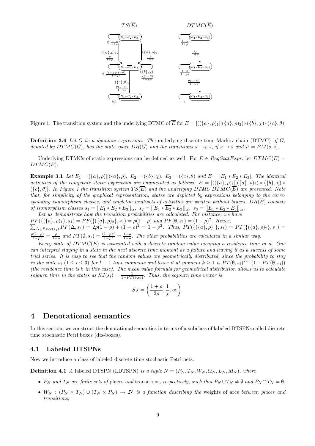

Figure 1: The transition system and the underlying DTMC of  $\overline{E}$  for  $E = [((\{a\}, \rho)_1][(\{a\}, \rho)_2) * (\{b\}, \chi) * (\{c\}, \theta)]$ 

**Definition 3.6** Let G be a dynamic expression. The underlying discrete time Markov chain (DTMC) of G, denoted by  $DTMC(G)$ , has the state space  $DR(G)$  and the transitions  $s \to_{\mathcal{P}} \tilde{s}$ , if  $s \to \tilde{s}$  and  $\mathcal{P} = PM(s, \tilde{s})$ .

Underlying DTMCs of static expressions can be defined as well. For  $E \in RegStatExpr$ , let  $DTMC(E)$  =  $DTMC(\overline{E}).$ 

**Example 3.1** Let  $E_1 = (\{a\}, \rho) || (\{a\}, \rho), E_2 = (\{b\}, \chi), E_3 = (\{c\}, \theta)$  and  $E = [E_1 * E_2 * E_3]$ . The identical activities of the composite static expression are enumerated as follows:  $E = [((\{a\}, \rho)_1][(\{a\}, \rho)_2) * (\{b\}, \chi) *$  $({c}, \theta)$ . In Figure 1 the transition system  $TS(\overline{E})$  and the underlying DTMC DTMC( $\overline{E}$ ) are presented. Note that, for simplicity of the graphical representation, states are depicted by expressions belonging to the corresponding isomorphism classes, and singleton multisets of activities are written without braces.  $DR(\overline{E})$  consists of isomorphism classes  $s_1 = [[E_1 * E_2 * E_3]]_{\simeq}$ ,  $s_2 = [[E_1 * \overline{E_2} * E_3]]_{\simeq}$ ,  $s_3 = [[E_1 * E_2 * E_3]]_{\simeq}$ .

Let us demonstrate how the transition probabilities are calculated. For instance, we have  $PF(\{(\{a\}, \rho)_1\}, s_1) = PF(\{(\{a\}, \rho)_2\}, s_1) = \rho(1-\rho) \text{ and } PF(\emptyset, s_1) = (1-\rho)^2$  $\overline{\Sigma}$ . Hence,  $\Delta \in \text{Exec}(s_1) \text{ PF}(\Delta, s_1) = 2\rho(1-\rho) + (1-\rho)^2 = 1-\rho^2$ . Thus,  $\text{PT}(\{(\{a\}, \rho)_1\}, s_1) = \text{PT}(\{(\{a\}, \rho)_2\}, s_1) =$  $\frac{\rho(1-\rho)}{1-\rho^2} = \frac{\rho}{1+\rho}$  and  $PT(\emptyset, s_1) = \frac{(1-\rho)^2}{1-\rho^2} = \frac{1-\rho}{1+\rho}$ . The other probabilities are calculated in a similar way.

Every state of  $DTMC(\overline{E})$  is associated with a discrete random value meaning a residence time in it. One can interpret staying in a state in the next discrete time moment as a failure and leaving it as a success of some trial series. It is easy to see that the random values are geometrically distributed, since the probability to stay in the state  $s_i$   $(1 \leq i \leq 3)$  for  $k-1$  time moments and leave it at moment  $k \geq 1$  is  $PT(\emptyset, s_i)^{k-1}(1 - PT(\emptyset, s_i))$ (the residence time is  $k$  in this case). The mean value formula for geometrical distribution allows us to calculate sojourn time in the states as  $SJ(s_i) = \frac{1}{1 - PT(\emptyset, s_i)}$ . Thus, the sojourn time vector is

$$
SJ = \left(\frac{1+\rho}{2\rho}, \frac{1}{\chi}, \infty\right).
$$

## 4 Denotational semantics

In this section, we construct the denotational semantics in terms of a subclass of labeled DTSPNs called discrete time stochastic Petri boxes (dts-boxes).

#### 4.1 Labeled DTSPNs

Now we introduce a class of labeled discrete time stochastic Petri nets.

**Definition 4.1** A labeled DTSPN (LDTSPN) is a tuple  $N = (P_N, T_N, W_N, \Omega_N, L_N, M_N)$ , where

- $P_N$  and  $T_N$  are finite sets of places and transitions, respectively, such that  $P_N \cup T_N \neq \emptyset$  and  $P_N \cap T_N = \emptyset$ ;
- $W_N$  :  $(P_N \times T_N) \cup (T_N \times P_N) \to N$  is a function describing the weights of arcs between places and transitions;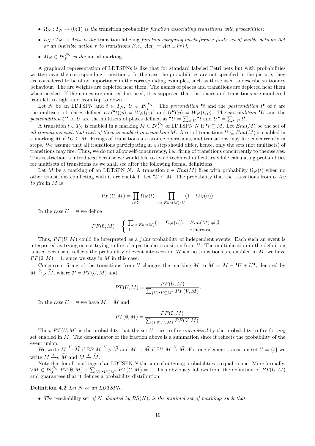- $\Omega_N : T_N \to (0, 1)$  is the transition probability function associating transitions with probabilities;
- $L_N: T_N \to Act_\tau$  is the transition labeling function assigning labels from a finite set of visible actions Act or an invisible action  $\tau$  to transitions (i.e.,  $Act_{\tau} = Act \cup {\tau}$ );
- $M_N \in \mathbb{N}_f^{P_N}$  is the initial marking.

A graphical representation of LDTSPNs is like that for standard labeled Petri nets but with probabilities written near the corresponding transitions. In the case the probabilities are not specified in the picture, they are considered to be of no importance in the corresponding examples, such as those used to describe stationary behaviour. The arc weights are depicted near them. The names of places and transitions are depicted near them when needed. If the names are omitted but used, it is supposed that the places and transitions are numbered from left to right and from top to down.

Let N be an LDTSPN and  $t \in T_N$ ,  $U \in \mathbb{N}_{f}^{T_N}$ . The precondition  $\bullet t$  and the postcondition  $t^{\bullet}$  of t are the multisets of places defined as  $(\cdot t)(p) = W_N(p,t)$  and  $(t\cdot)(p) = W_N(t,p)$ . The precondition  $\cdot U$  and the postcondition  $U^{\bullet}$  of U are the multisets of places defined as  $^{\bullet}U = \sum_{t \in U}^{\bullet} t$  and  $U^{\bullet} = \sum_{t \in U} t^{\bullet}$ .

A transition  $t \in T_N$  is enabled in a marking  $M \in \mathbb{N}_f^{P_N}$  of LDTSPN N if  $\bullet t \subseteq M$ . Let  $Ena(M)$  be the set of all transitions such that each of them is enabled in a marking M. A set of transitions  $U \subseteq Ena(M)$  is enabled in a marking M if  $\mathbf{v} \subseteq M$ . Firings of transitions are atomic operations, and transitions may fire concurrently in steps. We assume that all transitions participating in a step should differ, hence, only the sets (not multisets) of transitions may fire. Thus, we do not allow self-concurrency, i.e., firing of transitions concurrently to themselves. This restriction is introduced because we would like to avoid technical difficulties while calculating probabilities for multisets of transitions as we shall see after the following formal definitions.

Let M be a marking of an LDTSPN N. A transition  $t \in Ena(M)$  fires with probability  $\Omega_N(t)$  when no other transitions conflicting with it are enabled. Let  $\bullet U \subseteq M$ . The probability that the transitions from U try to fire in M is

$$
PF(U, M) = \prod_{t \in U} \Omega_N(t) \cdot \prod_{u \in Ena(M) \setminus U} (1 - \Omega_N(u)).
$$

In the case  $U = \emptyset$  we define

$$
PF(\emptyset, M) = \begin{cases} \prod_{u \in Ena(M)} (1 - \Omega_N(u)), & Ena(M) \neq \emptyset; \\ 1, & \text{otherwise.} \end{cases}
$$

Thus,  $PF(U, M)$  could be interpreted as a *joint* probability of independent events. Each such an event is interpreted as trying or not trying to fire of a particular transition from U. The multiplication in the definition is used because it reflects the probability of event intersection. When no transitions are enabled in  $M$ , we have  $PF(\emptyset, M) = 1$ , since we stay in M in this case.

Concurrent firing of the transitions from U changes the marking M to  $\overline{M} = M - \bullet U + U^{\bullet}$ , denoted by  $M \stackrel{U}{\rightarrow} p \widetilde{M}$ , where  $P = PT(U, M)$  and

$$
PT(U, M) = \frac{PF(U, M)}{\sum_{\{V | \bullet V \subseteq M\}} PF(V, M)}.
$$

In the case  $U = \emptyset$  we have  $M = \widetilde{M}$  and

$$
PT(\emptyset, M) = \frac{PF(\emptyset, M)}{\sum_{\{V | \bullet V \subseteq M\}} PF(V, M)}.
$$

Thus,  $PT(U, M)$  is the probability that the set U tries to fire normalized by the probability to fire for any set enabled in M. The denominator of the fraction above is a summation since it reflects the probability of the event union.

We write  $M \stackrel{U}{\rightarrow} \widetilde{M}$  if  $\exists \mathcal{P}$   $M \stackrel{U}{\rightarrow} \widetilde{M}$  and  $M \rightarrow \widetilde{M}$  if  $\exists U$   $M \stackrel{U}{\rightarrow} \widetilde{M}$ . For one-element transition set  $U = \{t\}$  we write  $M \stackrel{t}{\rightarrow} p \widetilde{M}$  and  $M \stackrel{t}{\rightarrow} \widetilde{M}$ .

Note that for all markings of an LDTSPN N the sum of outgoing probabilities is equal to one. More formally,  $\forall M \in \mathbb{N}^{P_N}_{f}$   $PT(\emptyset, M) + \sum_{\{U \mid \bullet U \subseteq M\}} PT(U, M) = 1$ . This obviously follows from the definition of  $PT(U, M)$ and guarantees that it defines a probability distribution.

#### Definition 4.2 Let N be an LDTSPN.

• The reachability set of N, denoted by  $RS(N)$ , is the minimal set of markings such that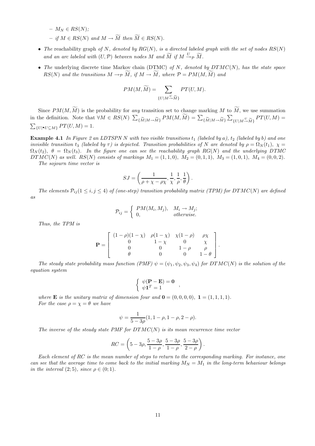$- M_N \in RS(N);$  $-$  if  $M \in RS(N)$  and  $M \to \widetilde{M}$  then  $\widetilde{M} \in RS(N)$ .

- The reachability graph of N, denoted by  $RG(N)$ , is a directed labeled graph with the set of nodes  $RS(N)$ and an arc labeled with  $(U, \mathcal{P})$  between nodes M and  $\widetilde{M}$  if  $M \xrightarrow{U} \widetilde{p} \widetilde{M}$ .
- The underlying discrete time Markov chain (DTMC) of N, denoted by  $DTMC(N)$ , has the state space  $RS(N)$  and the transitions  $M \to \widetilde{M}$ , if  $M \to \widetilde{M}$ , where  $\mathcal{P} = PM(M, \widetilde{M})$  and

$$
PM(M, \widetilde{M}) = \sum_{\{U \mid M \stackrel{U}{\rightarrow} \widetilde{M}\}} PT(U, M).
$$

Since  $PM(M, \widetilde{M})$  is the probability for any transition set to change marking M to  $\widetilde{M}$ , we use summation in the definition. Note that  $\forall M \in RS(N)$   $\sum$  $\{\widetilde{M}|M\rightarrow\widetilde{M}\}$   $PM(M,\widetilde{M}) = \sum_{\{\widetilde{M}|M\rightarrow\widetilde{M}\}}$  $\sum_{\{U|M\rightarrow \widetilde{M}\}}PT(U,M)$  =  $\sum_{\{U|\bullet U \subseteq M\}} PT(U, M) = 1.$ 

**Example 4.1** In Figure 2 an LDTSPN N with two visible transitions  $t_1$  (labeled by a),  $t_2$  (labeled by b) and one invisible transition t<sub>3</sub> (labeled by  $\tau$ ) is depicted. Transition probabilities of N are denoted by  $\rho = \Omega_N(t_1)$ ,  $\chi =$  $\Omega_N(t_2)$ ,  $\theta = \Omega_N(t_3)$ . In the figure one can see the reachability graph RG(N) and the underlying DTMC  $DTMC(N)$  as well.  $RS(N)$  consists of markings  $M_1 = (1, 1, 0), M_2 = (0, 1, 1), M_3 = (1, 0, 1), M_4 = (0, 0, 2).$ 

The sojourn time vector is

$$
SJ=\left(\frac{1}{\rho+\chi-\rho\chi},\frac{1}{\chi},\frac{1}{\rho},\frac{1}{\theta}\right).
$$

The elements  $P_{ij}$  (1  $\leq i, j \leq 4$ ) of (one-step) transition probability matrix (TPM) for DTMC(N) are defined as

$$
\mathcal{P}_{ij} = \begin{cases} PM(M_i, M_j), & M_i \to M_j; \\ 0, & otherwise. \end{cases}
$$

Thus, the TPM is

$$
\mathbf{P} = \begin{bmatrix} (1 - \rho)(1 - \chi) & \rho(1 - \chi) & \chi(1 - \rho) & \rho \chi \\ 0 & 1 - \chi & 0 & \chi \\ 0 & 0 & 1 - \rho & \rho \\ \theta & 0 & 0 & 1 - \theta \end{bmatrix}.
$$

The steady state probability mass function (PMF)  $\psi = (\psi_1, \psi_2, \psi_3, \psi_4)$  for  $DTMC(N)$  is the solution of the equation system

$$
\begin{cases} \psi(\mathbf{P} - \mathbf{E}) = \mathbf{0} \\ \psi \mathbf{1}^T = 1 \end{cases}
$$

where **E** is the unitary matrix of dimension four and  $\mathbf{0} = (0,0,0,0)$ ,  $\mathbf{1} = (1,1,1,1)$ . For the case  $\rho = \chi = \theta$  we have

$$
\psi = \frac{1}{5 - 3\rho}(1, 1 - \rho, 1 - \rho, 2 - \rho).
$$

The inverse of the steady state PMF for  $DTMC(N)$  is its mean recurrence time vector

$$
RC=\left(5-3\rho,\frac{5-3\rho}{1-\rho},\frac{5-3\rho}{1-\rho},\frac{5-3\rho}{2-\rho}\right).
$$

Each element of RC is the mean number of steps to return to the corresponding marking. For instance, one can see that the average time to come back to the initial marking  $M_N = M_1$  in the long-term behaviour belongs in the interval  $(2,5)$ , since  $\rho \in (0,1)$ .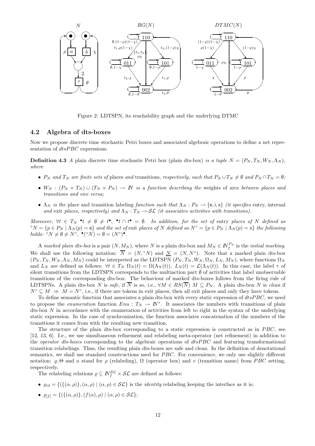

Figure 2: LDTSPN, its reachability graph and the underlying DTMC

#### 4.2 Algebra of dts-boxes

Now we propose discrete time stochastic Petri boxes and associated algebraic operations to define a net representation of  $dt s PBC$  expressions.

**Definition 4.3** A plain discrete time stochastic Petri box (plain dts-box) is a tuple  $N = (P_N, T_N, W_N, \Lambda_N)$ . where

- $P_N$  and  $T_N$  are finite sets of places and transitions, respectively, such that  $P_N \cup T_N \neq \emptyset$  and  $P_N \cap T_N = \emptyset$ ;
- $W_N : (P_N \times T_N) \cup (T_N \times P_N) \to N$  is a function describing the weights of arcs between places and transitions and vice versa;
- $\Lambda_N$  is the place and transition labeling function such that  $\Lambda_N : P_N \to \{e, i, x\}$  (it specifies entry, internal and exit places, respectively) and  $\Lambda_N : T_N \to \mathcal{SL}$  (it associates activities with transitions).

Moreover,  $\forall t \in T_N$  •  $t \neq \emptyset \neq t^{\bullet}$ , •  $t \cap t^{\bullet} = \emptyset$ . In addition, for the set of entry places of N defined as  $\hat{\sigma}_N = \{p \in P_N \mid \Lambda_N(p) = e\}$  and the set of exit places of N defined as  $N^{\circ} = \{p \in P_N \mid \Lambda_N(p) = x\}$  the following holds:  ${}^{\circ}N \neq \emptyset \neq N^{\circ}, \bullet({}^{\circ}N) = \emptyset = (N^{\circ})^{\bullet}.$ 

A marked plain dts-box is a pair  $(N, M_N)$ , where N is a plain dts-box and  $M_N \in \mathbb{N}_{f}^{P_N}$  is the *initial marking*. We shall use the following notation:  $\overline{N} = (N, \degree N)$  and  $N = (N, N^{\degree})$ . Note that a marked plain dts-box  $(P_N, T_N, W_N, \Lambda_N, M_N)$  could be interpreted as the LDTSPN  $(P_N, T_N, W_N, \Omega_N, L_N, M_N)$ , where functions  $\Omega_N$ and  $L_N$  are defined as follows:  $\forall t \in T_N \Omega_N(t) = \Omega(\Lambda_N(t)), L_N(t) = \mathcal{L}(\Lambda_N(t)).$  In this case, the label  $\tau$  of silent transitions from the LDTSPN corresponds to the multiaction part Ø of activities that label unobservable transitions of the corresponding dts-box. The behaviour of marked dts-boxes follows from the firing rule of LDTSPNs. A plain dts-box N is safe, if N is so, i.e.,  $\forall M \in RS(N)$   $M \subseteq P_N$ . A plain dts-box N is clean if  $N^{\circ} \subseteq M \Rightarrow M = N^{\circ}$ , i.e., if there are tokens in exit places, then all exit places and only they have tokens.

To define semantic function that associates a plain dts-box with every static expression of  $dtsPBC$ , we need to propose the *enumeration* function  $Enu : T_N \to \mathbb{N}^*$ . It associates the numbers with transitions of plain dts-box  $N$  in accordance with the enumeration of activities from left to right in the syntax of the underlying static expression. In the case of synchronization, the function associates concatenation of the numbers of the transitions it comes from with the resulting new transition.

The structure of the plain dts-box corresponding to a static expression is constructed as in PBC, see [12, 13, 6]. I.e., we use simultaneous refinement and relabeling meta-operator (net refinement) in addition to the *operator dts-boxes* corresponding to the algebraic operations of  $dtsPBC$  and featuring transformational transition relabelings. Thus, the resulting plain dts-boxes are safe and clean. In the definition of denotational semantics, we shall use standard constructions used for *PBC*. For convenience, we only use slightly different notation:  $\rho$ , Θ and u stand for  $\rho$  (relabeling),  $\Omega$  (operator box) and v (transition name) from PBC setting, respectively.

The relabeling relations  $\rho \subseteq N_f^{\mathcal{SL}} \times \mathcal{SL}$  are defined as follows:

- $\varrho_{id} = \{ (\{(\alpha, \rho)\}, (\alpha, \rho) \mid (\alpha, \rho) \in \mathcal{SL} \}$  is the *identity* relabeling keeping the interface as it is;
- $\varrho_{[f]} = \{ (\{(\alpha, \rho)\}, (f(\alpha), \rho) \mid (\alpha, \rho) \in \mathcal{SL} \};$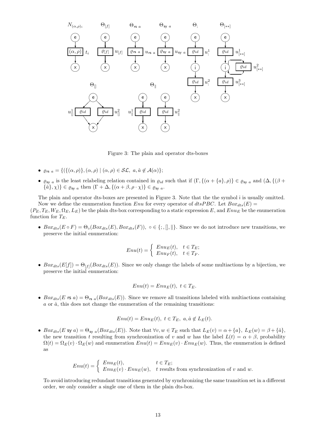

Figure 3: The plain and operator dts-boxes

- $\varrho_{rs a} = \{ (\{ (\alpha, \rho) \}, (\alpha, \rho) \mid (\alpha, \rho) \in \mathcal{SL}, \ a, \hat{a} \notin \mathcal{A}(\alpha) \};$
- $\varrho_{\text{sy }a}$  is the least relabeling relation contained in  $\varrho_{id}$  such that if  $(\Gamma, \{(\alpha + \{a\}, \rho)\}\in \varrho_{\text{sy }a}$  and  $(\Delta, \{(\beta +$  $\label{eq:3} \{\hat{a}\},\chi)\}\in\varrho_{\text{sy}\ a}\ \text{then}\ (\Gamma+\Delta,\{(\alpha+\beta,\rho\cdot\chi)\}\in\varrho_{\text{sy}\ a}.$

The plain and operator dts-boxes are presented in Figure 3. Note that the the symbol i is usually omitted. Now we define the enumeration function Enu for every operator of  $dt s PBC$ . Let  $Box_{t s}(E)$  =  $(P_E, T_E, W_E, \Omega_E, L_E)$  be the plain dts-box corresponding to a static expression E, and  $Enu_E$  be the enumeration

function for  $T_E$ .

•  $Box_{dts}(E \circ F) = \Theta_{\circ}(Box_{dts}(E),Box_{dts}(F)), \circ \in \{; , \|, \| \}$ . Since we do not introduce new transitions, we preserve the initial enumeration:

$$
Enu(t) = \begin{cases} Enu_E(t), & t \in T_E; \\ Enu_F(t), & t \in T_F. \end{cases}
$$

•  $Box_{dts}(E[f]) = \Theta_{[f]}(Box_{dts}(E)).$  Since we only change the labels of some multiactions by a bijection, we preserve the initial enumeration:

$$
Enu(t) = EnuE(t), t \in TE.
$$

•  $Box_{dts}(E \text{ rs } a) = \Theta_{rs a}(Box_{dts}(E)).$  Since we remove all transitions labeled with multiactions containing  $a$  or  $\hat{a}$ , this does not change the enumeration of the remaining transitions:

$$
Enu(t) = EnuE(t), t \in TE, a, \hat{a} \notin LE(t).
$$

•  $Box_{dts}(E \text{ sy } a) = \Theta_{\text{sy } a}(Box_{dts}(E))$ . Note that  $\forall v, w \in T_E$  such that  $L_E(v) = \alpha + \{a\}, L_E(w) = \beta + \{\hat{a}\},$ the new transition t resulting from synchronization of v and w has the label  $L(t) = \alpha + \beta$ , probability  $\Omega(t) = \Omega_E(v) \cdot \Omega_E(w)$  and enumeration  $Env(t) = Env_E(v) \cdot Env_E(w)$ . Thus, the enumeration is defined as

$$
Enu(t) = \begin{cases} Enu_E(t), & t \in T_E; \\ Enu_E(v) \cdot Enu_E(w), & t \text{ results from synchronization of } v \text{ and } w. \end{cases}
$$

To avoid introducing redundant transitions generated by synchronizing the same transition set in a different order, we only consider a single one of them in the plain dts-box.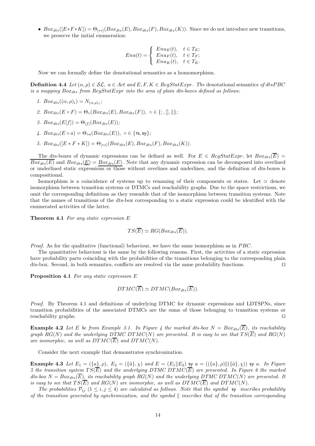•  $Box_{dts}([E*F*K]) = \Theta_{(**]}(Box_{dts}(E),Box_{dts}(F),Box_{dts}(K)).$  Since we do not introduce new transitions, we preserve the initial enumeration:

$$
Enu(t) = \begin{cases} Enu_E(t), & t \in T_E; \\ Enu_F(t), & t \in T_F; \\ Enu_K(t), & t \in T_K. \end{cases}
$$

Now we can formally define the denotational semantics as a homomorphism.

**Definition 4.4** Let  $(\alpha, \rho) \in \mathcal{SL}$ ,  $a \in Act$  and E, F,  $K \in RegStatExpr$ . The denotational semantics of dtsPBC is a mapping  $Box_{dts}$  from  $RealStatError$  into the area of plain dts-boxes defined as follows:

- 1.  $Box_{dts}((\alpha, \rho)_i) = N_{(\alpha, \rho)_i};$
- 2.  $Box_{dts}(E \circ F) = \Theta_{\circ}(Box_{dts}(E),Box_{dts}(F)), \circ \in \{; , \|, \| \};$
- 3.  $Box_{dts}(E[f]) = \Theta_{[f]}(Box_{dts}(E));$
- 4.  $Box_{dts}(E \circ a) = \Theta_{oa}(Box_{dts}(E)), o \in \{rs, sy\};$
- 5.  $Box_{dts}([E * F * K]) = \Theta_{[**]}(Box_{dts}(E),Box_{dts}(F),Box_{dts}(K)).$

The dts-boxes of dynamic expressions can be defined as well. For  $E \in RegStatExpr$ , let  $Box_{cts}(\overline{E})$  =  $Box_{dts}(E)$  and  $Box_{dts}(E) = Box_{dts}(E)$ . Note that any dynamic expression can be decomposed into overlined or underlined static expressions or those without overlines and underlines, and the definition of dts-boxes is compositional.

Isomorphism is a coincidence of systems up to renaming of their components or states. Let  $\simeq$  denote isomorphism between transition systems or DTMCs and reachability graphs. Due to the space restrictions, we omit the corresponding definitions as they resemble that of the isomorphism between transition systems. Note that the names of transitions of the dts-box corresponding to a static expression could be identified with the enumerated activities of the latter.

**Theorem 4.1** For any static expression  $E$ 

 $TS(\overline{E}) \simeq RG(Box_{dts}(\overline{E})).$ 

Proof. As for the qualitative (functional) behaviour, we have the same isomorphism as in PBC.

The quantitative behaviour is the same by the following reasons. First, the activities of a static expression have probability parts coinciding with the probabilities of the transitions belonging to the corresponding plain dts-box. Second, in both semantics, conflicts are resolved via the same probability functions. ⊓⊔

Proposition 4.1 For any static expression E

$$
DTMC(\overline{E}) \simeq DTMC(Box_{dts}(\overline{E})).
$$

Proof. By Theorem 4.1 and definitions of underlying DTMC for dynamic expressions and LDTSPNs, since transition probabilities of the associated DTMCs are the sums of those belonging to transition systems or reachability graphs. ⊓⊔

**Example 4.2** Let E be from Example 3.1. In Figure 4 the marked dts-box  $N = Box_{dts}(\overline{E})$ , its reachability graph  $RG(N)$  and the underlying DTMC DTMC(N) are presented. It is easy to see that  $TS(\overline{E})$  and  $RG(N)$ are isomorphic, as well as  $DTMC(\overline{E})$  and  $DTMC(N)$ .

Consider the next example that demonstrates synchronization.

**Example 4.3** Let  $E_1 = (\{a\}, \rho), E_2 = (\{\hat{a}\}, \chi)$  and  $E = (E_1||E_2)$  sy  $a = ((\{a\}, \rho)||(\{\hat{a}\}, \chi))$  sy a. In Figure 5 the transition system  $TS(\overline{E})$  and the underlying DTMC DTMC( $\overline{E}$ ) are presented. In Figure 6 the marked dts-box  $N = Box_{dts}(\overline{E})$ , its reachability graph RG(N) and the underlying DTMC DTMC(N) are presented. It is easy to see that  $TS(\overline{E})$  and  $RG(N)$  are isomorphic, as well as  $DTMC(\overline{E})$  and  $DTMC(N)$ .

The probabilities  $\mathcal{P}_{ij}$  (1  $\leq i, j \leq 4$ ) are calculated as follows. Note that the symbol sy inscribes probability of the transition generated by synchronization, and the symbol  $\parallel$  inscribes that of the transition corresponding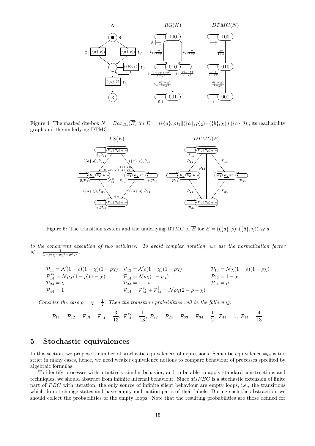

Figure 4: The marked dts-box  $N = Box_{dts}(\overline{E})$  for  $E = [((\{a\}, \rho)_1][(\{a\}, \rho)_2) * (\{b\}, \chi) * (\{c\}, \theta)]$ , its reachability graph and the underlying DTMC



Figure 5: The transition system and the underlying DTMC of  $\overline{E}$  for  $E = (({a}, \rho) \|({\hat{a}}, \chi))$  sy a

to the concurrent execution of two activities. To avoid complex notation, we use the normalization factor  $\mathcal{N} = \frac{1}{1 - \rho^2 \chi - \rho \chi^2 + \rho^2 \chi^2}.$ 

$$
\begin{array}{llll} \mathcal{P}_{11} = \mathcal{N}(1-\rho)(1-\chi)(1-\rho\chi) & \mathcal{P}_{12} = \mathcal{N}\rho(1-\chi)(1-\rho\chi) & \mathcal{P}_{13} = \mathcal{N}\chi(1-\rho)(1-\rho\chi) \\ \mathcal{P}_{14}^{\text{sy}} = \mathcal{N}\rho\chi(1-\rho)(1-\chi) & \mathcal{P}_{14}^{\parallel} = \mathcal{N}\rho\chi(1-\rho\chi) & \mathcal{P}_{22} = 1-\chi \\ \mathcal{P}_{24} = \chi & \mathcal{P}_{33} = 1-\rho & \mathcal{P}_{34} = \rho \\ \mathcal{P}_{44} = 1 & \mathcal{P}_{14} = \mathcal{P}_{14}^{\text{sy}} + \mathcal{P}_{14}^{\parallel} = \mathcal{N}\rho\chi(2-\rho-\chi) \end{array} \quad \begin{array}{ll} \mathcal{P}_{13} = \mathcal{N}\chi(1-\rho)(1-\rho\chi) \\ \mathcal{P}_{22} = 1-\chi \\ \mathcal{P}_{34} = \rho \end{array}
$$

Consider the case  $\rho = \chi = \frac{1}{2}$ . Then the transition probabilities will be the following:

$$
\mathcal{P}_{11}=\mathcal{P}_{12}=\mathcal{P}_{13}=\mathcal{P}_{14}^{\parallel}=\frac{3}{13},\,\, \mathcal{P}_{14}^{\text{sy}}=\frac{1}{13},\,\, \mathcal{P}_{22}=\mathcal{P}_{24}=\mathcal{P}_{33}=\mathcal{P}_{34}=\frac{1}{2},\,\, \mathcal{P}_{44}=1,\,\, \mathcal{P}_{14}=\frac{4}{13}.
$$

## 5 Stochastic equivalences

In this section, we propose a number of stochastic equivalences of expressions. Semantic equivalence  $=_{ts}$  is too strict in many cases, hence, we need weaker equivalence notions to compare behaviour of processes specified by algebraic formulas.

To identify processes with intuitively similar behavior, and to be able to apply standard constructions and techniques, we should abstract from infinite internal behaviour. Since  $dtsPBC$  is a stochastic extension of finite part of PBC with iteration, the only source of infinite silent behaviour are empty loops, i.e., the transitions which do not change states and have empty multiaction parts of their labels. During such the abstraction, we should collect the probabilities of the empty loops. Note that the resulting probabilities are those defined for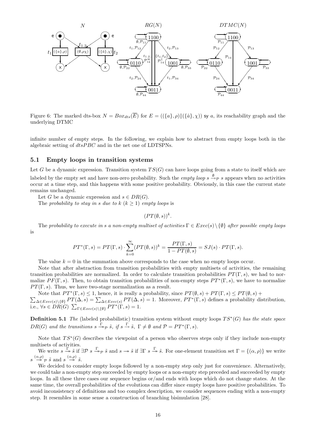

Figure 6: The marked dts-box  $N = Box_{ds}(\overline{E})$  for  $E = (({a}, \rho) ||({\hat{a}}, \chi))$  sy a, its reachability graph and the underlying DTMC

infinite number of empty steps. In the following, we explain how to abstract from empty loops both in the algebraic setting of dtsPBC and in the net one of LDTSPNs.

#### 5.1 Empty loops in transition systems

Let G be a dynamic expression. Transition system  $TS(G)$  can have loops going from a state to itself which are labeled by the empty set and have non-zero probability. Such the *empty loop*  $s \xrightarrow{\emptyset} s$  appears when no activities occur at a time step, and this happens with some positive probability. Obviously, in this case the current state remains unchanged.

Let G be a dynamic expression and  $s \in DR(G)$ .

The probability to stay in s due to  $k (k \geq 1)$  empty loops is

 $(PT(\emptyset, s))^k$ .

The probability to execute in s a non-empty multiset of activities  $\Gamma \in E \text{vec}(s) \setminus \{\emptyset\}$  after possible empty loops is

$$
PT^*(\Gamma, s) = PT(\Gamma, s) \cdot \sum_{k=0}^{\infty} (PT(\emptyset, s))^k = \frac{PT(\Gamma, s)}{1 - PT(\emptyset, s)} = SJ(s) \cdot PT(\Gamma, s).
$$

The value  $k = 0$  in the summation above corresponds to the case when no empty loops occur.

Note that after abstraction from transition probabilities with empty multisets of activities, the remaining transition probabilities are normalized. In order to calculate transition probabilities  $PT(\Gamma, s)$ , we had to normalize  $PF(\Gamma, s)$ . Then, to obtain transition probabilities of non-empty steps  $PT^*(\Gamma, s)$ , we have to normalize  $PT(\Gamma, s)$ . Thus, we have two-stage normalization as a result.

Note that  $PT^*(\Gamma, s) \leq 1$ , hence, it is really a probability, since  $PT(\emptyset, s) + PT(\Gamma, s) \leq PT(\emptyset, s) +$  $\sum_{\Delta \in \text{Exec}(s) \setminus \{\emptyset\}} PT(\Delta, s) = \sum_{\Delta \in \text{Exec}(s)} PT(\Delta, s) = 1.$  Moreover,  $PT^*(\Gamma, s)$  defines a probability distribution, i.e.,  $\forall s \in DR(G)$   $\sum_{\Gamma \in Exercise(s) \setminus \{\emptyset\}} PT^*(\Gamma, s) = 1$ .

**Definition 5.1** The (labeled probabilistic) transition system without empty loops  $TS^*(G)$  has the state space  $DR(G)$  and the transitions  $s \xrightarrow{\Gamma} \tilde{s}$ , if  $s \xrightarrow{\Gamma} \tilde{s}$ ,  $\Gamma \neq \emptyset$  and  $\mathcal{P} = PT^*(\Gamma, s)$ .

Note that  $TS^*(G)$  describes the viewpoint of a person who observes steps only if they include non-empty multisets of activities.

We write  $s \xrightarrow{\Gamma} \tilde{s}$  if  $\exists \mathcal{P} \ s \xrightarrow{\Gamma} \tilde{s}$  and  $s \to \tilde{s}$  if  $\exists \Gamma \ s \xrightarrow{\Gamma} \tilde{s}$ . For one-element transition set  $\Gamma = \{(\alpha, \rho)\}\$  we write  $s \stackrel{(\alpha,\rho)}{\longrightarrow} \tilde{s}$  and  $s \stackrel{(\alpha,\rho)}{\longrightarrow} \tilde{s}$ .

We decided to consider empty loops followed by a non-empty step only just for convenience. Alternatively, we could take a non-empty step succeeded by empty loops or a non-empty step preceded and succeeded by empty loops. In all these three cases our sequence begins or/and ends with loops which do not change states. At the same time, the overall probabilities of the evolutions can differ since empty loops have positive probabilities. To avoid inconsistency of definitions and too complex description, we consider sequences ending with a non-empty step. It resembles in some sense a construction of branching bisimulation [28].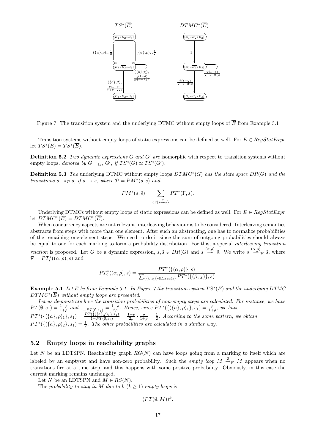

Figure 7: The transition system and the underlying DTMC without empty loops of  $\overline{E}$  from Example 3.1

Transition systems without empty loops of static expressions can be defined as well. For  $E \in RegStatExpr$ let  $TS^*(E) = TS^*(\overline{E}).$ 

**Definition 5.2** Two dynamic expressions  $G$  and  $G'$  are isomorphic with respect to transition systems without empty loops, denoted by  $G =_{ts*} G'$ , if  $TS^*(G) \simeq TS^*(G')$ .

**Definition 5.3** The underlying DTMC without empty loops  $DTMC^*(G)$  has the state space  $DR(G)$  and the transitions  $s \rightarrow_{\mathcal{P}} \tilde{s}$ , if  $s \rightarrow \tilde{s}$ , where  $\mathcal{P} = PM^*(s, \tilde{s})$  and

$$
PM^*(s, \tilde{s}) = \sum_{\{\Gamma \mid s \xrightarrow{\Gamma} s\}} PT^*(\Gamma, s).
$$

Underlying DTMCs without empty loops of static expressions can be defined as well. For  $E \in \text{Reaf} \times \text{Eypr}$ let  $DTMC^*(E) = DTMC^*(\overline{E}).$ 

When concurrency aspects are not relevant, interleaving behaviour is to be considered. Interleaving semantics abstracts from steps with more than one element. After such an abstracting, one has to normalize probabilities of the remaining one-element steps. We need to do it since the sum of outgoing probabilities should always be equal to one for each marking to form a probability distribution. For this, a special interleaving transition *relation* is proposed. Let G be a dynamic expression,  $s, \tilde{s} \in DR(G)$  and  $s \stackrel{(\alpha,\rho)}{\longrightarrow} \tilde{s}$ . We write  $s \stackrel{(\alpha,\rho)}{\longrightarrow} \tilde{s}$ , where  $\mathcal{P} = PT_i^*((\alpha, \rho), s)$  and

$$
PT_i^*((\alpha,\rho),s) = \frac{PT^*(\{(\alpha,\rho)\},s)}{\sum_{\{(\beta,\chi)\}\in\text{Exec}(s)}PT^*(\{(\beta,\chi)\},s)}.
$$

**Example 5.1** Let E be from Example 3.1. In Figure 7 the transition system  $TS^*(\overline{E})$  and the underlying DTMC  $DTMC^*(\overline{E})$  without empty loops are presented.

Let us demonstrate how the transition probabilities of non-empty steps are calculated. For instance, we have  $PT(\emptyset, s_1) = \frac{1-\rho}{1+\rho}$  and  $\frac{1}{1-PT(\emptyset, s_1)} = \frac{1+\rho}{2\rho}$ . Hence, since  $PT^*(\{(\{a\}, \rho)_1\}, s_1) = \frac{\rho}{1+\rho}$ , we have  $PT^*(\{(\{a\}, \rho)_1\}, s_1) = \frac{PT(\{(\{a\}, \rho)_1\}, s_1)}{1-PT(\emptyset, s_1)} = \frac{1+\rho}{2\rho} \cdot \frac{\rho}{1+\rho} = \frac{1}{2}$ . According to the same pattern, we obtain  $PT^*(\{(\{a\},\rho)_2\},s_1)=\frac{1}{2}$ . The other probabilities are calculated in a similar way.

#### 5.2 Empty loops in reachability graphs

Let N be an LDTSPN. Reachability graph  $RG(N)$  can have loops going from a marking to itself which are labeled by an emptyset and have non-zero probability. Such the *empty loop*  $M \xrightarrow{\emptyset} M$  appears when no transitions fire at a time step, and this happens with some positive probability. Obviously, in this case the current marking remains unchanged.

Let N be an LDTSPN and  $M \in RS(N)$ .

The probability to stay in M due to  $k (k > 1)$  empty loops is

 $(PT(\emptyset, M))^k$ .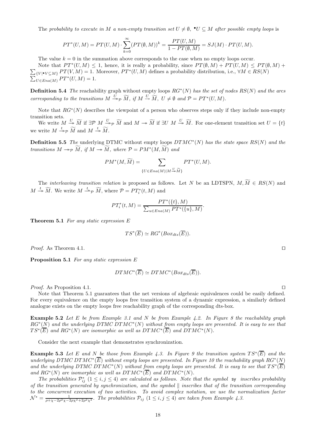The probability to execute in M a non-empty transition set  $U \neq \emptyset$ ,  $\bullet U \subseteq M$  after possible empty loops is

$$
PT^*(U, M) = PT(U, M) \cdot \sum_{k=0}^{\infty} (PT(\emptyset, M))^k = \frac{PT(U, M)}{1 - PT(\emptyset, M)} = SJ(M) \cdot PT(U, M).
$$

The value  $k = 0$  in the summation above corresponds to the case when no empty loops occur.

Note that  $PT^*(U, M) \leq 1$ , hence, it is really a probability, since  $PT(\emptyset, M) + PT(U, M) \leq PT(\emptyset, M) + T(\emptyset, M)$  $\sum_{\{V | \bullet V \subseteq M\}} PT(V, M) = 1.$  Moreover,  $PT^*(U, M)$  defines a probability distribution, i.e.,  $\forall M \in RS(N)$  $\sum_{U \in Ena(M)}^{V} PT^*(U, M) = 1.$ 

**Definition 5.4** The reachability graph without empty loops  $RG^*(N)$  has the set of nodes  $RS(N)$  and the arcs corresponding to the transitions  $M \xrightarrow{U} \widetilde{M}$ , if  $M \xrightarrow{U} \widetilde{M}$ ,  $U \neq \emptyset$  and  $\mathcal{P} = PT^*(U, M)$ .

Note that  $RG^*(N)$  describes the viewpoint of a person who observes steps only if they include non-empty transition sets.

We write  $M \stackrel{U}{\twoheadrightarrow} \widetilde{M}$  if  $\exists \mathcal{P} \ M \stackrel{U}{\twoheadrightarrow} \widetilde{M}$  and  $M \twoheadrightarrow \widetilde{M}$  if  $\exists U \ M \stackrel{U}{\twoheadrightarrow} \widetilde{M}$ . For one-element transition set  $U = \{t\}$ we write  $M \stackrel{t}{\rightarrow} p \widetilde{M}$  and  $M \stackrel{t}{\rightarrow} \widetilde{M}$ .

**Definition 5.5** The underlying DTMC without empty loops  $DTMC^*(N)$  has the state space  $RS(N)$  and the transitions  $M \to_{\mathcal{P}} M$ , if  $M \to \overline{M}$ , where  $\mathcal{P} = PM^*(M, \overline{M})$  and

$$
PM^*(M, \widetilde{M}) = \sum_{\{U \in Ena(M)|M \stackrel{U}{\twoheadrightarrow} \widetilde{M}\}} PT^*(U, M).
$$

The *interleaving transition relation* is proposed as follows. Let N be an LDTSPN,  $M, \widetilde{M} \in RS(N)$  and  $M \stackrel{t}{\rightarrow} \widetilde{M}$ . We write  $M \stackrel{t}{\rightarrow} \widetilde{p} \widetilde{M}$ , where  $\mathcal{P} = PT_i^*(t, M)$  and

$$
PT_i^*(t, M) = \frac{PT^*(\{t\}, M)}{\sum_{u \in Ena(M)} PT^*(\{u\}, M)}.
$$

**Theorem 5.1** For any static expression  $E$ 

$$
TS^*(\overline{E}) \simeq RG^*(Box_{dts}(\overline{E})).
$$

*Proof.* As Theorem 4.1. □

Proposition 5.1 For any static expression E

$$
DTMC^*(\overline{E}) \simeq DTMC^*(Box_{dts}(\overline{E})).
$$

*Proof.* As Proposition 4.1. □

Note that Theorem 5.1 guarantees that the net versions of algebraic equivalences could be easily defined. For every equivalence on the empty loops free transition system of a dynamic expression, a similarly defined analogue exists on the empty loops free reachability graph of the corresponding dts-box.

**Example 5.2** Let E be from Example 3.1 and N be from Example 4.2. In Figure 8 the reachability graph  $RG^*(N)$  and the underlying DTMC DTMC<sup>\*</sup>(N) without from empty loops are presented. It is easy to see that  $TS^*(\overline{E})$  and  $RG^*(N)$  are isomorphic as well as  $DTMC^*(\overline{E})$  and  $DTMC^*(N)$ .

Consider the next example that demonstrates synchronization.

**Example 5.3** Let E and N be those from Example 4.3. In Figure 9 the transition system  $TS^*(\overline{E})$  and the underlying DTMC DTMC<sup>\*</sup>(E) without empty loops are presented. In Figure 10 the reachability graph  $RG^*(N)$ and the underlying DTMC DTMC<sup>\*</sup>(N) without from empty loops are presented. It is easy to see that  $TS^*(\overline{E})$ and  $RG^*(N)$  are isomorphic as well as  $DTMC^*(\overline{E})$  and  $DTMC^*(N)$ .

The probabilities  $\mathcal{P}_{ij}^*$   $(1 \le i, j \le 4)$  are calculated as follows. Note that the symbol sy inscribes probability of the transition generated by synchronization, and the symbol  $\parallel$  inscribes that of the transition corresponding to the concurrent execution of two activities. To avoid complex notation, we use the normalization factor  $\mathcal{N}^* = \frac{1}{\rho + \chi - 2\rho^2\chi - 2\rho\chi^2 + 2\rho^2\chi^2}$ . The probabilities  $\mathcal{P}_{ij}$  (1  $\leq i, j \leq 4$ ) are taken from Example 4.3.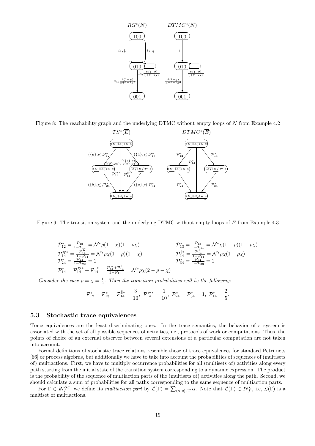

Figure 8: The reachability graph and the underlying DTMC without empty loops of N from Example 4.2



Figure 9: The transition system and the underlying DTMC without empty loops of  $\overline{E}$  from Example 4.3

$$
\begin{array}{ll}\n\mathcal{P}_{12}^* = \frac{\mathcal{P}_{12}}{1 - \mathcal{P}_{11}} = \mathcal{N}^* \rho (1 - \chi)(1 - \rho \chi) & \mathcal{P}_{13}^* = \frac{\mathcal{P}_{13}}{1 - \mathcal{P}_{11}} = \mathcal{N}^* \chi (1 - \rho)(1 - \rho \chi) \\
\mathcal{P}_{14}^{\mathsf{sy}} = \frac{\mathcal{P}_{14}^{\mathsf{sy}}}{1 - \mathcal{P}_{11}} = \mathcal{N}^* \rho \chi (1 - \rho)(1 - \chi) & \mathcal{P}_{14}^{\parallel *} = \frac{\mathcal{P}_{14}^{\parallel}}{1 - \mathcal{P}_{11}} = \mathcal{N}^* \rho \chi (1 - \rho \chi) \\
\mathcal{P}_{24}^* = \frac{\mathcal{P}_{24}^{\mathsf{sy}}}{1 - \mathcal{P}_{22}} = 1 & \mathcal{P}_{34}^* = \frac{\mathcal{P}_{34}^{\mathsf{sy}}}{1 - \mathcal{P}_{33}} = 1 \\
\mathcal{P}_{14}^* = \mathcal{P}_{14}^{\mathsf{sy}} + \mathcal{P}_{14}^{\parallel *} = \frac{\mathcal{P}_{14}^{\mathsf{sy}} + \mathcal{P}_{14}^{\parallel}}{1 - \mathcal{P}_{11}} = \mathcal{N}^* \rho \chi (2 - \rho - \chi)\n\end{array}
$$

Consider the case  $\rho = \chi = \frac{1}{2}$ . Then the transition probabilities will be the following:

$$
\mathcal{P}^*_{12}=\mathcal{P}^*_{13}=\mathcal{P}^{\parallel *}_{14}=\frac{3}{10},\ \mathcal{P}^{\mathsf{sy}*}_{14}=\frac{1}{10},\ \mathcal{P}^*_{24}=\mathcal{P}^*_{34}=1,\ \mathcal{P}^*_{14}=\frac{2}{5}.
$$

#### 5.3 Stochastic trace equivalences

Trace equivalences are the least discriminating ones. In the trace semantics, the behavior of a system is associated with the set of all possible sequences of activities, i.e., protocols of work or computations. Thus, the points of choice of an external observer between several extensions of a particular computation are not taken into account.

Formal definitions of stochastic trace relations resemble those of trace equivalences for standard Petri nets [66] or process algebras, but additionally we have to take into account the probabilities of sequences of (multisets of) multiactions. First, we have to multiply occurrence probabilities for all (multisets of) activities along every path starting from the initial state of the transition system corresponding to a dynamic expression. The product is the probability of the sequence of multiaction parts of the (multisets of) activities along the path. Second, we should calculate a sum of probabilities for all paths corresponding to the same sequence of multiaction parts.

For  $\Gamma \in \mathbb{N}_{f}^{\mathcal{SL}}$ , we define its multiaction part by  $\mathcal{L}(\Gamma) = \sum_{(\alpha,\rho) \in \Gamma} \alpha$ . Note that  $\mathcal{L}(\Gamma) \in \mathbb{N}_{f}^{\mathcal{L}}$ , i.e,  $\mathcal{L}(\Gamma)$  is a multiset of multiactions.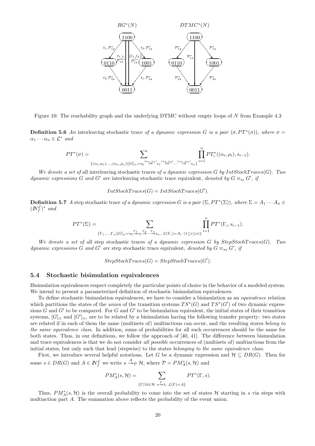

Figure 10: The reachability graph and the underlying DTMC without empty loops of N from Example 4.3

**Definition 5.6** An interleaving stochastic trace of a dynamic expression G is a pair  $(\sigma, PT^*(\sigma))$ , where  $\sigma =$  $\alpha_1 \cdots \alpha_n \in \mathcal{L}^*$  and

$$
PT^{*}(\sigma) = \sum_{\{(\alpha_1,\rho_1),...,(\alpha_n,\rho_n) \mid [G]_{\simeq} = s_0} (\alpha_1,\beta_1), \ldots, (\alpha_n,\beta_n) \mid [G]_{\simeq}} \prod_{i=1}^n PT^{*}_{i}((\alpha_i,\rho_i),s_{i-1}).
$$

We denote a set of all interleaving stochastic traces of a dynamic expression G by IntStochTraces(G). Two dynamic expressions G and G' are interleaving stochastic trace equivalent, denoted by  $G \equiv_{is} G'$ , if

 $IntStockTraces(G) = IntStockTraces(G').$ 

**Definition 5.7** A step stochastic trace of a dynamic expression G is a pair  $(\Sigma, PT^*(\Sigma))$ , where  $\Sigma = A_1 \cdots A_n \in$  $(N_f^{\mathcal{L}})^*$  and

$$
PT^*(\Sigma) = \sum_{\{\Gamma_1,\ldots,\Gamma_n|[G]_{\simeq}=s_0\stackrel{\Gamma_1}{\twoheadrightarrow}s_1\stackrel{\Gamma_2}{\twoheadrightarrow}\cdots\stackrel{\Gamma_n}{\twoheadrightarrow}s_n,\ {\mathcal L}(\Gamma_i)=A_i\ (1\leq i\leq n)\}}\prod_{i=1}^n PT^*(\Gamma_i,s_{i-1}).
$$

We denote a set of all step stochastic traces of a dynamic expression G by  $StepStockTrace(G)$ . Two dynamic expressions G and G' are step stochastic trace equivalent, denoted by  $G \equiv_{ss} G'$ , if

 $StepStockTrace(G) = StepStockTrace(G').$ 

#### 5.4 Stochastic bisimulation equivalences

Bisimulation equivalences respect completely the particular points of choice in the behavior of a modeled system. We intend to present a parameterized definition of stochastic bisimulation equivalences.

To define stochastic bisimulation equivalences, we have to consider a bisimulation as an equivalence relation which partitions the states of the union of the transition systems  $TS^*(G)$  and  $TS^*(G')$  of two dynamic expressions  $G$  and  $G'$  to be compared. For  $G$  and  $G'$  to be bisimulation equivalent, the initial states of their transition systems,  $[G]_{\simeq}$  and  $[G']_{\simeq}$ , are to be related by a bisimulation having the following transfer property: two states are related if in each of them the same (multisets of) multiactions can occur, and the resulting states belong to the same equivalence class. In addition, sums of probabilities for all such occurrences should be the same for both states. Thus, in our definitions, we follow the approach of [40, 41]. The difference between bisimulation and trace equivalences is that we do not consider all possible occurrences of (multisets of) multiactions from the initial states, but only such that lead (stepwise) to the states belonging to the same equivalence class.

First, we introduce several helpful notations. Let G be a dynamic expression and  $\mathcal{H} \subseteq DR(G)$ . Then for some  $s \in DR(G)$  and  $A \in \mathbb{N}_{f}^{\mathcal{L}}$  we write  $s \stackrel{A}{\rightarrow}_{\mathcal{P}} \mathcal{H}$ , where  $\mathcal{P} = PM_A^*(s, \mathcal{H})$  and

$$
PM_A^*(s, \mathcal{H}) = \sum_{\{\Gamma \mid \exists \tilde{s} \in \mathcal{H} \ s \xrightarrow{\Gamma} \tilde{s}, \ \mathcal{L}(\Gamma) = A\}} PT^*(\Gamma, s).
$$

Thus,  $PM_A^*(s, \mathcal{H})$  is the overall probability to come into the set of states H starting in s via steps with multiaction part A. The summation above reflects the probability of the event union.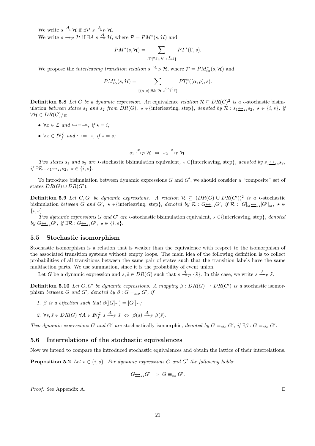We write  $s \stackrel{A}{\twoheadrightarrow} \mathcal{H}$  if  $\exists \mathcal{P} \ s \stackrel{A}{\twoheadrightarrow}_{\mathcal{P}} \mathcal{H}$ . We write  $s \rightarrow_{\mathcal{P}} \mathcal{H}$  if  $\exists A \ s \stackrel{A}{\rightarrow} \mathcal{H}$ , where  $\mathcal{P} = PM^*(s, \mathcal{H})$  and

$$
PM^*(s, \mathcal{H}) = \sum_{\{\Gamma \mid \exists \tilde{s} \in \mathcal{H}} \sum_{s \to \tilde{s}\}} PT^*(\Gamma, s).
$$

We propose the *interleaving transition relation*  $s \xrightarrow{\alpha} \mathcal{P}$  H, where  $\mathcal{P} = PM_{i\alpha}^*(s, \mathcal{H})$  and

$$
PM_{i\alpha}^*(s, \mathcal{H}) = \sum_{\{(\alpha,\rho) \mid \exists \tilde{s} \in \mathcal{H}} \ s^{\frac{(\alpha,\rho)}{2}} \tilde{s} \}} PT_i^*((\alpha,\rho), s).
$$

**Definition 5.8** Let G be a dynamic expression. An equivalence relation  $\mathcal{R} \subseteq DR(G)^2$  is a  $\star$ -stochastic bisimulation between states  $s_1$  and  $s_2$  from  $DR(G)$ ,  $\star \in \{$ interleaving, step}, denoted by  $\mathcal{R}: s_1 \leftrightarrow_{\star} s_2$ ,  $\star \in \{i, s\}$ , if  $\forall H \in DR(G)/_{\mathcal{R}}$ 

- $\forall x \in \mathcal{L}$  and  $\hookrightarrow = \rightarrow$ , if  $\star = i$ ;
- $\forall x \in \mathbb{N}_f^{\mathcal{L}}$  and  $\hookrightarrow = \rightarrow$ , if  $\star = s$ ;

$$
s_1 \xrightarrow{x} \mathcal{P} \mathcal{H} \Leftrightarrow s_2 \xrightarrow{x} \mathcal{P} \mathcal{H}.
$$

Two states  $s_1$  and  $s_2$  are  $\star$ -stochastic bisimulation equivalent,  $\star \in \{\text{interleaving, step}\},$  denoted by  $s_1 \leftrightarrow s_2$ , if ∃R :  $s_1 \leftrightarrow_{\star} s_2, \star \in \{i, s\}.$ 

To introduce bisimulation between dynamic expressions  $G$  and  $G'$ , we should consider a "composite" set of states  $DR(G) \cup DR(G')$ .

**Definition 5.9** Let G, G' be dynamic expressions. A relation  $\mathcal{R} \subseteq (DR(G) \cup DR(G'))^2$  is a  $\star$ -stochastic bisimulation between G and G',  $\star \in \{\text{interleaving, step}\},$  denoted by  $\mathcal{R}: G \rightarrow_{\star s} G'$ , if  $\mathcal{R}: [G] \rightarrow_{\star s} [G'] \rightarrow_{\star} \star \in$  $\{i, s\}.$ 

Two dynamic expressions G and G' are  $\star$ -stochastic bisimulation equivalent,  $\star \in \{\text{interleaving}, \text{step}\},$  denoted by  $G \underline{\leftrightarrow}_{\star s} G'$ , if  $\exists \mathcal{R} : G \underline{\leftrightarrow}_{\star s} G'$ ,  $\star \in \{i, s\}$ .

#### 5.5 Stochastic isomorphism

Stochastic isomorphism is a relation that is weaker than the equivalence with respect to the isomorphism of the associated transition systems without empty loops. The main idea of the following definition is to collect probabilities of all transitions between the same pair of states such that the transition labels have the same multiaction parts. We use summation, since it is the probability of event union.

Let G be a dynamic expression and  $s, \tilde{s} \in DR(G)$  such that  $s \stackrel{A}{\rightarrow}_{\mathcal{P}} \{\tilde{s}\}\)$ . In this case, we write  $s \stackrel{A}{\rightarrow}_{\mathcal{P}} \tilde{s}$ .

**Definition 5.10** Let G, G' be dynamic expressions. A mapping  $\beta$ :  $DR(G) \rightarrow DR(G')$  is a stochastic isomorphism between G and G', denoted by  $\beta$ :  $G =_{sto} G'$ , if

- 1. β is a bijection such that  $\beta([G]_{\simeq}) = [G']_{\simeq}$ ;
- 2.  $\forall s, \tilde{s} \in DR(G) \ \forall A \in \mathbb{N}_{f}^{\mathcal{L}} \ s \stackrel{A}{\longrightarrow}_{\mathcal{P}} \tilde{s} \ \Leftrightarrow \ \beta(s) \stackrel{A}{\longrightarrow}_{\mathcal{P}} \beta(\tilde{s}).$

Two dynamic expressions G and G' are stochastically isomorphic, denoted by  $G =_{sto} G'$ , if  $\exists \beta : G =_{sto} G'$ .

#### 5.6 Interrelations of the stochastic equivalences

Now we intend to compare the introduced stochastic equivalences and obtain the lattice of their interrelations.

**Proposition 5.2** Let  $\star \in \{i, s\}$ . For dynamic expressions G and G' the following holds:

$$
G_{\longrightarrow\star s}G' \Rightarrow G \equiv_{\star s} G'.
$$

Proof. See Appendix A. □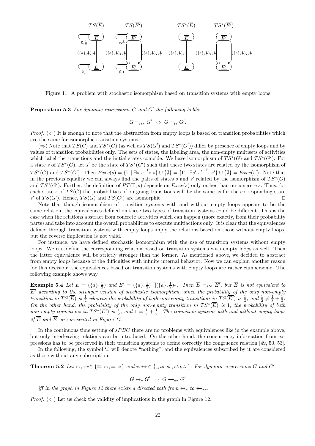

Figure 11: A problem with stochastic isomorphism based on transition systems with empty loops

**Proposition 5.3** For dynamic expressions  $G$  and  $G'$  the following holds:

$$
G =_{ts*} G' \Leftrightarrow G =_{ts} G'.
$$

Proof.  $(\Leftarrow)$  It is enough to note that the abstraction from empty loops is based on transition probabilities which are the same for isomorphic transition systems.

 $(\Rightarrow)$  Note that  $TS(G)$  and  $TS^*(G)$  (as well as  $TS(G')$  and  $TS^*(G')$ ) differ by presence of empty loops and by values of transition probabilities only. The sets of states, the labeling area, the non-empty multisets of activities which label the transitions and the initial states coincide. We have isomorphism of  $TS^*(G)$  and  $TS^*(G')$ . For a state s of  $TS^*(G)$ , let s' be the state of  $TS^*(G')$  such that these two states are related by the isomorphism of  $TS^*(G)$  and  $TS^*(G')$ . Then  $Exec(s) = {\Gamma \mid \exists \tilde{s} \ s \stackrel{\Gamma}{\twoheadrightarrow} \tilde{s}} \cup {\emptyset} = {\Gamma \mid \exists \tilde{s}' \ s' \stackrel{\Gamma}{\twoheadrightarrow} \tilde{s}'} \cup {\emptyset} = Exc(s')$ . Note that in the previous equality we can always find the pairs of states s and s' related by the isomorphism of  $TS^*(G)$ and  $TS^*(G')$ . Further, the definition of  $PT(\Gamma, s)$  depends on  $Exec(s)$  only rather than on concrete s. Thus, for each state s of  $TS(G)$  the probabilities of outgoing transitions will be the same as for the corresponding state s' of  $TS(G')$ . Hence,  $TS(G)$  and  $TS(G')$  are isomorphic.  $□$ 

Note that though isomorphism of transition systems with and without empty loops appears to be the same relation, the equivalences defined on these two types of transition systems could be different. This is the case when the relations abstract from concrete activities which can happen (more exactly, from their probability parts) and take into account the overall probabilities to execute multiactions only. It is clear that the equivalences defined through transition systems with empty loops imply the relations based on those without empty loops, but the reverse implication is not valid.

For instance, we have defined stochastic isomorphism with the use of transition systems without empty loops. We can define the corresponding relation based on transition systems with empty loops as well. Then the latter equivalence will be strictly stronger than the former. As mentioned above, we decided to abstract from empty loops because of the difficulties with infinite internal behavior. Now we can explain another reason for this decision: the equivalences based on transition systems with empty loops are rather cumbersome. The following example shows why.

**Example 5.4** Let  $E = (\{a\}, \frac{1}{2})$  and  $E' = (\{a\}, \frac{1}{2})_1[[(\{a\}, \frac{1}{2})_2]$ . Then  $\overline{E} =_{sto} \overline{E'}$ , but  $\overline{E}$  is not equivalent to  $\overline{E'}$  according to the stronger version of stochastic isomorphism, since the probability of the only non-empty transition in  $TS(\overline{E})$  is  $\frac{1}{2}$  whereas the probability of both non-empty transitions in  $TS(\overline{E'})$  is  $\frac{1}{3}$ , and  $\frac{1}{2} \neq \frac{1}{3} + \frac{1}{3}$ . On the other hand, the probability of the only non-empty transition in  $TS^*(\overline{E})$  is 1, the probability of both non-empty transitions in  $TS^*(\overline{E'})$  is  $\frac{1}{2}$ , and  $1=\frac{1}{2}+\frac{1}{2}$ . The transition systems with and without empty loops of  $\overline{E}$  and  $\overline{E}'$  are presented in Figure 11.

In the continuous time setting of  $sPBC$  there are no problems with equivalences like in the example above, but only interleaving relations can be introduced. On the other hand, the concurrency information from expressions has to be preserved in their transition systems to define correctly the congruence relation [49, 50, 53].

In the following, the symbol  $\mathcal{L}'$  will denote "nothing", and the equivalences subscribed by it are considered as those without any subscription.

Theorem 5.2 Let  $\leftrightarrow$ ,  $\leftrightarrow \in \{\equiv, \leftrightarrow, =, \simeq\}$  and  $\star$ ,  $\star \star \in \{\equiv, is, ss, sto, ts\}$ . For dynamic expressions G and G'

$$
G \leftrightarrow_{\star} G' \;\Rightarrow\; G \leftrightarrow_{\star \star} G'
$$

iff in the graph in Figure 12 there exists a directed path from  $\leftrightarrow_{\star}$  to  $\leftrightarrow_{\star\star}$ .

*Proof.*  $(\Leftarrow)$  Let us check the validity of implications in the graph in Figure 12.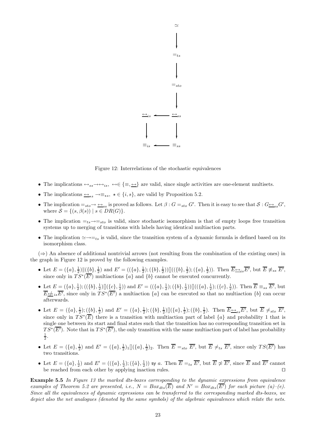

Figure 12: Interrelations of the stochastic equivalences

- The implications  $\leftrightarrow_{ss} \leftrightarrow \leftrightarrow_{is} \leftrightarrow \leftrightarrow \{\equiv, \leftrightarrow\}$  are valid, since single activities are one-element multisets.
- The implications  $\leftrightarrow$ <sub>\*s</sub>  $\rightarrow \equiv$ <sub>\*s</sub>,  $\star \in \{i, s\}$ , are valid by Proposition 5.2.
- The implication  $=_{sto} \rightarrow \underline{\leftrightarrow}_{ss}$  is proved as follows. Let  $\beta : G =_{sto} G'$ . Then it is easy to see that  $S : G \underline{\leftrightarrow}_{ss} G'$ , where  $S = \{(s, \beta(s)) \mid s \in DR(G)\}.$
- The implication  $=t_s\rightarrow=t_o$  is valid, since stochastic isomorphism is that of empty loops free transition systems up to merging of transitions with labels having identical multiaction parts.
- The implication  $\approx \rightarrow =_{ts}$  is valid, since the transition system of a dynamic formula is defined based on its isomorphism class.

 $(\Rightarrow)$  An absence of additional nontrivial arrows (not resulting from the combination of the existing ones) in the graph in Figure 12 is proved by the following examples.

- Let  $E = (\{a\}, \frac{1}{2}) \| (\{b\}, \frac{1}{2}) \text{ and } E' = ((\{a\}, \frac{1}{2}); (\{b\}, \frac{1}{2})) \| ((\{b\}, \frac{1}{2}); (\{a\}, \frac{1}{2}))$ . Then  $\overline{E} \to_{is} \overline{E'}$ , but  $\overline{E} \neq_{ss} \overline{E'}$ , since only in  $TS^*(\overline{E'})$  multiactions  $\{a\}$  and  $\{b\}$  cannot be executed concurrently.
- Let  $E = (\{a\}, \frac{1}{2}); ((\{b\}, \frac{1}{2})[[(\{c\}, \frac{1}{2}))$  and  $E' = ((\{a\}, \frac{1}{2}); (\{b\}, \frac{1}{2}))[[((\{a\}, \frac{1}{2}); (\{c\}, \frac{1}{2}))$ . Then  $\overline{E} \equiv_{ss} \overline{E'}$ , but  $\overline{E} \nleq i_s \overline{E'}$ , since only in  $TS^*(\overline{E'})$  a multiaction  $\{a\}$  can be executed so that no multiaction  $\{b\}$  can occur afterwards.
- Let  $E = (\{a\}, \frac{1}{2}); (\{b\}, \frac{1}{2})$  and  $E' = (\{a\}, \frac{1}{2}); (\{b\}, \frac{1}{2})[(\{a\}, \frac{1}{2}); (\{b\}, \frac{1}{2})$ . Then  $\overline{E} \to_{ss} \overline{E'}$ , but  $\overline{E} \neq_{sto} \overline{E'}$ , since only in  $TS^*(\overline{E})$  there is a transition with multiaction part of label  $\{a\}$  and probability 1 that is single one between its start and final states such that the transition has no corresponding transition set in  $TS^*(\overline{E'})$ . Note that in  $TS^*(\overline{E'})$ , the only transition with the same multiaction part of label has probability 1 2 .
- Let  $E = (\{a\}, \frac{1}{2})$  and  $E' = (\{a\}, \frac{1}{2})_1 [(\{a\}, \frac{1}{2})_2]$ . Then  $\overline{E} =_{sto} \overline{E'}$ , but  $\overline{E} \neq_{ts} \overline{E'}$ , since only  $TS(\overline{E'})$  has two transitions.
- Let  $E = (\{a\}, \frac{1}{2})$  and  $E' = ((\{a\}, \frac{1}{2}); (\{\hat{a}\}, \frac{1}{2}))$  sy a. Then  $\overline{E} =_{ts} \overline{E'}$ , but  $\overline{E} \not\cong \overline{E'}$ , since  $\overline{E}$  and  $\overline{E'}$  cannot be reached from each other by applying inaction rules. ⊓⊔

**Example 5.5** In Figure 13 the marked dts-boxes corresponding to the dynamic expressions from equivalence examples of Theorem 5.2 are presented, i.e.,  $N = Box_{dts}(\overline{E})$  and  $N' = Box_{dts}(\overline{E'})$  for each picture (a)–(e). Since all the equivalences of dynamic expressions can be transferred to the corresponding marked dts-boxes, we depict also the net analogues (denoted by the same symbols) of the algebraic equivalences which relate the nets.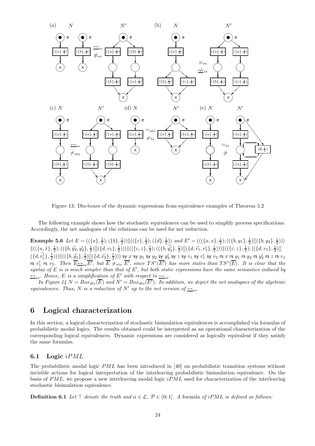

Figure 13: Dts-boxes of the dynamic expressions from equivalence examples of Theorem 5.2

The following example shows how the stochastic equivalences can be used to simplify process specifications. Accordingly, the net analogues of the relations can be used for net reduction.

**Example 5.6** Let  $E = ((\{a\}, \frac{1}{2}); (\{b\}, \frac{1}{2})) || ((\{c\}, \frac{1}{2}); (\{d\}, \frac{1}{2}))$  and  $E' = (((\{a, x\}, \frac{1}{2}); ((\{b, y_1\}, \frac{1}{2})) || (\{b, y_2\}, \frac{1}{2})))$  $\|((\{a, \hat{x}\}, \frac{1}{2}); ((\{b, \hat{y_2}, y_2'\}, \frac{1}{2})[](\{d, v_1\}, \frac{1}{2})))\|((\{c, z\}, \frac{1}{2}); ((\{b, \hat{y_2'\}, \frac{1}{2})[](\{d, \hat{v_1}, v_1'\}, \frac{1}{2})))\|((\{c, z\}, \frac{1}{2}); ((\{d, v_1\}, \frac{1}{2})[](\{d, v_2\}, \frac{1}{2})])\|$  $(\{d, v_1\}, \frac{1}{2}))\|((\{b, \hat{y_1}\}, \frac{1}{2})\|(\{d, \hat{v_2}\}, \frac{1}{2}))\)$  sy x sy y<sub>1</sub> sy y<sub>2</sub> sy y<sub>2</sub> sy z sy v<sub>1</sub> sy v<sub>2</sub> rs x rs y<sub>1</sub> rs y<sub>2</sub> rs x y<sub>2</sub> rs z rs v<sub>1</sub> is  $v'_1$  is  $v_2$ . Then  $\overline{E} \Leftrightarrow_{ss} \overline{E'}$ , but  $\overline{E} \neq_{sto} \overline{E'}$ , since  $TS^*(\overline{E'})$  has more states than  $TS^*(\overline{E})$ . It is clear that the syntax of  $E$  is is much simpler than that of  $E'$ , but both static expressions have the same semantics induced by  $\leftrightarrow$ <sub>ss</sub>. Hence, E is a simplification of E' with respect to  $\leftrightarrow$ <sub>ss</sub>.

In Figure 14  $N = Box_{dts}(\overline{E})$  and  $N' = Box_{dts}(\overline{E'})$ . In addition, we depict the net analogues of the algebraic equivalences. Thus, N is a reduction of N' up to the net version of  $\leftrightarrow_{ss}$ .

## 6 Logical characterization

In this section, a logical characterization of stochastic bisimulation equivalences is accomplished via formulas of probabilistic modal logics. The results obtained could be interpreted as an operational characterization of the corresponding logical equivalences. Dynamic expressions are considered as logically equivalent if they satisfy the same formulas.

#### 6.1 Logic iPML

The probabilistic modal logic  $PML$  has been introduced in [40] on probabilistic transition systems without invisible actions for logical interpretation of the interleaving probabilistic bisimulation equivalence. On the basis of  $PML$ , we propose a new interleaving modal logic  $iPML$  used for characterization of the interleaving stochastic bisimulation equivalence.

**Definition 6.1** Let ⊤ denote the truth and  $\alpha \in \mathcal{L}$ ,  $\mathcal{P} \in (0,1]$ . A formula of iPML is defined as follows: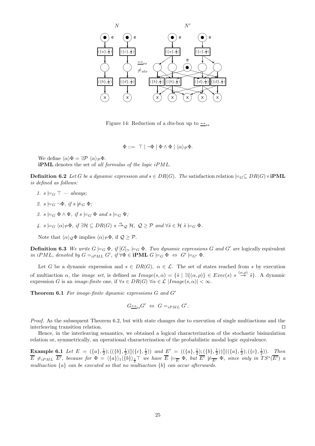

Figure 14: Reduction of a dts-box up to  $\leftrightarrow$ ss

 $\Phi ::= \top | \neg \Phi | \Phi \wedge \Phi | \langle \alpha \rangle_{\mathcal{P}} \Phi.$ 

We define  $\langle \alpha \rangle \Phi = \exists \mathcal{P} \langle \alpha \rangle_{\mathcal{P}} \Phi$ . iPML denotes the set of all formulas of the logic iPML.

**Definition 6.2** Let G be a dynamic expression and  $s \in DR(G)$ . The satisfaction relation  $\models_G \subseteq DR(G) \times \textbf{iPML}$ is defined as follows:

- 1.  $s \models_G \top always;$
- 2.  $s \models_G \neg \Phi$ , if  $s \not\models_G \Phi$ ;
- 3.  $s \models_G \Phi \land \Psi$ , if  $s \models_G \Phi$  and  $s \models_G \Psi$ ;
- $4. s \models_G \langle \alpha \rangle_{\mathcal{P}} \Phi, \text{ if } \exists \mathcal{H} \subseteq DR(G) \text{ s } \stackrel{\alpha}{\longrightarrow}_{\mathcal{Q}} \mathcal{H}, \text{ } \mathcal{Q} \geq \mathcal{P} \text{ and } \forall \tilde{s} \in \mathcal{H} \text{ } \tilde{s} \models_G \Phi.$

Note that  $\langle \alpha \rangle_{\mathcal{Q}} \Phi$  implies  $\langle \alpha \rangle_{\mathcal{P}} \Phi$ , if  $\mathcal{Q} > \mathcal{P}$ .

**Definition 6.3** We write  $G \models_G \Phi$ , if  $[G]_{\simeq} \models_G \Phi$ . Two dynamic expressions G and G' are logically equivalent in iPML, denoted by  $G =_{iPML} G'$ , if  $\forall \Phi \in \textbf{IPML } G \models_G \Phi \Leftrightarrow G' \models_{G'} \Phi$ .

Let G be a dynamic expression and  $s \in DR(G)$ ,  $\alpha \in \mathcal{L}$ . The set of states reached from s by execution of multiaction  $\alpha$ , the *image set*, is defined as  $Image(s, \alpha) = \{\tilde{s} \mid \exists \{(\alpha, \rho)\}\in Excel(s) \text{ s } \stackrel{(\alpha, \rho)}{\longrightarrow} \tilde{s}\}.$  A dynamic expression G is an *image-finite* one, if  $\forall s \in DR(G)$   $\forall \alpha \in \mathcal{L}$   $|Image(s, \alpha)| < \infty$ .

Theorem 6.1 For image-finite dynamic expressions G and G'

$$
G_{\longrightarrow i s} G' \Leftrightarrow G =_{i P M L} G'.
$$

Proof. As the subsequent Theorem 6.2, but with state changes due to execution of single multiactions and the interleaving transition relation. ⊓⊔

Hence, in the interleaving semantics, we obtained a logical characterization of the stochastic bisimulation relation or, symmetrically, an operational characterization of the probabilistic modal logic equivalence.

Example 6.1 Let  $E = (\{a\}, \frac{1}{2}); ((\{b\}, \frac{1}{2})\mathbb{I}(\{c\}, \frac{1}{2}))$  and  $\underline{F}' = ((\{a\}, \frac{1}{2}); (\{b\}, \frac{1}{2}))\mathbb{I}((\{a\}, \frac{1}{2}); (\{c\}, \frac{1}{2}))$ . Then  $\overline{E}$   $\neq_{iPML}$   $\overline{E'}$ , because for  $\Phi = \langle \{a\} \rangle_1 \langle \{b\} \rangle_{\frac{1}{2}}\top$  we have  $\overline{E}$   $\models_{\overline{E}} \Phi$ , but  $\overline{E'}$   $\models_{\overline{E'}} \Phi$ , since only in  $TS^*(\overline{E'})$  a multiaction  $\{a\}$  can be executed so that no multiaction  $\{b\}$  can occur afterwards.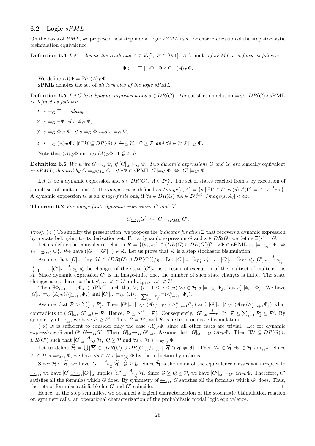#### 6.2 Logic  $sPML$

On the basis of  $PML$ , we propose a new step modal logic  $sPML$  used for characterization of the step stochastic bisimulation equivalence.

**Definition 6.4** Let  $\top$  denote the truth and  $A \in \mathbb{N}_f^{\mathcal{L}}$ ,  $\mathcal{P} \in (0,1]$ . A formula of sPML is defined as follows:

 $\Phi ::= \top | \neg \Phi | \Phi \wedge \Phi | \langle A \rangle_{\mathcal{D}} \Phi.$ 

We define  $\langle A \rangle \Phi = \exists \mathcal{P} \langle A \rangle_{\mathcal{P}} \Phi$ . sPML denotes the set of all formulas of the logic sPML.

**Definition 6.5** Let G be a dynamic expression and  $s \in DR(G)$ . The satisfaction relation  $\models_G \subseteq DR(G) \times sPML$ is defined as follows:

- 1.  $s \models_G \top always;$
- 2.  $s \models_G \neg \Phi$ , if  $s \not\models_G \Phi$ ;
- 3.  $s \models_G \Phi \land \Psi$ , if  $s \models_G \Phi$  and  $s \models_G \Psi$ ;
- $4. \ \ s\models_G \langle A \rangle_{\mathcal{P}}\Phi, \ if\ \exists \mathcal{H}\subseteq DR(G) \ \ s\stackrel{A}{\twoheadrightarrow}_{\mathcal{Q}}\mathcal{H}, \ \mathcal{Q}\geq \mathcal{P} \ and \ \forall \tilde{s}\in \mathcal{H} \ \tilde{s}\models_G \Phi.$

Note that  $\langle A \rangle_{\mathcal{Q}} \Phi$  implies  $\langle A \rangle_{\mathcal{P}} \Phi$ , if  $\mathcal{Q} > \mathcal{P}$ .

**Definition 6.6** We write  $G \models_G \Phi$ , if  $[G]_{\simeq} \models_G \Phi$ . Two dynamic expressions G and G' are logically equivalent in sPML, denoted by  $G =_{sPML} G'$ , if  $\forall \Phi \in \mathbf{sPML}$   $G \models_G \Phi \Leftrightarrow G' \models_{G'} \Phi$ .

Let G be a dynamic expression and  $s \in DR(G)$ ,  $A \in \mathbb{N}_{f}^{\mathcal{L}}$ . The set of states reached from s by execution of a multiset of multiactions A, the *image set*, is defined as  $Image(s, A) = \{\tilde{s} \mid \exists \Gamma \in E \text{vec}(s) \mathcal{L}(\Gamma) = A, s \stackrel{\Gamma}{\rightarrow} \tilde{s}\}.$ A dynamic expression G is an *image-finite* one, if  $\forall s \in DR(G)$   $\forall A \in \mathbb{N}_f^{Act}$   $|Image(s, A)| < \infty$ .

**Theorem 6.2** For image-finite dynamic expressions  $G$  and  $G'$ 

$$
G_{\longrightarrow_{ss}}G' \Leftrightarrow G=_{sPML}G'.
$$

*Proof.*  $(\Leftarrow)$  To simplify the presentation, we propose the *indicator function*  $\Xi$  that recovers a dynamic expression by a state belonging to its derivation set. For a dynamic expression G and  $s \in DR(G)$  we define  $\Xi(s) = G$ .

Let us define the equivalence relation  $\mathcal{R} = \{(s_1, s_2) \in (DR(G) \cup DR(G'))^2 \mid \forall \Phi \in \mathbf{sPML} \ s_1 \models_{\Xi(s_1)} \Phi \Leftrightarrow$  $s_2 \models_{\Xi(s_2)} \Phi$ . We have  $([G]_{\simeq}, [G']_{\simeq}) \in \mathcal{R}$ . Let us prove that  $\mathcal R$  is a step stochastic bisimulation.

Assume that  $[G]_{\simeq} \stackrel{A}{\to}_{\mathcal{P}} \mathcal{H} \in (DR(G) \cup DR(G'))/\mathcal{R}$ . Let  $[G']_{\simeq} \stackrel{A}{\to}_{\mathcal{P}'_1} s'_1, \ldots, [G']_{\simeq} \stackrel{A}{\to}_{\mathcal{P}'_i} s'_i, [G']_{\simeq} \stackrel{A}{\to}_{\mathcal{P}'_{i+1}}$ 

 $s'_{i+1},\ldots,[G']_{\simeq} \stackrel{A}{\twoheadrightarrow}_{\mathcal{P}'_n} s'_n$  be changes of the state  $[G']_{\simeq}$  as a result of execution of the multiset of multiactions A. Since dynamic expression G′ is an image-finite one, the number of such state changes is finite. The state changes are ordered so that  $s'_1, \ldots s'_i \in \mathcal{H}$  and  $s'_{i+1}, \ldots s'_n \notin \mathcal{H}$ .

Then  $\exists \Phi_{i+1}, \ldots, \Phi_n \in \mathbf{sPML}$  such that  $\forall j \ (i+1 \leq j \leq n) \ \forall s \in \mathcal{H} \ s \models_{\Xi(s)} \Phi_j$ , but  $s'_j \not\models_{G'} \Phi_j$ . We have  $[G]_{\simeq} \models_G \langle A \rangle_{\mathcal{P}} (\wedge_{j=i+1}^n \Phi_j)$  and  $[G']_{\simeq} \models_{G'} \langle A \rangle_{(1-\sum_{j=1}^i \mathcal{P}'_j)} \neg (\wedge_{j=i+1}^n \Phi_j)$ .

Assume that  $\mathcal{P} > \sum_{j=1}^{i} \mathcal{P}'_j$ . Then  $[G']_{\simeq} \models_{G'} \langle A \rangle_{(1-\mathcal{P})} \neg (\wedge_{j=i+1}^{n} \Phi_j)$  and  $[G']_{\simeq} \not\models_{G'} \langle A \rangle_{\mathcal{P}} (\wedge_{j=i+1}^{n} \Phi_j)$  what contradicts to  $([G]_{\simeq}, [G']_{\simeq}) \in \mathcal{R}$ . Hence,  $\mathcal{P} \leq \sum_{j=1}^{i} \mathcal{P}'_j$ . Consequently,  $[G']_{\simeq} \stackrel{A}{\rightarrow}_{\mathcal{P}'} \mathcal{H}, \ \mathcal{P} \leq \sum_{j=1}^{i} \mathcal{P}'_j \leq \mathcal{P}'$ . By symmetry of  $\rightarrow$ <sub>ss</sub>, we have  $P \ge P'$ . Thus,  $P = \tilde{P}'$ , and R is a step stochastic bisimulation.

( $\Rightarrow$ ) It is sufficient to consider only the case  $\langle A \rangle_{\mathcal{P}} \Phi$ , since all other cases are trivial. Let for dynamic expressions G and G'  $G \rightarrowtail_{ss} G'$ . Then  $[G]_{\simeq} \rightarrowtail_{ss}[G']_{\simeq}$ . Assume that  $[G]_{\simeq} \models_G \langle A \rangle_{\mathcal{P}} \Phi$ . Then  $\exists \mathcal{H} \subseteq DR(G) \cup \{G\}$  $DR(G')$  such that  $[G]_{\simeq} \stackrel{A}{\rightarrow}_{\mathcal{Q}} \mathcal{H}, \ \mathcal{Q} \geq \mathcal{P}$  and  $\forall s \in \mathcal{H}$   $s \models_{\Xi(s)} \Phi$ .

Let us define  $\widetilde{\mathcal{H}} = \bigcup \{ \overline{\mathcal{H}} \in (DR(G) \cup DR(G'))/_{\leq_{ss}} \mid \overline{\mathcal{H}} \cap \mathcal{H} \neq \emptyset \}$ . Then  $\forall \widetilde{s} \in \widetilde{\mathcal{H}} \exists s \in \mathcal{H} \ s_{\leq_{ss}}\widetilde{s}$ . Since  $\forall s \in \mathcal{H} \ s \models_{\Xi(s)} \Phi$ , we have  $\forall \tilde{s} \in \widetilde{\mathcal{H}} \ \tilde{s} \models_{\Xi(\tilde{s})} \Phi$  by the induction hypothesis.

Since  $\mathcal{H} \subseteq \widetilde{\mathcal{H}}$ , we have  $[G]_{\simeq} \stackrel{A}{\longrightarrow} \widetilde{\mathcal{Q}} \widetilde{\mathcal{H}}, \ \widetilde{\mathcal{Q}} \geq \mathcal{Q}$ . Since  $\widetilde{\mathcal{H}}$  is the union of the equivalence classes with respect to  $\frac{L\leftrightarrow}{2s}$ , we have  $[G]_{\simeq} \frac{L\leftrightarrow}{2s} [G']_{\simeq}$  implies  $[G']_{\simeq} \stackrel{A}{\to} {}_{\widetilde{Q}} \widetilde{\mathcal{H}}$ . Since  $\widetilde{Q} \geq Q \geq \mathcal{P}$ , we have  $[G']_{\simeq} \models_{G'} \langle A \rangle_{\mathcal{P}} \Phi$ . Therefore,  $G'$  estisfies all the formulas which  $G$ satisfies all the formulas which G does. By symmetry of  $\leftrightarrow_{ss}$ , G satisfies all the formulas which G' does. Thus, the sets of formulas satisfiable for G and G' coincide.  $□$ 

Hence, in the step semantics, we obtained a logical characterization of the stochastic bisimulation relation or, symmetrically, an operational characterization of the probabilistic modal logic equivalence.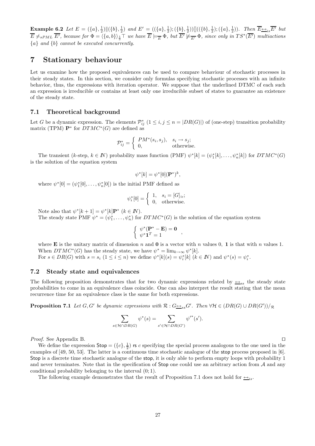**Example 6.2** Let  $E = (\{a\}, \frac{1}{2}) \| (\{b\}, \frac{1}{2}) \text{ and } E' = ((\{a\}, \frac{1}{2}); (\{b\}, \frac{1}{2})) \| ((\{b\}, \frac{1}{2}); (\{a\}, \frac{1}{2}))$ . Then  $\overline{E} \rightarrow i s \overline{E'}$  but  $\overline{E} \neq_{sPML} \overline{E'}$ , because for  $\Phi = \langle \{a,b\} \rangle_{\frac{1}{3}} \top$  we have  $\overline{E} \models_{\overline{E}} \Phi$ , but  $\overline{E'} \not\models_{\overline{E'}} \Phi$ , since only in  $TS^*(\overline{E'})$  multiactions  ${a}$  and  ${b}$  cannot be executed concurrently.

## 7 Stationary behaviour

Let us examine how the proposed equivalences can be used to compare behaviour of stochastic processes in their steady states. In this section, we consider only formulas specifying stochastic processes with an infinite behavior, thus, the expressions with iteration operator. We suppose that the underlined DTMC of each such an expression is irreducible or contains at least only one irreducible subset of states to guarantee an existence of the steady state.

#### 7.1 Theoretical background

Let G be a dynamic expression. The elements  $\mathcal{P}_{ij}^*$   $(1 \le i, j \le n = |DR(G)|)$  of (one-step) transition probability matrix (TPM)  $\mathbf{P}^*$  for  $DTMC^*(G)$  are defined as

$$
\mathcal{P}_{ij}^* = \begin{cases} PM^*(s_i, s_j), & s_i \to s_j; \\ 0, & \text{otherwise.} \end{cases}
$$

The transient  $(k\text{-step}, k \in \mathbb{N})$  probability mass function  $(PMF) \psi^*[k] = (\psi_1^*[k], \dots, \psi_n^*[k])$  for  $DTMC^*(G)$ is the solution of the equation system

$$
\psi^*[k] = \psi^*[0](\mathbf{P}^*)^k,
$$

where  $\psi^*[0] = (\psi_1^*[0], \ldots, \psi_n^*[0])$  is the initial PMF defined as

$$
\psi_i^*[0] = \begin{cases} 1, & s_i = [G]_{\simeq}; \\ 0, & \text{otherwise.} \end{cases}
$$

Note also that  $\psi^*[k+1] = \psi^*[k] \mathbf{P}^*$   $(k \in \mathbb{N})$ .

The steady state PMF  $\psi^* = (\psi_1^*, \ldots, \psi_n^*)$  for  $DTMC^*(G)$  is the solution of the equation system

$$
\begin{cases} \psi^*(\mathbf{P}^* - \mathbf{E}) = \mathbf{0} \\ \psi^* \mathbf{1}^T = 1 \end{cases}
$$

where **E** is the unitary matrix of dimension n and **0** is a vector with n values 0, 1 is that with n values 1. When  $DTMC^*(G)$  has the steady state, we have  $\psi^* = \lim_{k \to \infty} \psi^*[k]$ .

For  $s \in DR(G)$  with  $s = s_i$   $(1 \leq i \leq n)$  we define  $\psi^*[k](s) = \psi_i^*[k]$   $(k \in \mathbb{N})$  and  $\psi^*(s) = \psi_i^*$ .

#### 7.2 Steady state and equivalences

The following proposition demonstrates that for two dynamic expressions related by  $\leftrightarrow$ <sub>ss</sub> the steady state probabilities to come in an equivalence class coincide. One can also interpret the result stating that the mean recurrence time for an equivalence class is the same for both expressions.

**Proposition 7.1** Let  $G, G'$  be dynamic expressions with  $\mathcal{R}: G \rightarrowtail_{ss} G'$ . Then  $\forall \mathcal{H} \in (DR(G) \cup DR(G'))/\mathcal{R}$ 

$$
\sum_{s \in \mathcal{H} \cap DR(G)} \psi^*(s) = \sum_{s' \in \mathcal{H} \cap DR(G')} {\psi'}^*(s').
$$

*Proof.* See Appendix B. □

We define the expression  $\text{Stop} = (\{c\}, \frac{1}{2})$  is c specifying the special process analogous to the one used in the examples of [49, 50, 53]. The latter is a continuous time stochastic analogue of the stop process proposed in [6]. Stop is a discrete time stochastic analogue of the stop, it is only able to perform empty loops with probability 1 and never terminates. Note that in the specification of  $\mathsf{Stop}$  one could use an arbitrary action from  $\mathcal A$  and any conditional probability belonging to the interval (0; 1).

The following example demonstrates that the result of Proposition 7.1 does not hold for  $\leftrightarrow$ <sub>is</sub>.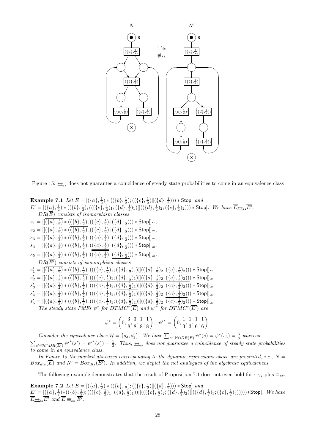

Figure 15:  $\leftrightarrow$ <sub>is</sub> does not guarantee a coincidence of steady state probabilities to come in an equivalence class

**Example 7.1** Let 
$$
E = [(\{a\}, \frac{1}{2}) * ((\{b\}, \frac{1}{2}); ((\{c\}, \frac{1}{2})||((\{d\}, \frac{1}{2})))) * Stop] and\n $E' = [(\{a\}, \frac{1}{2}) * ((\{b\}, \frac{1}{2}); (((\{c\}, \frac{1}{2})_{1})||((\{d\}, \frac{1}{2})_{2}; (\{c\}, \frac{1}{2})_{2}))) * Stop]. We have  $\overline{E} \rightarrow i$ ,  $DR(\overline{E})$  consists of isomorphism classes  
\n $s_1 = [[(\{a\}, \frac{1}{2}) * ((\{b\}, \frac{1}{2}); ((\{c\}, \frac{1}{2})||(\{d\}, \frac{1}{2}))) * Stop]] \simeq$ ,  
\n $s_2 = [[(\{a\}, \frac{1}{2}) * ((\{b\}, \frac{1}{2}); ((\{c\}, \frac{1}{2})||(\{d\}, \frac{1}{2}))) * Stop]] \simeq$ ,  
\n $s_3 = [[(\{a\}, \frac{1}{2}) * ((\{b\}, \frac{1}{2}); ((\{c\}, \frac{1}{2})||(\{d\}, \frac{1}{2}))) * Stop]] \simeq$ ,  
\n $s_4 = [[(\{a\}, \frac{1}{2}) * ((\{b\}, \frac{1}{2}); ((\{c\}, \frac{1}{2})||(\{d\}, \frac{1}{2}))) * Stop]] \simeq$ ,  
\n $BR(\overline{E'})$  consists of isomorphism classes  
\n $s'_1 = [[(\{a\}, \frac{1}{2}) * ((\{b\}, \frac{1}{2}); (((\{c\}, \frac{1}{2})_{1}); (\{d\}, \frac{1}{2})) ) * Stop]] \simeq$ ,  
\n $DR(\overline{E'})$  consists of isomorphism classes  
\n $s'_1 = [[(\{a\}, \frac{1}{2}) * ((\{b\}, \frac{1}{2}); (((\{c\}, \frac{1}{2})_{1}; (\{d\}, \frac{1}{2})_{1})]]((\{d\}, \frac{1}{2})_{2}; (\{c\}, \frac{1}{2})_{2}))) * Stop]] \simeq$ ,  
\n $s'_2 = [[(\{a\}, \frac{1}{2}) * ((\{b\}, \frac{1}{2}); (((\{$$
$$

$$
\psi^* = \left(0, \frac{3}{8}, \frac{3}{8}, \frac{1}{8}, \frac{1}{8}\right), \ \psi'^* = \left(0, \frac{1}{3}, \frac{1}{3}, \frac{1}{6}, \frac{1}{6}\right).
$$

Consider the equivalence class  $\mathcal{H} = \{s_3, s'_3\}$ . We have  $\sum_{s \in \mathcal{H} \cap DR(\overline{E})} \psi^*(s) = \psi^*(s_3) = \frac{3}{8}$  whereas  $\sum_{s' \in \mathcal{H} \cap DR(\overline{E'})} \psi'^*(s') = \psi'^*(s_3') = \frac{1}{3}$ . Thus,  $\frac{\longleftrightarrow_{is}}{\longleftrightarrow_{is}}$  does not guarantee a coincidence of steady state probabilities to come in an equivalence class.

In Figure 15 the marked dts-boxes corresponding to the dynamic expressions above are presented, i.e.,  $N =$  $Box_{dts}(\overline{E})$  and  $N' = Box_{dts}(\overline{E'})$ . In addition, we depict the net analogues of the algebraic equivalences.

The following example demonstrates that the result of Proposition 7.1 does not even hold for  $\leftrightarrow$ <sub>is</sub> plus  $\equiv$ <sub>ss</sub>.

**Example 7.2** Let  $E = [(\{a\}, \frac{1}{2}) * ((\{b\}, \frac{1}{2}) ; ((\{c\}, \frac{1}{2}) || (\{d\}, \frac{1}{2}) ) ) *$  Stop] and  $\underline{E}' = [(\{a\}, \frac{1}{2}) * ((\{b\}, \frac{1}{2}) ; (((\{c\}, \frac{1}{2}) _1 \|(\{d\}, \frac{1}{2}) _1)) ] (((\{c\}, \frac{1}{2}) _2 ; (\{d\}, \frac{1}{2}) _2) ] ((\{d\}, \frac{1}{2}) _3 ; (\{c\}, \frac{1}{2}) _3)) ))$  \* Stop]. We have  $\overline{E} \underline{\leftrightarrow}_{is} \overline{E'}$  and  $\overline{E} \equiv_{ss} \overline{E'}$ .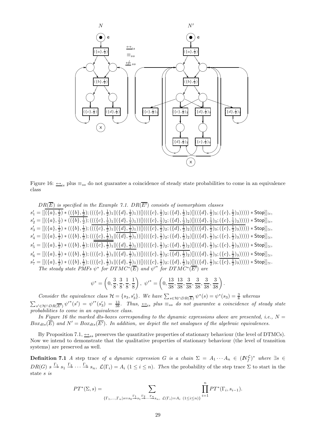

Figure 16:  $\frac{1}{10}$  plus  $\equiv_{ss}$  do not guarantee a coincidence of steady state probabilities to come in an equivalence class

 $DR(\overline{E})$  is specified in the Example 7.1.  $DR(\overline{E'})$  consists of isomorphism classes  $s'_1 = [[(\{a\},\frac{1}{2}) * ((\{b\},\frac{1}{2});(((\{c\},\frac{1}{2})_1 \|(\{d\},\frac{1}{2})_1)) ] (((\{c\},\frac{1}{2})_2;(\{d\},\frac{1}{2})_2) ] ((\{d\},\frac{1}{2})_3;(\{c\},\frac{1}{2})_3))])) * \mathsf{Stop}]_{\simeq},$  $s'_2 = [[(\{a\},\frac{1}{2}) * ((\{b\},\frac{1}{2});(((\{c\},\frac{1}{2})_1 \|(\{d\},\frac{1}{2})_1)) ] (((\{c\},\frac{1}{2})_2;(\{d\},\frac{1}{2})_2) ] ((\{d\},\frac{1}{2})_3;(\{c\},\frac{1}{2})_3))])) * \mathsf{Stop}]_{\simeq},$  $s_3' = [[(\{a\},\frac{1}{2}) * ((\{b\},\frac{1}{2});(((\{c\},\frac{1}{2})_1 \|(\{d\},\frac{1}{2})_1))]](((\{c\},\frac{1}{2})_2;(\{d\},\frac{1}{2})_2)]]((\{d\},\frac{1}{2})_3;(\{c\},\frac{1}{2})_3)))))*\text{Stop}]]_{\simeq},$  $s_4' = [[(\{a\},\frac{1}{2}) * ((\{b\},\frac{1}{2});(((\{\{c\},\frac{1}{2})_1 \|(\{d\},\frac{1}{2})_1)) ] (((\{c\},\frac{1}{2})_2;(\{d\},\frac{1}{2})_2) ] ((\{d\},\frac{1}{2})_3;(\{c\},\frac{1}{2})_3))])) * \mathsf{Stop}]_{\simeq},$  $s_5' = [[(\{a\}, \frac{1}{2}) * ((\{b\}, \frac{1}{2}) ; (((\{c\}, \frac{1}{2}) _1 \|(\{d\}, \frac{1}{2}) _1)) ] (((\{c\}, \frac{1}{2}) _2 ; (\{d\}, \frac{1}{2}) _2) ] ((\{d\}, \frac{1}{2}) _3 ; (\{c\}, \frac{1}{2}) _3))]))*$  Stop]] $\_ ,$  $s'_6 = [[(\{a\},\frac{1}{2}) * ((\{b\},\frac{1}{2});(((\{c\},\frac{1}{2})_1 \|(\{d\},\frac{1}{2})_1)) ] (((\{c\},\frac{1}{2})_2;(\{d\},\frac{1}{2})_2) ] ((\{d\},\frac{1}{2})_3;(\{c\},\frac{1}{2})_3)))]) * \mathsf{Stop}]_{\simeq},$  $s_7' = [[(\{a\},\frac{1}{2}) * ((\{b\},\frac{1}{2});(((\{c\},\frac{1}{2})_1 \|(\{d\},\frac{1}{2})_1)) ] (((\{c\},\frac{1}{2})_2;(\{d\},\frac{1}{2})_2) ] [((\{d\},\frac{1}{2})_3;(\{c\},\frac{1}{2})_3))]))*$  Stop]] $\simeq$ . The steady state PMFs  $\psi^*$  for  $DTMC^*(\overline{E})$  and  $\psi'^*$  for  $DTMC^*(\overline{E'})$  are

$$
\psi^* = \left(0, \frac{3}{8}, \frac{3}{8}, \frac{1}{8}, \frac{1}{8}\right), \ \psi'^* = \left(0, \frac{13}{38}, \frac{13}{38}, \frac{3}{38}, \frac{3}{38}, \frac{3}{38}, \frac{3}{38}\right).
$$

Consider the equivalence class  $\mathcal{H} = \{s_3, s'_3\}$ . We have  $\sum_{s \in \mathcal{H} \cap DR(\overline{E})} \psi^*(s) = \psi^*(s_3) = \frac{3}{8}$  whereas  $\sum_{s' \in \mathcal{H} \cap DR(\overline{E'})} \psi'^*(s') = \psi'^*(s_3') = \frac{13}{38}$ . Thus,  $\frac{\leftrightarrow}{\leftrightarrow}$  plus  $\equiv_{ss}$  do not guarantee a coincidence of steady state probabilities to come in an equivalence class.

In Figure 16 the marked dts-boxes corresponding to the dynamic expressions above are presented, i.e.,  $N =$  $Box_{dts}(\overline{E})$  and  $N' = Box_{dts}(\overline{E'})$ . In addition, we depict the net analogues of the algebraic equivalences.

By Proposition 7.1,  $\leftrightarrow$ <sub>ss</sub> preserves the quantitative properties of stationary behaviour (the level of DTMCs). Now we intend to demonstrate that the qualitative properties of stationary behaviour (the level of transition systems) are preserved as well.

**Definition 7.1** A step trace of a dynamic expression G is a chain  $\Sigma = A_1 \cdots A_n \in (N_f^{\mathcal{L}})^*$  where  $\exists s \in$  $DR(G)$   $s \stackrel{\Gamma_1}{\rightarrow} s_1 \stackrel{\Gamma_2}{\rightarrow} \cdots \stackrel{\Gamma_n}{\rightarrow} s_n$ ,  $\mathcal{L}(\Gamma_i) = A_i$   $(1 \leq i \leq n)$ . Then the probability of the step trace  $\Sigma$  to start in the state s is

$$
PT^*(\Sigma, s) = \sum_{\{\Gamma_1, \dots, \Gamma_n | s = s_0 \stackrel{\Gamma_1}{\rightarrow} s_1 \stackrel{\Gamma_2}{\rightarrow} \dots \stackrel{\Gamma_n}{\rightarrow} s_n, \ \mathcal{L}(\Gamma_i) = A_i} \prod_{(1 \leq i \leq n)}^{n} PT^*(\Gamma_i, s_{i-1}).
$$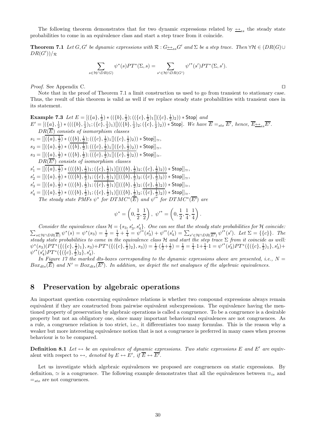The following theorem demonstrates that for two dynamic expressions related by  $\leftrightarrow$ <sub>ss</sub> the steady state probabilities to come in an equivalence class and start a step trace from it coincide.

**Theorem 7.1** Let  $G, G'$  be dynamic expressions with  $\mathcal{R}: G \rightarrowtail_{ss} G'$  and  $\Sigma$  be a step trace. Then  $\forall \mathcal{H} \in (DR(G) \cup$  $DR(G'))/R$ 

$$
\sum_{s \in \mathcal{H} \cap DR(G)} \psi^*(s) PT^*(\Sigma, s) = \sum_{s' \in \mathcal{H} \cap DR(G')} {\psi'}^*(s') PT^*(\Sigma, s').
$$

Proof. See Appendix C. □

Note that in the proof of Theorem 7.1 a limit construction us used to go from transient to stationary case. Thus, the result of this theorem is valid as well if we replace steady state probabilities with transient ones in its statement.

Example 7.3 Let  $E = [(\{a\}, \frac{1}{2}) * ((\{b\}, \frac{1}{2}) ; ((\{c\}, \frac{1}{2}) _{1} ] ] (\{c\}, \frac{1}{2}) _{2} )) * Stop]$  and  $E' = [(\{a\}, \frac{1}{2}) * (((\{b\}, \frac{1}{2})_1; (\{c\}, \frac{1}{2})_1)]]((\{b\}, \frac{1}{2})_2; (\{c\}, \frac{1}{2})_2)) * \text{Stop}].$  We have  $\overline{E} =_{sto} \overline{E'},$  hence,  $\overline{E} \rightarrow_{ss} \overline{E'}.$  $DR(\overline{E})$  consists of isomorphism classes  $s_1 = [[(\{a\},\frac{1}{2}) * ((\{b\},\frac{1}{2});((\{c\},\frac{1}{2})_1 [](\{c\},\frac{1}{2})_2)) * \mathsf{Stop}]]_{\simeq},$  $s_2 = [[(\{a\},\frac{1}{2}) * ((\{b\},\frac{1}{2});((\{c\},\frac{1}{2})_1 [](\{c\},\frac{1}{2})_2)) * \mathsf{Stop}]]_{\simeq},$  $s_3 = [[(\{\underline{a}\},\frac{1}{2}) * ((\{b\},\frac{1}{2});((\{c\},\frac{1}{2})_1 [](\{c\},\frac{1}{2})_2)) * \textsf{Stop}]]_{\simeq}.$  $DR(\overline{E'})$  consists of isomorphism classes  $s'_1 = [[(\{a\},\frac{1}{2}) * (((\{b\},\frac{1}{2})_1;(\{c\},\frac{1}{2})_1)][((\{b\},\frac{1}{2})_2;(\{c\},\frac{1}{2})_2)) * Stop]]_{\simeq},$  $s'_2 = [[(\{a\},\frac{1}{2})*(((\{b\},\frac{1}{2})_1;(\{c\},\frac{1}{2})_1)][((\{b\},\frac{1}{2})_2;(\{c\},\frac{1}{2})_2))*\mathsf{Stop}]]_\simeq,$  $s'_3 = [[(\{a\},\frac{1}{2}) * (((\{b\},\frac{1}{2})_1;(\{c\},\frac{1}{2})_1)][((\{b\},\frac{1}{2})_2;(\{c\},\frac{1}{2})_2)) * Stop]]_{\simeq},$  $s'_4 = [[(\{a\},\frac{1}{2}) * (((\{b\},\frac{1}{2})_1;(\{c\},\frac{1}{2})_1)][((\{b\},\frac{1}{2})_2;(\{c\},\frac{1}{2})_2)) * Stop]]_{\simeq}.$ The steady state PMFs  $\psi^*$  for  $DTMC^*(\overline{E})$  and  ${\psi'}^*$  for  $DTMC^*(\overline{E'})$  are

$$
\psi^* = \left(0,\frac{1}{2},\frac{1}{2}\right), \ \psi'^* = \left(0,\frac{1}{2},\frac{1}{4},\frac{1}{4}\right).
$$

Consider the equivalence class  $\mathcal{H} = \{s_3, s'_3, s'_4\}$ <br> $\sum$   $\epsilon^{ij}$   $\epsilon^{ij}$   $\sum_{s'} s^{ij}$   $\epsilon^{ij}$   $\epsilon^{ij}$   $\epsilon^{ij}$   $\epsilon^{ij}$   $\epsilon^{ij}$   $\epsilon^{ij}$  $\}$ . One can see that the steady state probabilities for  $\cal H$  coincide:  $s \in \mathcal{H} \cap DR(\overline{E}) \; \psi^*(s) = \psi^*(s_3) = \frac{1}{2} = \frac{1}{4} + \frac{1}{4} = \psi'^*(s_3') + \psi'^*(s_4') = \sum_{s' \in \mathcal{H} \cap DR(\overline{E'})} \psi^{r*}(s')$ . Let  $\Sigma = \{\{c\}\}\$ . The steady state probabilities to come in the equivalence class H and start the step trace  $\Sigma$  from it coincide as well:  $\psi^*(s_3)(PT^* (\{( \{c\} , \frac{1}{2})_1 \}, s_3) + PT^* (\{( \{c\} , \frac{1}{2})_2 \}, s_3)) = \frac{1}{2} \cdot (\frac{1}{2} + \frac{1}{2}) = \frac{1}{2} = \frac{1}{4} \cdot 1 + \frac{1}{4} \cdot 1 = \psi'^*(s_3') PT^* (\{( \{c\} , \frac{1}{2})_1 \}, s_3') +$  $\psi'^{*}(s'_4)PT^{*}(\{(\{c\},\frac{f}{2})_2\},s'_4).$ 

In Figure 17 the marked dts-boxes corresponding to the dynamic expressions above are presented, i.e.,  $N =$  $Box_{dts}(\overline{E})$  and  $N' = Box_{dts}(\overline{E'})$ . In addition, we depict the net analogues of the algebraic equivalences.

## 8 Preservation by algebraic operations

An important question concerning equivalence relations is whether two compound expressions always remain equivalent if they are constructed from pairwise equivalent subexpressions. The equivalence having the mentioned property of preservation by algebraic operations is called a congruence. To be a congruence is a desirable property but not an obligatory one, since many important behavioural equivalences are not congruences. As a rule, a congruence relation is too strict, i.e., it differentiates too many formulas. This is the reason why a weaker but more interesting equivalence notion that is not a congruence is preferred in many cases when process behaviour is to be compared.

**Definition 8.1** Let  $\leftrightarrow$  be an equivalence of dynamic expressions. Two static expressions E and E' are equivalent with respect to  $\leftrightarrow$ , denoted by  $E \leftrightarrow E'$ , if  $\overline{E} \leftrightarrow \overline{E'}$ .

Let us investigate which algebraic equivalences we proposed are congruences on static expressions. By definition,  $\simeq$  is a congruence. The following example demonstrates that all the equivalences between  $\equiv_{is}$  and  $=$ <sub>sto</sub> are not congruences.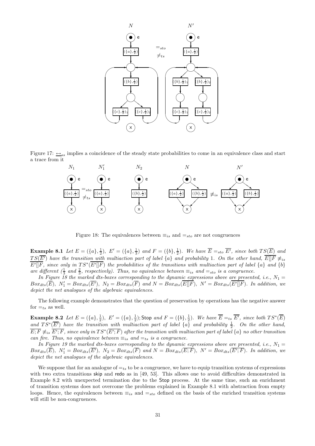

Figure 17:  $\leftrightarrow$ <sub>ss</sub> implies a coincidence of the steady state probabilities to come in an equivalence class and start a trace from it



Figure 18: The equivalences between  $\equiv_{is}$  and  $\equiv_{sto}$  are not congruences

**Example 8.1** Let  $E = (\{a\}, \frac{1}{2}), E' = (\{a\}, \frac{1}{3})$  and  $F = (\{b\}, \frac{1}{2}).$  We have  $\overline{E} =_{sto} \overline{E'}$ , since both  $TS(\overline{E})$  and  $TS(\overline{E'})$  have the transition with multiaction part of label  $\{a\}$  and probability 1. On the other hand,  $\overline{E||F} \neq_{is}$  $\overline{E'[F]}$ , since only in  $TS^*(\overline{E'[F]})$  the probabilities of the transitions with multiaction part of label  $\{a\}$  and  $\{b\}$ are different  $(\frac{1}{3}$  and  $\frac{2}{3}$ , respectively). Thus, no equivalence between  $\equiv_{is}$  and  $\equiv_{sto}$  is a congruence.

 $\sum_{i=1}^{n}$  and  $\sum_{i=1}^{n}$  s, respectively). Thus, no equivalence between  $\sum_{i=1}^{n}$  and  $\sum_{i=1}^{n}$  is a congruence.<br>In Figure 18 the marked dts-boxes corresponding to the dynamic expressions above are presented, i  $Box_{dts}(\overline{E}), N'_1 = Box_{dts}(\overline{E'}), N_2 = Box_{dts}(\overline{F})$  and  $N = Box_{dts}(\overline{E \parallel F}), N' = Box_{dts}(\overline{E' \parallel F}).$  In addition, we depict the net analogues of the algebraic equivalences.

The following example demonstrates that the question of preservation by operations has the negative answer for  $=_{ts}$  as well.

**Example 8.2** Let  $E = (\{a\}, \frac{1}{2})$ ,  $E' = (\{a\}, \frac{1}{2})$ ; Stop and  $F = (\{b\}, \frac{1}{2})$ . We have  $\overline{E} =_{ts} \overline{E'}$ , since both  $TS^*(\overline{E})$ and  $TS^*(\overline{E'})$  have the transition with multiaction part of label  $\{a\}$  and probability  $\frac{1}{2}$ . On the other hand,  $\overline{E;F}\not\equiv_{is}\overline{E';F},$  since only in  $TS^*(\overline{E';F})$  after the transition with multiaction part of label  $\{a\}$  no other transition can fire. Thus, no equivalence between  $\equiv_{is}$  and  $\equiv_{ts}$  is a congruence.

In Figure 19 the marked dts-boxes corresponding to the dynamic expressions above are presented, i.e.,  $N_1 =$  $Box_{dts}(\overline{E}), N'_1 = Box_{dts}(\overline{E'}), N_2 = Box_{dts}(\overline{F})$  and  $N = Box_{dts}(\overline{E;F}), N' = Box_{dts}(\overline{E';F}).$  In addition, we depict the net analogues of the algebraic equivalences.

We suppose that for an analogue of  $=t<sub>s</sub>$  to be a congruence, we have to equip transition systems of expressions with two extra transitions skip and redo as in [49, 53]. This allows one to avoid difficulties demonstrated in Example 8.2 with unexpected termination due to the Stop process. At the same time, such an enrichment of transition systems does not overcome the problems explained in Example 8.1 with abstraction from empty loops. Hence, the equivalences between  $\equiv_{is}$  and  $=_{sto}$  defined on the basis of the enriched transition systems will still be non-congruences.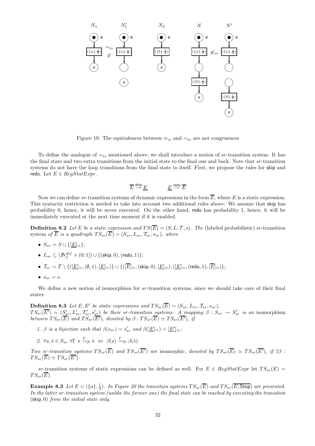

Figure 19: The equivalences between  $\equiv_{is}$  and  $\equiv_{ts}$  are not congruences

To define the analogue of  $=_{ts}$  mentioned above, we shall introduce a notion of sr-transition system. It has the final state and two extra transitions from the initial state to the final one and back. Note that sr-transition systems do not have the loop transitions from the final state to itself. First, we propose the rules for skip and redo. Let  $E \in \text{Re} a \text{Stat} \text{Error}$ .

$$
\overline{E} \stackrel{\text{skip}}{\rightarrow} \underline{E} \hspace{2cm} \underline{E} \stackrel{\text{redo}}{\rightarrow} \overline{E}
$$

Now we can define sr-transition systems of dynamic expressions in the form  $\overline{E}$ , where E is a static expression. This syntactic restriction is needed to take into account two additional rules above. We assume that skip has probability 0, hence, it will be never executed. On the other hand, redo has probability 1, hence, it will be immediately executed at the next time moment if it is enabled.

**Definition 8.2** Let E be a static expression and  $TS(\overline{E}) = (S, L, T, s)$ . The (labeled probabilistic) sr-transition system of  $\overline{E}$  is a quadruple  $TS_{sr}(\overline{E}) = (S_{sr}, L_{sr}, \mathcal{T}_{sr}, s_{sr})$ , where

- $S_{sr} = S \cup \{[\underline{E}]_{\simeq}\};$
- $\bullet \ \ L_{sr} \subseteq (I\!\!N_f^{\mathcal{SL}} \times (0;1]) \cup \{(\mathsf{skip},0),(\mathsf{redo},1)\};$
- $\bullet$   $\mathcal{T}_{sr} = \mathcal{T} \setminus \{([\underline{E}]_{\simeq},(\emptyset,1),[\underline{E}]_{\simeq})\} \cup \{([\overline{E}]_{\simeq},(\text{skip},0),[\underline{E}]_{\simeq}),([\underline{E}]_{\simeq},(\text{redo},1),[\overline{E}]_{\simeq})\};$
- $s_{sr} = s$ .

We define a new notion of isomorphism for sr-transition systems, since we should take care of their final states.

**Definition 8.3** Let E, E' be static expressions and  $TS_{sr}(\overline{E}) = (S_{sr}, L_{sr}, T_{sr}, s_{sr}),$  $TS_{sr}(\overline{E'}) = (S'_{sr}, L'_{sr}, T'_{sr}, s'_{sr})$  be their sr-transition systems. A mapping  $\beta: S_{sr} \to S'_{sr}$  is an isomorphism between  $TS_{sr}(\overline{E})$  and  $TS_{sr}(\overline{E'})$ , denoted by  $\beta:TS_{sr}(\overline{E}) \simeq TS_{sr}(\overline{E'})$ , if

- 1. β is a bijection such that  $\beta(s_{sr}) = s'_{sr}$  and  $\beta([\underline{E}]_{\simeq}) = [\underline{E'}]_{\simeq}$ ;
- 2.  $\forall s, \tilde{s} \in S_{sr} \ \forall \Gamma \ s \stackrel{\Gamma}{\rightarrow} \mathcal{P} \ \tilde{s} \ \Leftrightarrow \ \beta(s) \stackrel{\Gamma}{\rightarrow} \mathcal{P} \ \beta(\tilde{s}).$

Two sr-transition systems  $TS_{sr}(\overline{E})$  and  $TS_{sr}(\overline{E'})$  are isomorphic, denoted by  $TS_{sr}(\overline{E}) \simeq TS_{sr}(\overline{E'})$ , if  $\exists \beta$ :  $TS_{sr}(\overline{E}) \simeq TS_{sr}(\overline{E'}).$ 

sr-transition systems of static expressions can be defined as well. For  $E \in RegStatExpr$  let  $TS_{sr}(E)$  =  $TS_{sr}(\overline{E}).$ 

**Example 8.3** Let  $E = (\{a\}, \frac{1}{2})$ . In Figure 20 the transition systems  $TS_{sr}(\overline{E})$  and  $TS_{sr}(\overline{E; \text{Stop}})$  are presented. In the latter sr-transition system (unlike the former one) the final state can be reached by executing the transition  $(\textsf{skip}, 0)$  from the initial state only.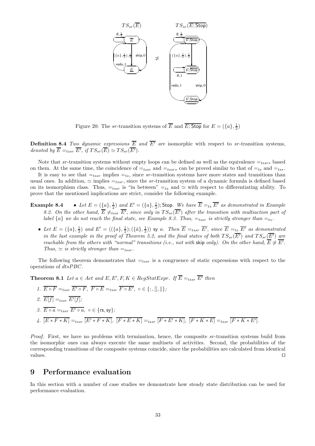

Figure 20: The *sr*-transition systems of  $\overline{E}$  and  $\overline{E}$ ; Stop for  $E = (\lbrace a \rbrace, \frac{1}{2})$ 

**Definition 8.4** Two dynamic expressions  $\overline{E}$  and  $\overline{E'}$  are isomorphic with respect to sr-transition systems, denoted by  $\overline{E} =_{tssr} \overline{E'}$ , if  $TS_{sr}(\overline{E}) \simeq TS_{sr}(\overline{E'}).$ 

Note that sr-transition systems without empty loops can be defined as well as the equivalence  $=_{tssr*}$  based on them. At the same time, the coincidence of  $=_{tssr}$  and  $=_{tssr*}$  can be proved similar to that of  $=_{ts}$  and  $=_{ts*}$ .

It is easy to see that  $=t_{ssr}$  implies  $=t_{ss}$ , since sr-transition systems have more states and transitions than usual ones. In addition,  $\simeq$  implies  $=_{tssr}$ , since the sr-transition system of a dynamic formula is defined based on its isomorphism class. Thus,  $=_{tssr}$  is "in between"  $=_{ts}$  and  $\simeq$  with respect to differentiating ability. To prove that the mentioned implications are strict, consider the following example.

- **Example 8.4** Let  $E = (\{a\}, \frac{1}{2})$  and  $E' = (\{a\}, \frac{1}{2})$ ; Stop. We have  $\overline{E} =_{ts} \overline{E'}$  as demonstrated in Example 8.2. On the other hand,  $\overline{E} \neq_{tssr} \overline{E'}$ , since only in  $TS_{sr}(\overline{E'})$  after the transition with multiaction part of label  $\{a\}$  we do not reach the final state, see Example 8.3. Thus,  $=_{tssr}$  is strictly stronger than  $=_{ts}$ .
	- Let  $E = (\{a\}, \frac{1}{2})$  and  $E' = ((\{a\}, \frac{1}{2}); (\{\hat{a}\}, \frac{1}{2}))$  sy a. Then  $\overline{E} =_{tssr} \overline{E'}$ , since  $\overline{E} =_{ts} \overline{E'}$  as demonstrated in the last example in the proof of Theorem 5.2, and the final states of both  $TS_{sr}(\overline{E'})$  and  $TS_{sr}(\overline{E'})$  are reachable from the others with "normal" transitions (i.e., not with skip only). On the other hand,  $\overline{E} \not\simeq \overline{E'}$ . Thus,  $\simeq$  is strictly stronger than  $=_{tssr}$ .

The following theorem demonstrates that  $=t_{ssr}$  is a congruence of static expressions with respect to the operations of dtsPBC.

**Theorem 8.1** Let  $a \in Act$  and  $E, E', F, K \in RegStatexpr$ . If  $\overline{E} =_{tssr} \overline{E'}$  then

1.  $\overline{E \circ F} =_{tssr} \overline{E' \circ F}$ ,  $\overline{F \circ E} =_{tssr} \overline{F \circ E'}$ ,  $\circ \in \{ ; , [] , || \}$ ; 2.  $E[f] =_{tssr} E'[f];$ 3.  $\overline{E \circ a} =_{tssr} \overline{E' \circ a}$ ,  $\circ \in \{\text{rs}, \text{sy}\};$ 4.  $[E * F * K] =_{tssr} [E' * F * K], [F * E * K] =_{tssr} [F * E' * K], [F * K * E] =_{tssr} [F * K * E'].$ 

Proof. First, we have no problems with termination, hence, the composite sr-transition systems build from the isomorphic ones can always execute the same multisets of activities. Second, the probabilities of the corresponding transitions of the composite systems coincide, since the probabilities are calculated from identical values. ⊓⊔

## 9 Performance evaluation

In this section with a number of case studies we demonstrate how steady state distribution can be used for performance evaluation.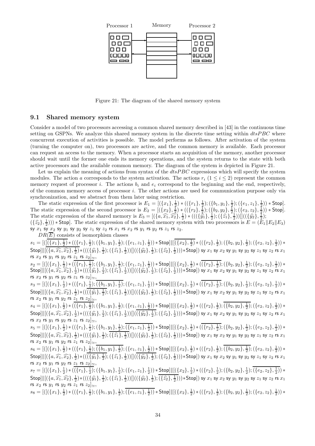

Figure 21: The diagram of the shared memory system

#### 9.1 Shared memory system

Consider a model of two processors accessing a common shared memory described in [43] in the continuous time setting on GSPNs. We analyze this shared memory system in the discrete time setting within  $d$ ts $PBC$  where concurrent execution of activities is possible. The model performs as follows. After activation of the system (turning the computer on), two processors are active, and the common memory is available. Each processor can request an access to the memory. When a processor starts an acquisition of the memory, another processor should wait until the former one ends its memory operations, and the system returns to the state with both active processors and the available common memory. The diagram of the system is depicted in Figure 21.

Let us explain the meaning of actions from syntax of the  $dtsPBC$  expressions which will specify the system modules. The action a corresponds to the system activation. The actions  $r_i$  (1  $\leq i \leq 2$ ) represent the common memory request of processor i. The actions  $b_i$  and  $e_i$  correspond to the beginning and the end, respectively, of the common memory access of processor i. The other actions are used for communication purpose only via synchronization, and we abstract from them later using restriction.

The static expression of the first processor is  $E_1 = [(\{x_1\}, \frac{1}{2}) * ((\{r_1\}, \frac{1}{2}) ; (\{b_1, y_1\}, \frac{1}{2}) ; (\{e_1, z_1\}, \frac{1}{2})) * \text{Stop}].$ The static expression of the second processor is  $E_2 = [(\{x_2\}, \frac{1}{2}) * ((\{r_2\}, \frac{1}{2}) ; (\{b_2, y_2\}, \frac{1}{2}) ; (\{e_2, z_2\}, \frac{1}{2})) * Stop].$ The static expression of the shared memory is  $E_3 = [(\lbrace a, \widehat{x_1}, \widehat{x_2}\rbrace, \frac{1}{2}) * (((\lbrace \overline{\hat{y_1}}\rbrace, \frac{1}{2}); (\lbrace \hat{z_1}, \overline{\hat{z_2}}\rbrace))]((\lbrace \hat{y_2}, \frac{1}{2}\rbrace, \lbrace \hat{z_1}, \frac{1}{2}\rbrace))$  $(\{\hat{z}_2\},\frac{1}{2}))$  \* Stop]. The static expression of the shared memory system with two processors is  $E = (E_1||E_2||E_3)$ sy  $x_1$  sy  $x_2$  sy  $y_1$  sy  $y_2$  sy  $z_1$  sy  $z_2$  rs  $x_1$  rs  $x_2$  rs  $y_1$  rs  $y_2$  rs  $z_1$  rs  $z_2$ .

 $DR(\overline{E})$  consists of isomorphism classes

 $s_1=[([(\{x_1\},\tfrac{1}{2})*((\{r_1\},\tfrac{1}{2});(\{b_1,y_1\},\tfrac{1}{2});(\{e_1,z_1\},\tfrac{1}{2})) * \mathsf{Stop}]| [(\{x_2\},\tfrac{1}{2})*((\{r_2\},\tfrac{1}{2});(\{b_2,y_2\},\tfrac{1}{2});(\{e_2,z_2\},\tfrac{1}{2})) *$  $\textsf{Stop} \| [(\{a, \widehat{x_1}, \widehat{x_2}\}, \frac{1}{2}) * (((\{\widehat{y_1}\}, \frac{1}{2}); (\{\widehat{z_1}\}, \frac{1}{2})) ] ((\{\widehat{y_2}\}, \frac{1}{2}); (\{\widehat{z_2}\}, \frac{1}{2}) ) ) * \textsf{Stop} ] ) \text{ sy } x_1 \text{ sy } x_2 \text{ sy } y_1 \text{ sy } y_2 \text{ sy } z_1 \text{ sy } z_2 \text{ rs } x_1$ rs  $x_2$  rs  $y_1$  rs  $y_2$  rs  $z_1$  rs  $z_2]_{\simeq}$ ,

 $s_2=[([(\{x_1\},\frac{1}{2})*((\{r_1\},\frac{1}{2});(\{b_1,y_1\},\frac{1}{2});(\{e_1,z_1\},\frac{1}{2})) * \textsf{Stop}]| | [(\{x_2\},\frac{1}{2})*(((\{r_2\},\frac{1}{2});(\{b_2,y_2\},\frac{1}{2});(\{e_2,z_2\},\frac{1}{2})) *$  $\textsf{Stop} \| [(\{a, \widehat{x_1}, \widehat{x_2}\}, \frac{1}{2}) * (((\{ \widehat{y_1}\}, \frac{1}{2}) ; (\{ \widehat{z_1}, \frac{1}{2}) ) ] ((\{ \widehat{y_2}\}, \frac{1}{2}) ; (\{ \widehat{z_2}\}, \frac{1}{2}) ) ) * \textsf{Stop} ] ) \text{ sy } x_1 \text{ sy } x_2 \text{ sy } y_1 \text{ sy } \widehat{y_2} \text{ sy } z_1 \text{ sy } z_2 \text{ rs } x_1$ rs  $x_2$  rs  $y_1$  rs  $y_2$  rs  $z_1$  rs  $z_2]_{\simeq}$ ,

 $s_3=[([(\{x_1\},\frac{1}{2})*((\{r_1\},\frac{1}{2});(\{b_1,y_1\},\frac{1}{2});(\{e_1,z_1\},\frac{1}{2})) * \mathsf{Stop}] \Vert [(\{x_2\},\frac{1}{2})*((\{r_2\},\frac{1}{2});(\{b_2,y_2\},\frac{1}{2});(\{e_2,z_2\},\frac{1}{2})) *$  $\textsf{Stop} \| [(\{a, \widehat{x_1}, \widehat{x_2}\}, \frac{1}{2}) * (((\{\widehat{y_1}\}, \frac{1}{2}); (\{\widehat{z_1}\}, \frac{1}{2})) ] ((\{\widehat{y_2}\}, \frac{1}{2}); (\{\widehat{z_2}\}, \frac{1}{2}) ) ) * \textsf{Stop} ] ) \text{ sy } x_1 \text{ sy } x_2 \text{ sy } y_1 \text{ sy } y_2 \text{ sy } z_1 \text{ sy } z_2 \text{ rs } x_1$ rs  $x_2$  rs  $y_1$  rs  $y_2$  rs  $z_1$  rs  $z_2|_{\simeq}$ ,

 $s_4=[([(\{x_1\},\tfrac{1}{2})*((\{r_1\},\tfrac{1}{2});(\{b_1,y_1\},\tfrac{1}{2});(\{e_1,z_1\},\tfrac{1}{2})) * \text{Stop}]| [(\{x_2\},\tfrac{1}{2})*((\{r_2\},\tfrac{1}{2});(\{b_2,y_2\},\tfrac{1}{2});(\{e_2,z_2\},\tfrac{1}{2})) *$  $\textsf{Stop} \| [(\{a, \widehat{x_1}, \widehat{x_2}\}, \frac{1}{2}) * (((\{\widehat{y_1}\}, \frac{1}{2}); (\{\widehat{z_1}\}, \frac{1}{2})) ] ((\{\widehat{y_2}\}, \frac{1}{2}); (\{\widehat{z_2}\}, \frac{1}{2}) ) ) * \textsf{Stop} ] ) \text{ sy } x_1 \text{ sy } x_2 \text{ sy } y_1 \text{ sy } y_2 \text{ sy } z_1 \text{ sy } z_2 \text{ rs } x_1$ rs  $x_2$  rs  $y_1$  rs  $y_2$  rs  $z_1$  rs  $z_2|_{\simeq}$ ,

 $s_{5}=[([(\{x_1\},\frac{1}{2})*((\{r_1\},\frac{1}{2});(\{b_1,y_1\},\frac{1}{2});(\{e_1,z_1\},\frac{1}{2})) * \mathsf{Stop}] \Vert [(\{x_2\},\frac{1}{2})*((\{r_2\},\frac{1}{2});(\{b_2,y_2\},\frac{1}{2});(\{e_2,z_2\},\frac{1}{2})) *$  $\textsf{Stop} \| [(\{a, \widehat{x_1}, \widehat{x_2}\}, \frac{1}{2}) * (((\{\widehat{y_1}\}, \frac{1}{2}); (\{\widehat{z_1}\}, \frac{1}{2})) ] ((\{\widehat{y_2}\}, \frac{1}{2}); (\{\widehat{z_2}\}, \frac{1}{2}) ) ) * \textsf{Stop} ] ) \text{ sy } x_1 \text{ sy } x_2 \text{ sy } y_1 \text{ sy } y_2 \text{ sy } z_1 \text{ sy } z_2 \text{ rs } x_1$ rs  $x_2$  rs  $y_1$  rs  $y_2$  rs  $z_1$  rs  $z_2]_{\simeq}$ ,

 $s_{6}=[([(\{x_1\},\tfrac{1}{2})*((\{r_1\},\tfrac{1}{2});(\{b_1,y_1\},\tfrac{1}{2});(\{e_1,z_1\},\tfrac{1}{2})) * \text{Stop}]| [(\{x_2\},\tfrac{1}{2})*((\{r_2\},\tfrac{1}{2});(\{b_2,y_2\},\tfrac{1}{2});(\{e_2,z_2\},\tfrac{1}{2})) *$  $\textsf{Stop} \| [(\{a, \widehat{x_1}, \widehat{x_2}\}, \frac{1}{2}) * (((\{\widehat{y_1}\}, \frac{1}{2}); (\{\widehat{z_1}\}, \frac{1}{2})) ] ((\{\widehat{y_2}\}, \frac{1}{2}); (\{\widehat{z_2}\}, \frac{1}{2}) ) ) * \textsf{Stop} ] ) \text{ sy } x_1 \text{ sy } x_2 \text{ sy } y_1 \text{ sy } y_2 \text{ sy } z_1 \text{ sy } z_2 \text{ rs } x_1$ rs  $x_2$  rs  $y_1$  rs  $y_2$  rs  $z_1$  rs  $z_2|_{\simeq}$ ,

 $s_7=[([(\{x_1\},\tfrac{1}{2})*((\{r_1\},\tfrac{1}{2});(\{b_1,y_1\},\tfrac{1}{2});(\{e_1,z_1\},\tfrac{1}{2})) * \underline{\text{Stop}}] \| [(\{x_2\},\tfrac{1}{2})*((\{r_2\},\tfrac{1}{2});(\{b_2,y_2\},\tfrac{1}{2});(\{e_2,z_2\},\tfrac{1}{2})) * \underline{\text{Stop}}$  $\textsf{Stop} \| [(\{a, \widehat{x_1}, \widehat{x_2}\}, \frac{1}{2}) * (((\{\widehat{y_1}\}, \frac{1}{2}); (\{\widehat{z_1}\}, \frac{1}{2})) ] ((\{\widehat{y_2}\}, \frac{1}{2}); (\{\widehat{z_2}\}, \frac{1}{2}) ) ) * \textsf{Stop} ] ) \text{ sy } x_1 \text{ sy } x_2 \text{ sy } y_1 \text{ sy } y_2 \text{ sy } z_1 \text{ sy } z_2 \text{ rs } x_1$ rs  $x_2$  rs  $y_1$  rs  $y_2$  rs  $z_1$  rs  $z_2|_{\simeq}$ ,

 $s_8 = [([(\{x_1\},\frac{1}{2})*((\{r_1\},\frac{1}{2});(\{b_1,y_1\},\frac{1}{2});(\{e_1,z_1\},\frac{1}{2})) * \mathsf{Stop}] \Vert [(\{x_2\},\frac{1}{2})*((\{r_2\},\frac{1}{2});(\{b_2,y_2\},\frac{1}{2});(\{e_2,z_2\},\frac{1}{2})) *$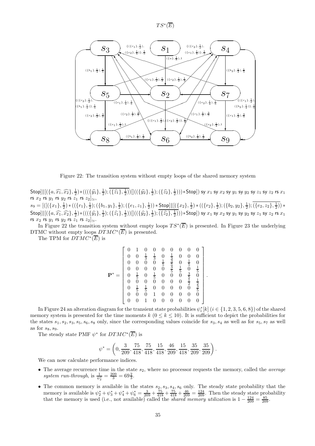



Figure 22: The transition system without empty loops of the shared memory system

 $\textsf{Stop} \| [(\{a, \widehat{x_1}, \widehat{x_2}\}, \frac{1}{2}) * (((\{\widehat{y_1}\}, \frac{1}{2}); (\{\widehat{z_1}\}, \frac{1}{2})) ] ((\{\widehat{y_2}\}, \frac{1}{2}); (\{\widehat{z_2}\}, \frac{1}{2}) ) ) * \textsf{Stop} ] ) \text{ sy } x_1 \text{ sy } x_2 \text{ sy } y_1 \text{ sy } y_2 \text{ sy } z_1 \text{ sy } z_2 \text{ rs } x_1$ rs  $x_2$  rs  $y_1$  rs  $y_2$  rs  $z_1$  rs  $z_2]_{\simeq}$ ,  $s_9 = [([(\{x_1\},\frac{1}{2})*((\{r_1\},\frac{1}{2});(\{b_1,y_1\},\frac{1}{2});(\{e_1,z_1\},\frac{1}{2})) * \underline{\text{Stop}}] \Vert [(\{x_2\},\frac{1}{2})*((\{r_2\},\frac{1}{2});(\{b_2,y_2\},\frac{1}{2});(\{e_2,z_2\},\frac{1}{2})) * \Vert [(\{x_2\},\frac{1}{2})*((\{r_2\},\frac{1}{2}));(\{b_2,y_2\},\frac{1}{2}) + (\{x_2\},\frac{1}{2}));(\{x_2\$  $\textsf{Stop} \| [(\{a, \widehat{x_1}, \widehat{x_2}\}, \frac{1}{2}) * (((\{\widehat{y_1}\}, \frac{1}{2}); (\{\widehat{z_1}\}, \frac{1}{2})) ] ((\{\widehat{y_2}\}, \frac{1}{2}); (\{\widehat{z_2}\}, \frac{1}{2}) ) ) * \textsf{Stop} ] ) \text{ sy } x_1 \text{ sy } x_2 \text{ sy } y_1 \text{ sy } y_2 \text{ sy } z_1 \text{ sy } z_2 \text{ rs } x_1$ rs  $x_2$  rs  $y_1$  rs  $y_2$  rs  $z_1$  rs  $z_2 \sim$ .

In Figure 22 the transition system without empty loops  $TS^*(\overline{E})$  is presented. In Figure 23 the underlying DTMC without empty loops  $DTMC^*(\overline{E})$  is presented.

The TPM for  $DTMC^*(\overline{E})$  is

$$
\mathbf{P}^* = \begin{bmatrix} 0 & 1 & 0 & 0 & 0 & 0 & 0 & 0 & 0 \\ 0 & 0 & \frac{1}{3} & \frac{1}{3} & 0 & \frac{1}{3} & 0 & 0 & 0 \\ 0 & 0 & 0 & 0 & \frac{1}{5} & \frac{3}{5} & 0 & \frac{1}{5} & 0 \\ 0 & 0 & 0 & 0 & 0 & \frac{3}{5} & \frac{1}{5} & 0 & \frac{1}{5} \\ 0 & \frac{1}{5} & 0 & \frac{1}{5} & 0 & 0 & 0 & \frac{3}{5} & 0 \\ 0 & 0 & 0 & 0 & 0 & 0 & 0 & \frac{1}{2} & \frac{1}{2} \\ 0 & \frac{1}{5} & \frac{1}{5} & 0 & 0 & 0 & 0 & 0 & \frac{1}{5} \\ 0 & 0 & 0 & 1 & 0 & 0 & 0 & 0 & 0 \\ 0 & 0 & 0 & 1 & 0 & 0 & 0 & 0 & 0 \end{bmatrix}
$$

.

.

In Figure 24 an alteration diagram for the transient state probabilities  $\psi_i^*[k]$   $(i \in \{1, 2, 3, 5, 6, 8\})$  of the shared memory system is presented for the time moments  $k$  ( $0 \le k \le 10$ ). It is sufficient to depict the probabilities for the states  $s_1, s_2, s_3, s_5, s_6, s_8$  only, since the corresponding values coincide for  $s_3, s_4$  as well as for  $s_5, s_7$  as well as for  $ss, so.$ 

The steady state PMF  $\psi^*$  for  $DTMC^*(\overline{E})$  is

$$
\psi^* = \left(0, \frac{3}{209}, \frac{75}{418}, \frac{75}{418}, \frac{15}{418}, \frac{46}{209}, \frac{15}{418}, \frac{35}{209}, \frac{35}{209}\right)
$$

We can now calculate performance indices.

- The average recurrence time in the state  $s_2$ , where no processor requests the memory, called the *average* system run-through, is  $\frac{1}{\psi_2^*} = \frac{209}{3} = 69\frac{2}{3}$ .
- The common memory is available in the states  $s_2, s_3, s_4, s_6$  only. The steady state probability that the memory is available is  $\psi_2^* + \psi_3^* + \psi_4^* + \psi_6^* = \frac{3}{209} + \frac{75}{418} + \frac{75}{418} + \frac{46}{209} = \frac{124}{209}$ . Then the steady state probability that the memory is used (i.e., not available) called the *shared memory utilization* is  $1 - \frac{124}{209} = \frac{85}{209}$ .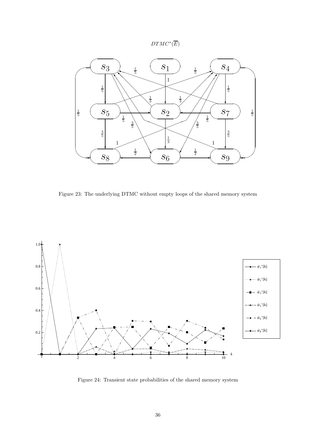



Figure 23: The underlying DTMC without empty loops of the shared memory system



Figure 24: Transient state probabilities of the shared memory system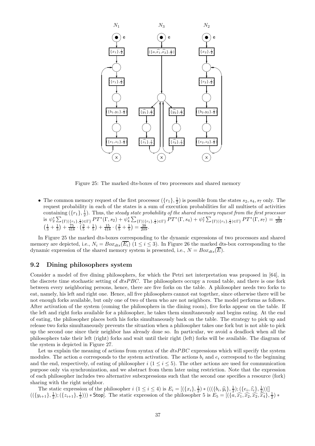

Figure 25: The marked dts-boxes of two processors and shared memory

• The common memory request of the first processor  $(\lbrace r_1 \rbrace, \frac{1}{2})$  is possible from the states  $s_2, s_4, s_7$  only. The request probability in each of the states is a sum of execution probabilities for all multisets of activities containing  $(\{r_1\}, \frac{1}{2})$ . Thus, the steady state probability of the shared memory request from the first processor is  $\psi_2^* \sum_{\{\Gamma | (\{r_1\},\frac{1}{2}) \in \Gamma\}} PT^*(\Gamma,s_2) + \psi_4^* \sum_{\{\Gamma | (\{r_1\},\frac{1}{2}) \in \Gamma\}} PT^*(\Gamma,s_4) + \psi_7^* \sum_{\{\Gamma | (\{r_1\},\frac{1}{2}) \in \Gamma\}} PT^*(\Gamma,s_7) = \frac{3}{209}$  $\left(\frac{1}{3} + \frac{1}{3}\right) + \frac{75}{418} \cdot \left(\frac{3}{5} + \frac{1}{5}\right) + \frac{15}{418} \cdot \left(\frac{3}{5} + \frac{1}{5}\right) = \frac{38}{209}.$ 

In Figure 25 the marked dts-boxes corresponding to the dynamic expressions of two processors and shared memory are depicted, i.e.,  $N_i = Box_{dts}(\overline{E_i})$  ( $1 \leq i \leq 3$ ). In Figure 26 the marked dts-box corresponding to the dynamic expression of the shared memory system is presented, i.e.,  $N = Box_{dts}(\overline{E})$ .

#### 9.2 Dining philosophers system

Consider a model of five dining philosophers, for which the Petri net interpretation was proposed in [64], in the discrete time stochastic setting of  $dtsPBC$ . The philosophers occupy a round table, and there is one fork between every neighboring persons, hence, there are five forks on the table. A philosopher needs two forks to eat, namely, his left and right one. Hence, all five philosophers cannot eat together, since otherwise there will be not enough forks available, but only one of two of them who are not neighbors. The model performs as follows. After activation of the system (coming the philosophers in the dining room), five forks appear on the table. If the left and right forks available for a philosopher, he takes them simultaneously and begins eating. At the end of eating, the philosopher places both his forks simultaneously back on the table. The strategy to pick up and release two forks simultaneously prevents the situation when a philosopher takes one fork but is not able to pick up the second one since their neighbor has already done so. In particular, we avoid a deadlock when all the philosophers take their left (right) forks and wait until their right (left) forks will be available. The diagram of the system is depicted in Figure 27.

Let us explain the meaning of actions from syntax of the  $dtsPBC$  expressions which will specify the system modules. The action a corresponds to the system activation. The actions  $b_i$  and  $e_i$  correspond to the beginning and the end, respectively, of eating of philosopher i  $(1 \le i \le 5)$ . The other actions are used for communication purpose only via synchronization, and we abstract from them later using restriction. Note that the expression of each philosopher includes two alternative subexpressions such that the second one specifies a resource (fork) sharing with the right neighbor.

The static expression of the philosopher  $i$   $(1 \leq i \leq 4)$  is  $E_i = [(\{x_i\}, \frac{1}{2}) * (((\{b_i, \hat{y}_i\}, \frac{1}{2}) ; (\{e_i, \hat{z}_i\}, \frac{1}{2}) )]$  $((\{y_{i+1}\},\frac{1}{2});(\{z_{i+1}\},\frac{1}{2}))) * \text{Stop}.$  The static expression of the philosopher 5 is  $E_5 = [(\{\overline{a},\widehat{x_1},\widehat{x_2},\widehat{x_2},\overline{x_4}\},\frac{1}{2}) *$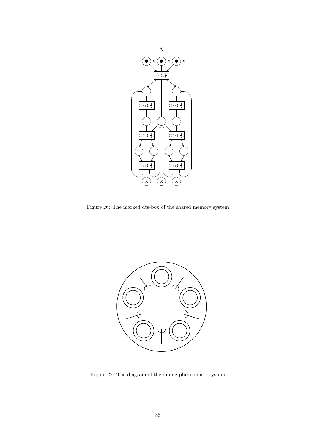

Figure 26: The marked dts-box of the shared memory system



Figure 27: The diagram of the dining philosophers system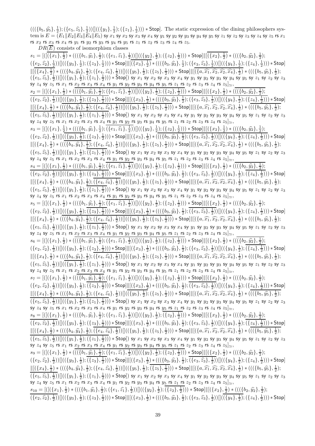$(((\{b_5, \hat{y}_5\}, \frac{1}{2}); (\{e_5, \hat{z}_5\}, \frac{1}{2}))]]((\{y_1\}, \frac{1}{2}); (\{z_1\}, \frac{1}{2}))) * \text{Stop.}$  The static expression of the dining philosophers sys- $\textrm{tem is } E = \tilde(E_1\|E_2\|E_3\|\tilde{E}_4\|E_5)$  sy  $x_1$  sy  $x_2$  sy  $x_3$  sy  $x_4$  sy  $y_1$  sy  $y_2$  sy  $y_3$  sy  $y_4$  sy  $y_5$  sy  $z_1$  sy  $z_2$  sy  $z_3$  sy  $z_4$  sy  $z_5$  rs  $x_1$ rs  $x_2$  rs  $x_3$  rs  $x_4$  rs  $y_1$  rs  $y_2$  rs  $y_3$  rs  $y_4$  rs  $y_5$  rs  $z_1$  rs  $z_2$  rs  $z_3$  rs  $z_4$  rs  $z_5$ .

 $DR(\overline{E})$  consists of isomorphism classes

 $s_1=[([(\{x_1\},\tfrac{1}{2})*(((\{(b_1,\widehat{y_1}\},\tfrac{1}{2});(\{e_1,\widehat{z_1}\},\tfrac{1}{2}))]]((\{y_2\},\tfrac{1}{2});(\{z_2\},\tfrac{1}{2}))) * \mathsf{Stop}]||[(\{x_2\},\tfrac{1}{2})*(((\{b_2,\widehat{y_2}\},\tfrac{1}{2});(\{z_2\},\tfrac{1}{2}))))$  $(\{\underline{e_2}, \hat{z_2}\}, \frac{1}{2})) [((\{y_3\}, \frac{1}{2}); (\{z_3\}, \frac{1}{2}))) * \text{Stop}] \ | [(\{x_3\}, \frac{1}{2}) * (((\{b_3, \hat{y_3}\}, \frac{1}{2}); (\{e_3, \hat{z_3}\}, \frac{1}{2})) ] ((\{y_4\}, \frac{1}{2}); (\{z_4\}, \frac{1}{2}))) * \text{Stop}]$  $\| [(\{x_4\}, \frac{1}{2}) * (((\{b_4, \hat{y_4}\}, \frac{1}{2}); (\{e_4, \hat{z_4}\}, \frac{1}{2}))]]((\{y_5\}, \frac{1}{2}); (\{z_5\}, \frac{1}{2}))) * \text{Stop} ] \| [(\{a, \hat{x_1}, \hat{x_2}, \hat{x_2}, \hat{x_4}\}, \frac{1}{2}) * (((\{b_5, \hat{y_5}\}, \frac{1}{2}); (\{z_5\}, \frac{1}{2}))) * \text{Stop} ] \|$  $(\{e_5, \hat{z}_5\}, \frac{1}{2})\right) [((\{y_1\}, \frac{1}{2}); (\{z_1\}, \frac{1}{2}))) * \overline{\text{Stop}}]$  sy  $x_1$  sy  $x_2$  sy  $x_3$  sy  $x_4$  sy  $y_1$  sy  $y_2$  sy  $y_3$  sy  $y_4$  sy  $y_5$  sy  $z_1$  sy  $z_2$  sy  $z_3$ sy  $z_4$  sy  $z_5$  rs  $x_1$  rs  $x_2$  rs  $x_3$  rs  $x_4$  rs  $y_1$  rs  $y_2$  rs  $y_3$  rs  $y_4$  rs  $y_5$  rs  $z_1$  rs  $z_2$  rs  $z_3$  rs  $z_4$  rs  $z_5]_{\simeq}$ ,  $s_2=[([(\{x_1\},\frac{1}{2})*(((\{b_1,\hat{y_1}\},\frac{1}{2});(\{e_1,\hat{z_1}\},\frac{1}{2}))]]((\{y_2\},\frac{1}{2});(\{z_2\},\frac{1}{2}))) * \mathsf{Stop}]||[(\{x_2\},\frac{1}{2})*(((\{b_2,\hat{y_2}\},\frac{1}{2});(\{x_2\},\frac{1}{2}))))$  $(\{e_2, \hat{z_2}\}, \frac{1}{2})) [ \frac{((\{y_3\}, \frac{1}{2}); (\{z_3\}, \frac{1}{2}))) * \text{Stop} ] \text{ } [[\{x_3\}, \frac{1}{2}) * (((\{b_3, \hat{y_3}\}, \frac{1}{2}); (\{e_3, \hat{z_3}\}, \frac{1}{2})) ] ((\{y_4\}, \frac{1}{2}); (\{\underline{z_4\}, \frac{1}{2}) ) ) * \text{Stop} ]$  $\begin{equation} \frac{\left\| \left[ \left( \{x_{4}\}, \frac{1}{2} \right) \ast \left( \left( \left( \{b_{4}, \hat{y_{4}}\}, \frac{1}{2} \right) ; \left( \{e_{4}, \hat{z_{4}}\}, \frac{1}{2} \right) \right) \right] \left( \left( \{y_{5}\}, \frac{1}{2} \right) ; \left( \{z_{5}\}, \frac{1}{2} \right) \right) \right\} \end{equation}$   $\text{Stop} \begin{equation} \left[ \left( \{a, \widehat{x_{1}}, \widehat{x_{2}}, \widehat{x_{2}}, \widehat{x_{4}}\}, \frac{$  $(\{e_5, \hat{z}_5\}, \frac{1}{2})) [((\{y_1\}, \frac{1}{2}); (\{z_1\}, \frac{1}{2}))) * \text{Stop}])$  sy  $x_1$  sy  $x_2$  sy  $x_3$  sy  $x_4$  sy  $y_1$  sy  $y_2$  sy  $y_3$  sy  $y_4$  sy  $y_5$  sy  $z_1$  sy  $z_2$  sy  $z_3$ sy  $z_4$  sy  $z_5$  rs  $x_1$  rs  $x_2$  rs  $x_3$  rs  $x_4$  rs  $y_1$  rs  $y_2$  rs  $y_3$  rs  $y_4$  rs  $y_5$  rs  $z_1$  rs  $z_2$  rs  $z_3$  rs  $z_4$  rs  $z_5$ ] $\approx$ ,  $s_3=[([(\{x_1\},\frac{1}{2})*(((\{b_1,\hat{y_1}\},\frac{1}{2});(\{e_1,\hat{z_1}\},\frac{1}{2}))]]((\{y_2\},\frac{1}{2});(\{z_2\},\frac{1}{2}))) * \mathsf{Stop}]]|[(\{x_2\},\frac{1}{2})*(((\{b_2,\hat{y_2}\},\frac{1}{2});(\{e_2\},\frac{1}{2})))$  $(\{e_2, \hat{z_2}\}, \frac{1}{2})) [[(\{y_3\}, \frac{1}{2}); (\{z_3\}, \frac{1}{2})))*{\text{Stop}] | [(\{x_3\}, \frac{1}{2}) * (((\{b_3, \hat{y_3}\}, \frac{1}{2}); (\{e_3, \hat{z_3}\}, \frac{1}{2})) ] ((\{y_4\}, \frac{1}{2}); (\{z_4\}, \frac{1}{2})))*{\text{Stop}}$  $\begin{equation} \Vert [(\{x_4\},\tfrac{1}{2})\ast (((\{b_4,\widehat{y_4}\},\tfrac{1}{2});(\{e_4,\widehat{z_4}\},\tfrac{1}{2}))]]((\{y_5\},\tfrac{1}{2});(\{z_5\},\tfrac{1}{2})))\ast\mathsf{Stop}]\Vert [(\{a,\widehat{x_1},\widehat{x_2},\widehat{x_2},\widehat{x_4}\},\tfrac{1}{2})\ast (((\{b_5,\widehat{y_5}\},\tfrac{1}{2});(\{y_5\},\tfrac{1}{2}))]]](\Vert \Vert \Vert \Vert \Vert \Vert \Vert \Vert \Vert \Vert \Vert \$  $(\{e_5, \hat{z}_5\}, \frac{1}{2})) [((\{y_1\}, \frac{1}{2}); (\{z_1\}, \frac{1}{2}))) * \text{Stop}])$  sy  $x_1$  sy  $x_2$  sy  $x_3$  sy  $x_4$  sy  $y_1$  sy  $y_2$  sy  $y_3$  sy  $y_4$  sy  $y_5$  sy  $z_1$  sy  $z_2$  sy  $z_3$ sy  $z_4$  sy  $z_5$  rs  $x_1$  rs  $x_2$  rs  $x_3$  rs  $x_4$  rs  $y_1$  rs  $y_2$  rs  $y_3$  rs  $y_4$  rs  $y_5$  rs  $z_1$  rs  $z_2$  rs  $z_3$  rs  $z_4$  rs  $z_5]_{\simeq}$ ,  $s_4 = [([(\{x_1\},\frac{1}{2}) * (((\{b_1,\hat{y_1}\},\frac{1}{2});(\{e_1,\hat{z_1}\},\frac{1}{2}))]]((\{y_2\},\frac{1}{2});(\{z_2\},\frac{1}{2}))) * \textsf{Stop}]||[(\{x_2\},\frac{1}{2}) * (((\{b_2,\hat{y_2}\},\frac{1}{2});(\{b_2\},\frac{1}{2}) ,\dots,(\{b_k\},\frac{1}{2})))$  $(\{e_2, \hat{z_2}\}, \frac{1}{2})) [((\{y_3\}, \frac{1}{2}); (\{z_3\}, \frac{1}{2}))) * \text{Stop}] \ | [(\{x_3\}, \frac{1}{2}) * (((\{b_3, \hat{y_3}\}, \frac{1}{2}); (\{e_3, \hat{z_3}\}, \frac{1}{2})) ] ((\{y_4\}, \frac{1}{2}); (\{z_4\}, \frac{1}{2}))) * \text{Stop}]$  $\begin{split} &\|[(\{x_4\},\tfrac{1}{2})\ast(((\{b_4,\widehat{y_4}\},\tfrac{1}{2});(\{e_4,\widehat{z_4}\},\tfrac{1}{2}))]\big((\{y_5\},\tfrac{1}{2});(\{z_5\},\tfrac{1}{2}))\big) \ast\mathsf{Stop}]\|[(\{a,\widehat{x_1},\widehat{x_2},\widehat{x_2},\widehat{x_4}\},\tfrac{1}{2})\ast(((\{b_5,\widehat{y_5}\},\tfrac{1}{2});\mathcal{F}\big) \ast(\{b_5,\widehat{y_5}\},\tfrac{1}{2})\big) \ast$  $(\{e_5, \hat{z}_5\}, \frac{1}{2})) [((\{y_1\}, \frac{1}{2}); (\{z_1\}, \frac{1}{2}))) * \text{Stop}])$  sy  $x_1$  sy  $x_2$  sy  $x_3$  sy  $x_4$  sy  $y_1$  sy  $y_2$  sy  $y_3$  sy  $y_4$  sy  $y_5$  sy  $z_1$  sy  $z_2$  sy  $z_3$ sy  $z_4$  sy  $z_5$  rs  $x_1$  rs  $x_2$  rs  $x_3$  rs  $x_4$  rs  $y_1$  rs  $y_2$  rs  $y_3$  rs  $y_4$  rs  $y_5$  rs  $z_1$  rs  $z_2$  rs  $z_3$  rs  $z_4$  rs  $z_5|_{\simeq}$ ,  $s_5 = [([({x_1},\frac{1}{2})*((({b_1},\hat{y_1}),\frac{1}{2});({e_1},\hat{z_1}),\frac{1}{2}))]]((\{y_2\},\frac{1}{2});(\{z_2\},\frac{1}{2})) * \text{Stop}]]][( \{(x_2\},\frac{1}{2}) * ((({b_2},\hat{y_2},\frac{1}{2});({e_1},\hat{z_1}),\frac{1}{2})$  $(\{e_2, \hat{z}_2\}, \frac{1}{2})) [ \frac{((\{y_3\}, \frac{1}{2}); (\{z_3\}, \frac{1}{2}))) * \text{Stop} ] \text{ } [[\{x_3\}, \frac{1}{2}) * (((\{b_3, \hat{y_3}\}, \frac{1}{2}); (\{e_3, \hat{z_3}\}, \frac{1}{2})) ] ((\{y_4\}, \frac{1}{2}); (\{z_4\}, \frac{1}{2}))) * \text{Stop} ]$  $\begin{split} &\|[(\{x_4\},\tfrac{1}{2})*(((\{b_4,\widehat{y_4}\},\tfrac{1}{2});(\{e_4,\widehat{z_4}\},\tfrac{1}{2}))]((\{y_5\},\tfrac{1}{2});(\{z_5\},\tfrac{1}{2}))) * \mathsf{Stop}]\|[(\{a,\widehat{x_1},\widehat{x_2},\widehat{x_2},\widehat{x_4}\},\tfrac{1}{2})*(((\{b_5,\widehat{y_5}\},\tfrac{1}{2});(\{z_5\},\tfrac{1}{2}))) * \mathsf{Stop}]\|[(\{a,\widehat{x_1},\widehat{x_2},$  $(\{e_5, \hat{z}_5\}, \frac{1}{2})) [((\{y_1\}, \frac{1}{2}); (\{z_1\}, \frac{1}{2}))) * \text{Stop}])$  sy  $x_1$  sy  $x_2$  sy  $x_3$  sy  $x_4$  sy  $y_1$  sy  $y_2$  sy  $y_3$  sy  $y_4$  sy  $y_5$  sy  $z_1$  sy  $z_2$  sy  $z_3$ sy  $z_4$  sy  $z_5$  rs  $x_1$  rs  $x_2$  rs  $x_3$  rs  $x_4$  rs  $y_1$  rs  $y_2$  rs  $y_3$  rs  $y_4$  rs  $y_5$  rs  $z_1$  rs  $z_2$  rs  $z_3$  rs  $z_4$  rs  $z_5]_{\simeq}$ ,  $s_6 = [([({x_1}, \frac{1}{2})*((({b_1}, \hat{y_1}, \frac{1}{2});({e_1}, \hat{z_1}, \frac{1}{2}))]]((\{y_2\}, \frac{1}{2});({\{z_2\}, \frac{1}{2})}))*$  Stop]|| $[{(x_2}, \frac{1}{2})*((({b_2}, \hat{y_2}, \frac{1}{2});$  $(\{e_2, \hat{z}_2\}, \frac{1}{2})) [((\{y_3\}, \frac{1}{2}); (\{z_3\}, \frac{1}{2}))) * \text{Stop}] \ | [(\{x_3\}, \frac{1}{2}) * (((\{b_3, \hat{y_3}\}, \frac{1}{2}); (\{e_3, \hat{z_3}\}, \frac{1}{2})) ] ((\{y_4\}, \frac{1}{2}); (\{z_4\}, \frac{1}{2}))) * \text{Stop}]$  $\begin{equation} \Vert [(\{x_4\},\tfrac{1}{2})\ast((\{\underline{(b_4,\hat{y_4}\},\tfrac{1}{2});(\{e_4,\hat{z_4}\},\tfrac{1}{2}))]]((\{y_5\},\tfrac{1}{2});(\{z_5\},\tfrac{1}{2})))\ast\mathsf{Stop}]\Vert [(\{a,\widehat{x_1},\widehat{x_2},\widehat{x_2},\widehat{x_4}\},\tfrac{1}{2})\ast(((\{b_5,\hat{y_5}\},\tfrac{1}{2});\{\underline{(b_5,\hat{y_5}\},\tfrac{1}{2})\ast((\{\underline{b_5},\hat{y_5}\$  $(\{e_5, \hat{z}_5\}, \frac{1}{2})) [((\{y_1\}, \frac{1}{2}); (\{z_1\}, \frac{1}{2}))) * \text{Stop}])$  sy  $x_1$  sy  $x_2$  sy  $x_3$  sy  $x_4$  sy  $y_1$  sy  $y_2$  sy  $y_3$  sy  $y_4$  sy  $y_5$  sy  $z_1$  sy  $z_2$  sy  $z_3$ sy  $z_4$  sy  $z_5$  rs  $x_1$  rs  $x_2$  rs  $x_3$  rs  $x_4$  rs  $y_1$  rs  $y_2$  rs  $y_3$  rs  $y_4$  rs  $y_5$  rs  $z_1$  rs  $z_2$  rs  $z_3$  rs  $z_4$  rs  $z_5]_{\simeq}$ ,  $s_7 = [([({x_1}, \frac{1}{2})*((({b_1}, \hat{y_1}), \frac{1}{2});({e_1}, \hat{z_1}), \frac{1}{2}))]]((\{y_2\}, \frac{1}{2});(\{z_2\}, \frac{1}{2})) * \text{Stop}]]][(\{x_2\}, \frac{1}{2}) * ((({b_2}, \hat{y_2}, \frac{1}{2});$  $(\{e_2, \hat{z_2}\}, \frac{1}{2})) [((\{y_3\}, \frac{1}{2}); (\{z_3\}, \frac{1}{2}))) * \text{Stop} ] \underbrace{||[(\{x_3\}, \frac{1}{2}) * (((\{b_3, \hat{y_3}\}, \frac{1}{2}); (\{e_3, \hat{z_3}\}, \frac{1}{2})) ] ((\{y_4\}, \frac{1}{2}); (\{\underline{z_4\}, \frac{1}{2}) ) * \text{Stop}}$  $\begin{equation} \frac{\left\| \left[ \left( \{x_{4}\}, \frac{1}{2} \right) \ast \left( \left( \left( \{b_{4}, \hat{y_{4}}\}, \frac{1}{2} \right) ; \left( \{e_{4}, \hat{z_{4}}\}, \frac{1}{2} \right) \right) \right] \left( \left( \{y_{5}\}, \frac{1}{2} \right) ; \left( \{z_{5}\}, \frac{1}{2} \right) \right) \right\} \end{equation}$   $\text{Stop} \begin{equation} \left[ \left( \{a, \widehat{x_{1}}, \widehat{x_{2}}, \widehat{x_{2}}, \widehat{x_{4}}\}, \frac{$  $(\{e_5, \hat{z}_5\}, \frac{1}{2})) [((\{y_1\}, \frac{1}{2}); (\{z_1\}, \frac{1}{2}))) * \text{Stop}])$  sy  $x_1$  sy  $x_2$  sy  $x_3$  sy  $x_4$  sy  $y_1$  sy  $y_2$  sy  $y_3$  sy  $y_4$  sy  $y_5$  sy  $z_1$  sy  $z_2$  sy  $z_3$ sy  $z_4$  sy  $z_5$  rs  $x_1$  rs  $x_2$  rs  $x_3$  rs  $x_4$  rs  $y_1$  rs  $y_2$  rs  $y_3$  rs  $y_4$  rs  $y_5$  rs  $z_1$  rs  $z_2$  rs  $z_3$  rs  $z_4$  rs  $z_5]_{\simeq}$ ,  $s_8 = [([(\{x_1\},\frac{1}{2})*(((\{b_1,\hat{y_1}\},\frac{1}{2});(\{e_1,\hat{z_1}\},\frac{1}{2}))]]((\{y_2\},\frac{1}{2});(\{z_2\},\frac{1}{2}))) * \mathsf{Stop}]||[(\{x_2\},\frac{1}{2})*(((\{b_2,\hat{y_2}\},\frac{1}{2});(\{e_2\},\frac{1}{2})))$  $(({e_2},\hat{z_2},\frac{1}{2}))[(({y_3},\frac{1}{2});( {z_3},\frac{1}{2}))) * \text{Stop}][[({x_3},\frac{1}{2}) * ((({b_3},\hat{y_3},\frac{1}{2});( {e_3},\hat{z_3},\frac{1}{2}))][( {(y_4},\frac{1}{2});( {z_4},\frac{1}{2}) ) * \text{Stop}]$  $\begin{equation} \frac{\left\| \left[ \left( \{x_{4}\}, \frac{1}{2} \right) \ast \left( \left( \left( \{b_{4}, \hat{y_{4}}\}, \frac{1}{2} \right) ; \left( \{e_{4}, \hat{z_{4}}\}, \frac{1}{2} \right) \right) \right] \left( \left( \{y_{5}\}, \frac{1}{2} \right) ; \left( \{z_{5}\}, \frac{1}{2} \right) \right) \right\} \end{equation}$   $\text{Stop} \begin{equation} \left[ \left( \{a, \widehat{x_{1}}, \widehat{x_{2}}, \widehat{x_{2}}, \widehat{x_{4}}\}, \frac{$  $(\{e_5, \hat{z}_5\}, \frac{1}{2})) [((\{y_1\}, \frac{1}{2}); (\{z_1\}, \frac{1}{2}))) * \text{Stop}])$  sy  $x_1$  sy  $x_2$  sy  $x_3$  sy  $x_4$  sy  $y_1$  sy  $y_2$  sy  $y_3$  sy  $y_4$  sy  $y_5$  sy  $z_1$  sy  $z_2$  sy  $z_3$ sy  $z_4$  sy  $z_5$  rs  $x_1$  rs  $x_2$  rs  $x_3$  rs  $x_4$  rs  $y_1$  rs  $y_2$  rs  $y_3$  rs  $y_4$  rs  $y_5$  rs  $z_1$  rs  $z_2$  rs  $z_3$  rs  $z_4$  rs  $z_5]_{\simeq}$ ,  $s_9 = [([({x_1}, \frac{1}{2})*((({b_1}, \hat{y_1}), \frac{1}{2});({e_1}, \hat{z_1}), \frac{1}{2}))]]((\{y_2\}, \frac{1}{2});(\{z_2\}, \frac{1}{2})) * \text{Stop}]]][(\{x_2\}, \frac{1}{2}) * ((({b_2}, \hat{y_2}, \frac{1}{2});$  $(\{e_2, \hat{z_2}\}, \frac{1}{2})) [((\{y_3\}, \frac{1}{2}); (\{z_3\}, \frac{1}{2}))) * \text{Stop}] \ | [(\{x_3\}, \frac{1}{2}) * (((\{b_3, \hat{y_3}\}, \frac{1}{2}); (\{e_3, \hat{z_3}\}, \frac{1}{2})) ] ((\{y_4\}, \frac{1}{2}); (\{z_4\}, \frac{1}{2}))) * \text{Stop}]$  $\frac{\left\|\left[\left(\{x_{4}\},\frac{1}{2}\right)\ast\left(\left(\left(\{b_{4},\hat{y_{4}}\},\frac{1}{2}\right);\left(\{e_{4},\hat{z_{4}}\},\frac{1}{2}\right)\right)\right]\left(\left(\{y_{5}\},\frac{1}{2}\right);\left(\{z_{5}\},\frac{1}{2}\right)\right)\right\}\times \text{Stop}\right\| \left\|\left[\left(\{a,\widehat{x_{1}},\widehat{x_{2}},\widehat{x_{2}},\widehat{x_{4}}\},\frac{1}{2}\right)\ast\left(\left(\left(\{b_{5},\hat{y_{5}}\},\frac{1}{2}\right);\left(\{b_{$  $(\{e_5, \hat{z}_5\}, \frac{1}{2})) [((\{y_1\}, \frac{1}{2}); (\{z_1\}, \frac{1}{2}))) * \text{Stop}])$  sy  $x_1$  sy  $x_2$  sy  $x_3$  sy  $x_4$  sy  $y_1$  sy  $y_2$  sy  $y_3$  sy  $y_4$  sy  $y_5$  sy  $z_1$  sy  $z_2$  sy  $z_3$ sy  $z_4$  sy  $z_5$  rs  $x_1$  rs  $x_2$  rs  $x_3$  rs  $x_4$  rs  $y_1$  rs  $y_2$  rs  $y_3$  rs  $y_4$  rs  $y_5$  rs  $z_1$  rs  $z_2$  rs  $z_3$  rs  $z_4$  rs  $z_5|_{\approx}$ ,  $s_{10} = [([({x_1}, {1\over2})\ast ((({{b_1}, \hat{y_1}}, {1\over2});({{e_1}, \hat{z_1}}, {1\over2}))]](({{y_2}, {1\over2}});({{z_2}, {1\over2}}))\ast {\mathsf{Stop}}]||[({{x_2}, {1\over2}})\ast ((({{b_2}, \hat{y_2}}, {1\over2});$  $(\{e_2, \hat{z}_2\}, \frac{1}{2})) [((\{y_3\}, \frac{1}{2}); (\{z_3\}, \frac{1}{2}))) * \text{Stop}] \ | [(\{x_3\}, \frac{1}{2}) * (((\{b_3, \hat{y_3}\}, \frac{1}{2}); (\{e_3, \hat{z_3}\}, \frac{1}{2})) ] ((\{y_4\}, \frac{1}{2}); (\{z_4\}, \frac{1}{2}))) * \text{Stop}]$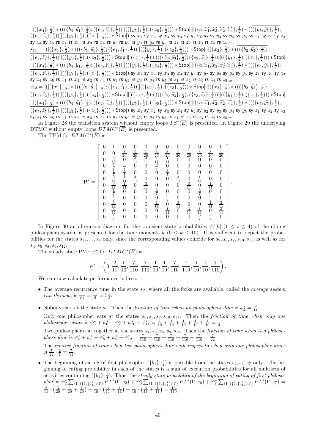$\| [(\{x_4\}, \frac{1}{2}) * (((\{b_4, \hat{y_4}\}, \frac{1}{2}); (\{e_4, \hat{z_4}\}, \frac{1}{2}))] \| ((\{y_5\}, \frac{1}{2}); (\{z_5\}, \frac{1}{2}))) * \text{Stop} ] \| [(\{a, \hat{x_1}, \hat{x_2}, \hat{x_2}, \hat{x_4}\}, \frac{1}{2}) * (((\{b_5, \hat{y_5}\}, \frac{1}{2}); (\{z_5\}, \frac{1}{2})) \|$  $(\{e_5, \hat{z}_5\}, \frac{1}{2})\right) [((\{y_1\}, \frac{1}{2}); (\{z_1\}, \frac{1}{2}))) * \overline{\text{Stop}}]$  sy  $x_1$  sy  $x_2$  sy  $x_3$  sy  $x_4$  sy  $y_1$  sy  $y_2$  sy  $y_3$  sy  $y_4$  sy  $y_5$  sy  $z_1$  sy  $z_2$  sy  $z_3$ sy  $z_4$  sy  $z_5$  rs  $x_1$  rs  $x_2$  rs  $x_3$  rs  $x_4$  rs  $y_1$  rs  $y_2$  rs  $y_3$  rs  $y_4$  rs  $y_5$  rs  $z_1$  rs  $z_2$  rs  $z_3$  rs  $z_4$  rs  $z_5]_{\simeq}$ ,  $s_{11} = [([(\{x_1\},\frac{1}{2}) * (((\{b_1,\hat{y_1}\},\frac{1}{2});(\{e_1,\hat{z_1}\},\frac{1}{2}))]]((\{y_2\},\frac{1}{2});(\{z_2\},\frac{1}{2})) * \mathsf{Stop}]||[(\{x_2\},\frac{1}{2}) * (((\{b_2,\hat{y_2}\},\frac{1}{2});(\{b_2\},\frac{1}{2}) * ))]$  $(\{e_2, \hat{z_2}\}, \frac{1}{2})) [((\{y_3\}, \frac{1}{2}); (\{z_3\}, \frac{1}{2}))) * \text{Stop}] \ | [(\{x_3\}, \frac{1}{2}) * (((\{b_3, \hat{y_3}\}, \frac{1}{2}); (\{e_3, \hat{z_3}\}, \frac{1}{2})) ] ((\{y_4\}, \frac{1}{2}); (\{z_4\}, \frac{1}{2}))) * \text{Stop}]$  $\frac{\left\|\left[\left(\{x_{4}\},\frac{1}{2}\right)\ast\left(\left(\left(\{b_{4},\hat{y_{4}}\},\frac{1}{2}\right);\left(\{e_{4},\hat{z_{4}}\},\frac{1}{2}\right)\right)\right]\left(\left(\{y_{5}\},\frac{1}{2}\right);\left(\{z_{5}\},\frac{1}{2}\right)\right)\right\}\ast \mathsf{Stop}\right\| \left\|\left(\{a,\widehat{x_{1}},\widehat{x_{2}},\widehat{x_{2}},\widehat{x_{4}}\},\frac{1}{2}\right)\ast\left(\left(\left(\{b_{5},\hat{y_{5}}\},\frac{1}{2}\right);\left(\{b_{5$  $(\{e_5, \hat{z}_5\}, \frac{1}{2})) [((\{y_1\}, \frac{1}{2}); (\{z_1\}, \frac{1}{2}))) * \text{Stop}])$  sy  $x_1$  sy  $x_2$  sy  $x_3$  sy  $x_4$  sy  $y_1$  sy  $y_2$  sy  $y_3$  sy  $y_4$  sy  $y_5$  sy  $z_1$  sy  $z_2$  sy  $z_3$ sy  $z_4$  sy  $z_5$  rs  $x_1$  rs  $x_2$  rs  $x_3$  rs  $x_4$  rs  $y_1$  rs  $y_2$  rs  $y_3$  rs  $y_4$  rs  $y_5$  rs  $z_1$  rs  $z_2$  rs  $z_3$  rs  $z_4$  rs  $z_5$ ] $\approx$  $s_{12} = [([({x_1}, {1\over2}) * ((({{b_1}, \hat{y_1}}, {1\over2}) ;({{e_1}, \hat{z_1}}, {1\over2})) ](({{y_2}, {1\over2}} );({{z_2}, {1\over2}}))) * Stop] ||[({{x_2}, {1\over2}}) * ((({{b_2}, \hat{y_2}}, {1\over2}) ;({{x_2}, {1\over2}}))]$  $(\{e_2, \hat{z_2}\}, \frac{1}{2})) [((\{y_3\}, \frac{1}{2}); (\{z_3\}, \frac{1}{2}))) * \text{Stop}] \ | [(\{x_3\}, \frac{1}{2}) * (((\{b_3, \hat{y_3}\}, \frac{1}{2}); (\{e_3, \hat{z_3}\}, \frac{1}{2})) ] ((\{y_4\}, \frac{1}{2}); (\{z_4\}, \frac{1}{2}))) * \text{Stop}]$  $\frac{\left\|\left[\left(\{x_{4}\},\frac{1}{2}\right)\ast\left(\left(\left(\{b_{4},\hat{y_{4}}\},\frac{1}{2}\right);\left(\{e_{4},\hat{z_{4}}\},\frac{1}{2}\right)\right)\right]\left(\left(\{y_{5}\},\frac{1}{2}\right);\left(\{z_{5}\},\frac{1}{2}\right)\right)\right\}\times \text{Stop}\right\| \left\|\left[\left(\{a,\widehat{x_{1}},\widehat{x_{2}},\widehat{x_{2}},\widehat{x_{4}}\},\frac{1}{2}\right)\ast\left(\left(\left(\{b_{5},\hat{y_{5}}\},\frac{1}{2}\right);\left(\{b_{$  $(\{e_5, \hat{z}_5\}, \frac{1}{2})) [((\{y_1\}, \frac{1}{2}); (\{z_1\}, \frac{1}{2}))) * \text{Stop}])$  sy  $x_1$  sy  $x_2$  sy  $x_3$  sy  $x_4$  sy  $y_1$  sy  $y_2$  sy  $y_3$  sy  $y_4$  sy  $y_5$  sy  $z_1$  sy  $z_2$  sy  $z_3$ sy  $z_4$  sy  $z_5$  rs  $x_1$  rs  $x_2$  rs  $x_3$  rs  $x_4$  rs  $y_1$  rs  $y_2$  rs  $y_3$  rs  $y_4$  rs  $y_5$  rs  $z_1$  rs  $z_2$  rs  $z_3$  rs  $z_4$  rs  $z_5]_{\simeq}$ .

In Figure 28 the transition system without empty loops  $TS^*(\overline{E})$  is presented. In Figure 29 the underlying DTMC without empty loops  $DTMC^*(\overline{E})$  is presented.

The TPM for  $DTMC^*(\overline{E})$  is

$$
\mathbf{P^*} = \begin{bmatrix} 0 & 1 & 0 & 0 & 0 & 0 & 0 & 0 & 0 & 0 & 0 & 0 & 0 \\ 0 & 0 & \frac{3}{20} & \frac{1}{20} & \frac{1}{20} & \frac{3}{20} & \frac{3}{20} & \frac{1}{20} & \frac{1}{20} & \frac{3}{20} & \frac{3}{20} & \frac{1}{20} \\ 0 & \frac{3}{11} & 0 & \frac{3}{11} & \frac{3}{11} & \frac{1}{11} & 0 & 0 & 0 & 0 & 0 & 0 \\ 0 & \frac{1}{7} & \frac{3}{7} & 0 & 0 & \frac{3}{7} & 0 & 0 & 0 & 0 & 0 & 0 \\ 0 & \frac{1}{7} & \frac{3}{11} & 0 & \frac{3}{11} & 0 & 0 & \frac{3}{11} & 0 & 0 & 0 \\ 0 & \frac{3}{11} & \frac{1}{11} & \frac{3}{11} & 0 & 0 & 0 & \frac{3}{11} & 0 & 0 & 0 \\ 0 & \frac{3}{11} & \frac{1}{11} & 0 & \frac{3}{11} & 0 & 0 & 0 & \frac{3}{11} & 0 & 0 & 0 \\ 0 & \frac{1}{7} & 0 & 0 & 0 & \frac{3}{7} & 0 & 0 & 0 & \frac{3}{7} & 0 & 0 \\ 0 & \frac{1}{7} & 0 & 0 & 0 & 0 & \frac{3}{7} & 0 & 0 & 0 & \frac{3}{7} & 0 \\ 0 & \frac{3}{11} & 0 & 0 & 0 & 0 & \frac{1}{11} & 0 & \frac{3}{11} & 0 & \frac{3}{11} & \frac{3}{11} \\ 0 & \frac{3}{11} & 0 & 0 & 0 & 0 & 0 & 0 & 0 & \frac{1}{7} & \frac{3}{11} \\ 0 & \frac{3}{11} & 0 & 0 & 0 & 0 & 0 & 0 & 0 & 0 & \frac{3}{7} & \frac{3}{7} & 0 \end{bmatrix}
$$

.

In Figure 30 an alteration diagram for the transient state probabilities  $\psi_i^*[k]$   $(1 \leq i \leq 4)$  of the dining philosophers system is presented for the time moments  $k$  ( $0 \le k \le 10$ ). It is sufficient to depict the probabilities for the states  $s_1, \ldots, s_4$  only, since the corresponding values coincide for  $s_3, s_6, s_7, s_{10}, s_{11}$  as well as for  $s_4, s_5, s_8, s_9, s_{12}.$ 

The steady state PMF  $\psi^*$  for  $DTMC^*(\overline{E})$  is

$$
\psi^*=\left(0,\frac{2}{11},\frac{1}{10},\frac{7}{110},\frac{7}{110},\frac{1}{10},\frac{1}{10},\frac{7}{110},\frac{7}{110},\frac{1}{10},\frac{1}{10},\frac{7}{110}\right).
$$

We can now calculate performance indices.

- The average recurrence time in the state  $s_2$ , where all the forks are available, called the *average system run-through*, is  $\frac{1}{\psi_2^*} = \frac{11}{2} = 5\frac{1}{2}$ .
- Nobody eats at the state  $s_2$ . Then the *fraction of time when no philosophers dine* is  $\psi_2^* = \frac{2}{11}$ .

Only one philosopher eats at the states  $s_3, s_6, s_7, s_{10}, s_{11}$ . Then the fraction of time when only one philosopher dines is  $\psi_3^* + \psi_6^* + \psi_7^* + \psi_{10}^* + \psi_{11}^* = \frac{1}{10} + \frac{1}{10} + \frac{1}{10} + \frac{1}{10} + \frac{1}{10} = \frac{1}{2}$ .

Two philosophers eat together at the states  $s_4, s_5, s_8, s_9, s_{12}$ . Then the *fraction of time when two philoso*phers dine is  $\psi_4^* + \psi_5^* + \psi_8^* + \psi_{9}^* + \psi_{12}^* = \frac{7}{110} + \frac{7}{110} + \frac{7}{110} + \frac{7}{110} + \frac{7}{110} = \frac{7}{22}$ .

The relative fraction of time when two philosophers dine with respect to when only one philosopher dines is  $\frac{7}{22} \cdot \frac{2}{1} = \frac{7}{11}$ .

• The beginning of eating of first philosopher  $(\{b_1\},\frac{1}{4})$  is possible from the states  $s_2, s_6, s_7$  only. The beginning of eating probability in each of the states is a sum of execution probabilities for all multisets of activities containing  $(\{b_1\},\frac{1}{4})$ . Thus, the steady state probability of the beginning of eating of first philoso $p_{\text{iter}}$  is  $\psi_2^* \sum_{\{\Gamma | (\{b_1\},\frac{1}{4}) \in \Gamma\}} PT^*(\Gamma,s_2) + \psi_6^* \sum_{\{\Gamma | (\{b_1\},\frac{1}{4}) \in \Gamma\}} PT^*(\Gamma,s_6) + \psi_7^* \sum_{\{\Gamma | (\{b_1\},\frac{1}{4}) \in \Gamma\}} PT^*(\Gamma,s_7) =$  $\frac{2}{11} \cdot \left( \frac{3}{20} + \frac{1}{20} + \frac{1}{20} \right) + \frac{1}{10} \cdot \left( \frac{3}{11} + \frac{1}{11} \right) + \frac{1}{10} \cdot \left( \frac{3}{11} + \frac{1}{11} \right) = \frac{13}{110}.$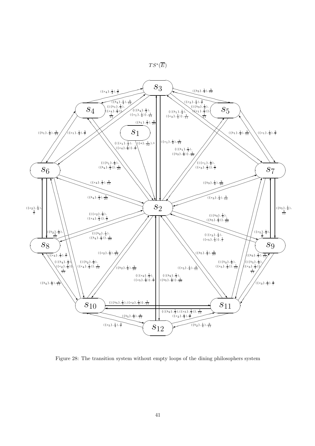



Figure 28: The transition system without empty loops of the dining philosophers system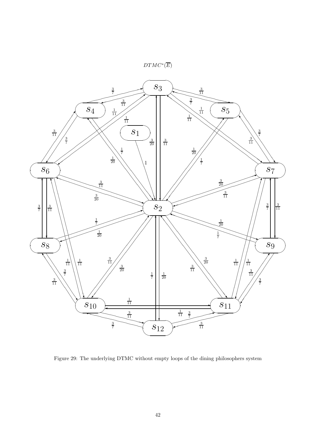



Figure 29: The underlying DTMC without empty loops of the dining philosophers system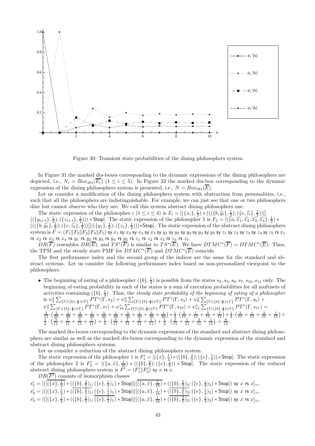

Figure 30: Transient state probabilities of the dining philosophers system

In Figure 31 the marked dts-boxes corresponding to the dynamic expressions of the dining philosophers are depicted, i.e.,  $N_i = Box_{dts}(\overline{E_i})$  (1  $\leq i \leq 5$ ). In Figure 32 the marked dts-box corresponding to the dynamic expression of the dining philosophers system is presented, i.e.,  $N = Box_{ds}(\overline{E})$ .

Let us consider a modification of the dining philosophers system with abstraction from personalities, i.e., such that all the philosophers are indistinguishable. For example, we can just see that one or two philosophers dine but cannot observe who they are. We call this system abstract dining philosophers one.

The static expression of the philosopher  $i$   $(1 \leq i \leq 4)$  is  $F_i = [(\lbrace x_i \rbrace, \frac{1}{2}) * (((\lbrace b, \hat{y}_i \rbrace, \frac{1}{2}) ; (\lbrace e, \hat{z}_i \rbrace, \frac{1}{2}) )]$  $((\{y_{i+1}\}, \frac{1}{2}); (\{z_{i+1}\}, \frac{1}{2})))*$  Stop]. The static expression of the philosopher 5 is  $F_5 = [(\{a, \widehat{x_1}, \widehat{x_2}, \widehat{x_2}, \widehat{x_4}\}, \frac{1}{2}) *$ <br> $((\{a, \widehat{x_1}, \widehat{x_2}, \widehat{x_2}, \widehat{x_4}\}, \frac{1}{2}) *$  $(((\{b,\hat{y}_5\}, \frac{1}{2}); (\{e,\hat{z}_5\}, \frac{1}{2}))]]((\{y_1\}, \frac{1}{2}); (\{z_1\}, \frac{1}{2}))) * \text{Stop}$ . The static expression of the abstract dining philosophers system is  $\bar{F} = (F_1||F_2||F_3||F_4||F_5)$  sy  $x_1$  sy  $x_2$  sy  $x_3$  sy  $x_4$  sy  $y_1$  sy  $y_2$  sy  $y_3$  sy  $y_4$  sy  $y_5$  sy  $z_1$  sy  $z_2$  sy  $z_3$  sy  $z_4$  sy  $z_5$  rs  $x_1$ rs  $x_2$  rs  $x_3$  rs  $x_4$  rs  $y_1$  rs  $y_2$  rs  $y_3$  rs  $y_4$  rs  $y_5$  rs  $z_1$  rs  $z_2$  rs  $z_3$  rs  $z_4$  rs  $z_5$ .

 $DR(\overline{F})$  resembles  $DR(\overline{E})$ , and  $TS^*(\overline{F})$  is similar to  $TS^*(\overline{E})$ . We have  $DTMC^*(\overline{F}) = DTMC^*(\overline{E})$ . Thus, the TPM and the steady state PMF for  $DTMC^*(\overline{F})$  and  $DTMC^*(\overline{E})$  coincide.

The first performance index and the second group of the indices are the same for the standard and abstract systems. Let us consider the following performance index based on non-personalized viewpoint to the philosophers.

• The beginning of eating of a philosopher  $({b}, \frac{1}{4})$  is possible from the states  $s_2, s_3, s_6, s_7, s_{10}, s_{11}$  only. The beginning of eating probability in each of the states is a sum of execution probabilities for all multisets of activities containing  $(\{b\}, \frac{1}{4})$ . Thus, the steady state probability of the beginning of eating of a philosopher  $\frac{1}{2} \sum_{i=1}^{\infty} \frac{1}{i} \sum_{i=1}^{n} P T^{*} (\Gamma, s_{2}) + \psi_{3}^{*} \sum_{i=1}^{n} \frac{1}{i} \sum_{i=1}^{n} P T^{*} (\Gamma, s_{3}) + \psi_{6}^{*} \sum_{i=1}^{n} \frac{1}{i} \sum_{i=1}^{n} P T^{*} (\Gamma, s_{6}) +$  $\psi_7^* \sum_{\{\Gamma \mid (\{b\},\frac{1}{4}) \in \Gamma\}} PT^*(\Gamma,s_7) + \psi_{10}^* \sum_{\{\Gamma \mid (\{b\},\frac{1}{4}) \in \Gamma\}} PT^*(\Gamma,s_{10}) + \psi_{11}^* \sum_{\{\Gamma \mid (\{b\},\frac{1}{4}) \in \Gamma\}} PT^*(\Gamma,s_{11}) =$  $\frac{2}{11} \cdot \left( \frac{3}{20} + \frac{1}{20} + \frac{3}{20} + \frac{1}{20} + \frac{3}{20} + \frac{1}{20} + \frac{3}{20} + \frac{1}{20} + \frac{3}{20} + \frac{1}{20} \right) + \frac{1}{4} \cdot \left( \frac{3}{11} + \frac{1}{11} + \frac{3}{11} + \frac{1}{11} \right) + \frac{1}{4} \cdot \left( \frac{3}{11} + \frac{1}{11} + \frac{3}{11} + \frac{1}{11} + \frac{3}{11} + \frac{1}{1$  $\frac{1}{4} \cdot \left( \frac{3}{11} + \frac{1}{11} + \frac{3}{11} + \frac{1}{11} \right) + \frac{1}{4} \cdot \left( \frac{3}{11} + \frac{1}{11} + \frac{3}{11} + \frac{1}{11} \right) + \frac{1}{4} \cdot \left( \frac{3}{11} + \frac{1}{11} + \frac{3}{11} + \frac{1}{11} \right) = \frac{6}{11}.$ 

The marked dts-boxes corresponding to the dynamic expressions of the standard and abstract dining philosophers are similar as well as the marked dts-boxes corresponding to the dynamic expression of the standard and abstract dining philosophers systems.

Let us consider a reduction of the abstract dining philosophers system.

The static expression of the philosopher 1 is  $F_1' = [(\{x\}, \frac{1}{2}) * ((\{b\}, \frac{2}{5}) ; (\{e\}, \frac{1}{4})) *$  Stop]. The static expression of the philosopher 2 is  $F_2' = [(\{a, \hat{x}\}, \frac{1}{16}) * ((\{b\}, \frac{2}{5}); (\{e\}, \frac{1}{4})) * \text{Stop}]$ . The static expression of the reduced abstract dining philosophers system is  $\overline{F'} = (F_1' || F_2')$  sy x rs x.

 $DR(\overline{F'})$  consists of isomorphism classes

$$
\begin{array}{l} s_1' = [([\overline{(\{x\},\frac{1}{2})}\ast ((\{b\},\frac{2}{5})_1;(\{e\},\frac{1}{4})_1)\ast\mathsf{Stop}] \vert\vert \overline{(\{a,\hat{x}\},\frac{1}{16})}\ast ((\{b\},\frac{2}{5})_2;(\{e\},\frac{1}{4})_2)\ast\mathsf{Stop}])\;\mathsf{sy}\;x\;\mathsf{rs}\;x]_\simeq,\\ s_2' = [([(\{x\},\frac{1}{2})\ast (\overline{(\{b\},\frac{2}{5})_1};(\{e\},\frac{1}{4})_1)\ast\mathsf{Stop}]\vert\vert \overline{(\{a,\hat{x}\},\frac{1}{16})}\ast (\overline{(\{b\},\frac{2}{5})_2};(\{e\},\frac{1}{4})_2)\ast\mathsf{Stop}])\;\mathsf{sy}\;x\;\mathsf{rs}\;x]_\simeq,\\ s_3' = [([(\{x\},\frac{1}{2})\ast ((\{b\},\frac{2}{5})_1;(\{e\},\frac{1}{4})_1)\ast\mathsf{Stop}]\vert\vert \overline{(\{a,\hat{x}\},\frac{1}{16})}\ast (\overline{(\{b\},\frac{2}{5})_2};(\{e\},\frac{1}{4})_2)\ast\mathsf{Stop}])\;\mathsf{sy}\;x\;\mathsf{rs}\;x]_\simeq, \end{array}
$$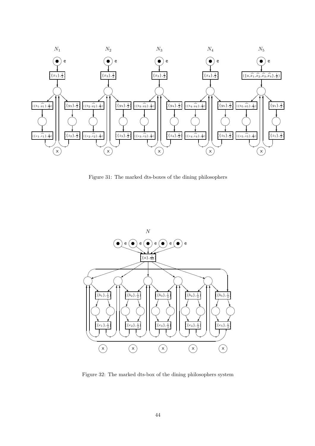

Figure 31: The marked dts-boxes of the dining philosophers



Figure 32: The marked dts-box of the dining philosophers system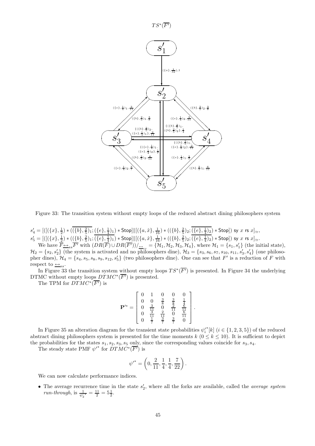

Figure 33: The transition system without empty loops of the reduced abstract dining philosophers system

 $s'_4 = [([(\{x\},\frac{1}{2})*((\{b\},\frac{2}{5})_1;(\{e\},\frac{1}{4})_1)*\text{Stop}]| [(\{a,\hat{x}\},\frac{1}{16})*((\{b\},\frac{2}{5})_2;(\{e\},\frac{1}{4})_2)*\text{Stop}]) \text{ sy } x \text{ rs } x]_{\simeq},$  $s_5' = [([(\{x\},\frac{1}{2})*((\{b\},\frac{2}{5})_1;(\{e\},\frac{1}{4})_1)*Stop]| [(\{a,\hat{x}\},\frac{1}{16})*((\{b\},\frac{2}{5})_2;(\{e\},\frac{1}{4})_2)*Stop]) \text{ sy } x \text{ is } x]_\simeq.$ 

We have  $\overline{F} \rightarrow s s \overline{F'}$  with  $(DR(\overline{F})) \rightarrow (B(R(\overline{F'})))_{\overline{F} s} = {\mathcal{H}_1, \mathcal{H}_2, \mathcal{H}_3, \mathcal{H}_4}$ , where  $\mathcal{H}_1 = \{s_1, s_1'\}$  (the initial state),  $\mathcal{H}_2 = \{s_2, s'_2\}$  (the system is activated and no philosophers dine),  $\mathcal{H}_3 = \{s_3, s_6, s_7, s_{10}, s_{11}, s'_3, s'_4\}$  (one philosopher dines),  $\mathcal{H}_4 = \{s_4, s_5, s_8, s_9, s_{12}, s_5'\}$  (two philosophers dine). One can see that  $F'$  is a reduction of  $F$  with respect to  $\overline{\leftrightarrow}_{ss}$ .

In Figure 33 the transition system without empty loops  $TS^*(\overline{F'})$  is presented. In Figure 34 the underlying DTMC without empty loops  $DTMC^*(\overline{F'})$  is presented.

The TPM for  $DTMC^*(\overline{F'})$  is

$$
\mathbf{P}^{\prime*} = \left[ \begin{array}{cccc} 0 & 1 & 0 & 0 & 0 \\ 0 & 0 & \frac{3}{8} & \frac{3}{8} & \frac{1}{4} \\ 0 & \frac{3}{11} & 0 & \frac{2}{11} & \frac{6}{11} \\ 0 & \frac{3}{11} & \frac{2}{11} & 0 & \frac{16}{11} \\ 0 & \frac{1}{7} & \frac{3}{7} & \frac{3}{7} & 0 \end{array} \right]
$$

.

In Figure 35 an alteration diagram for the transient state probabilities  $\psi_i^{\prime*}[k]$   $(i \in \{1, 2, 3, 5\})$  of the reduced abstract dining philosophers system is presented for the time moments k  $(0 \le k \le 10)$ . It is sufficient to depict the probabilities for the states  $s_1, s_2, s_3, s_5$  only, since the corresponding values coincide for  $s_3, s_4$ .

The steady state PMF  $\psi'^*$  for  $DTMC^*(\overline{F'})$  is

$$
{\psi'}^* = \left(0,\frac{2}{11},\frac{1}{4},\frac{1}{4},\frac{7}{22}\right).
$$

We can now calculate performance indices.

• The average recurrence time in the state  $s'_{2}$ , where all the forks are available, called the *average system* run-through, is  $\frac{1}{\psi_2'} = \frac{11}{2} = 5\frac{1}{2}$ .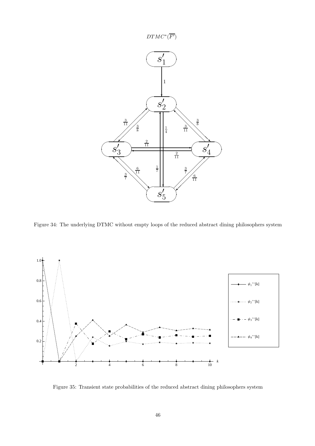

Figure 34: The underlying DTMC without empty loops of the reduced abstract dining philosophers system



Figure 35: Transient state probabilities of the reduced abstract dining philosophers system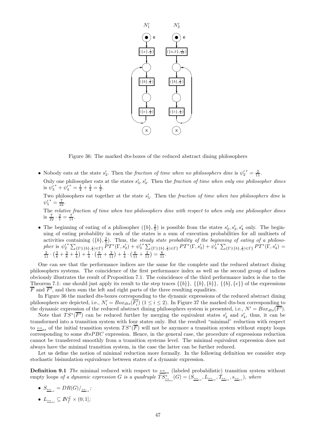

Figure 36: The marked dts-boxes of the reduced abstract dining philosophers

• Nobody eats at the state  $s'_2$ . Then the *fraction of time when no philosophers dine* is  ${\psi'_2}^* = \frac{2}{11}$ .

Only one philosopher eats at the states  $s'_3, s'_4$ . Then the fraction of time when only one philosopher dines is  $\psi_3'^* + \psi_4'^* = \frac{1}{4} + \frac{1}{4} = \frac{1}{2}$ .

Two philosophers eat together at the state  $s'_{5}$ . Then the fraction of time when two philosophers dine is  $\psi'_5{}^* = \frac{7}{25}$  $'_{5}^* = \frac{7}{22}.$ 

The relative fraction of time when two philosophers dine with respect to when only one philosopher dines is  $\frac{7}{22} \cdot \frac{2}{1} = \frac{7}{11}$ .

• The beginning of eating of a philosopher  $({b}, \frac{2}{5})$  is possible from the states  $s'_2, s'_3, s'_4$  only. The beginning of eating probability in each of the states is a sum of execution probabilities for all multisets of activities containing  $({b}, \frac{2}{5})$ . Thus, the steady state probability of the beginning of eating of a philosopher is  $\psi_2^* \sum_{\{\Gamma | (\{b\},\frac{2}{5}) \in \Gamma\}} PT^*(\Gamma, s_2') + \psi_3'^* \sum_{\{\Gamma | (\{b\},\frac{2}{5}) \in \Gamma\}} PT^*(\Gamma, s_3') + \psi_4'^* \sum_{\{\Gamma | (\{b\},\frac{2}{5}) \in \Gamma\}} PT^*(\Gamma, s_4') =$  $\frac{2}{11} \cdot \left(\frac{3}{8} + \frac{3}{8} + \frac{1}{4}\right) + \frac{1}{4} \cdot \left(\frac{6}{11} + \frac{2}{11}\right) + \frac{1}{4} \cdot \left(\frac{6}{11} + \frac{2}{11}\right) = \frac{6}{11}.$ 

One can see that the performance indices are the same for the complete and the reduced abstract dining philosophers systems. The coincidence of the first performance index as well as the second group of indices obviously illustrates the result of Proposition 7.1. The coincidence of the third performance index is due to the Theorem 7.1: one should just apply its result to the step traces  $\{\{b\}, \{\{b\}, \{b\}, \{b\}, \{e\}\}\$  of the expressions  $\overline{F}$  and  $\overline{F'}$ , and then sum the left and right parts of the three resulting equalities.

In Figure 36 the marked dts-boxes corresponding to the dynamic expressions of the reduced abstract dining philosophers are depicted, i.e.,  $N'_i = Box_{dts}(\overline{F'_i})$   $(1 \leq i \leq 2)$ . In Figure 37 the marked dts-box corresponding to the dynamic expression of the reduced abstract dining philosophers system is presented, i.e.,  $N' = Box_{ds}(\overline{F'})$ .

Note that  $TS^*(\overline{F'})$  can be reduced further by merging the equivalent states  $s'_3$  and  $s'_4$ , thus, it can be transformed into a transition system with four states only. But the resulted "minimal" reduction with respect to  $\overline{\leftrightarrow}_{ss}$  of the initial transition system  $TS^*(\overline{F})$  will not be anymore a transition system without empty loops corresponding to some  $dtsPBC$  expression. Hence, in the general case, the procedure of expressions reduction cannot be transferred smoothly from a transition systems level. The minimal equivalent expression does not always have the minimal transition system, in the case the latter can be further reduced.

Let us define the notion of minimal reduction more formally. In the following definition we consider step stochastic bisimulation equivalence between states of a dynamic expression.

**Definition 9.1** The minimal reduced with respect to  $\rightarrow$ <sub>ss</sub> (labeled probabilistic) transition system without empty loops of a dynamic expression G is a quadruple  $TS^*_{\underline{\leftrightarrow}_{ss}}(G) = (S_{\underline{\leftrightarrow}_{ss}}, L_{\underline{\leftrightarrow}_{ss}}, \mathcal{I}_{\underline{\leftrightarrow}_{ss}}, s_{\underline{\leftrightarrow}_{ss}})$ , where

- $\bullet$   $S_{\underline{\leftrightarrow}_{ss}}=DR(G)/_{\underline{\leftrightarrow}_{ss}};$
- $\bullet$   $L_{\underline{\leftrightarrow}_{ss}} \subseteq \mathbb{N}_{f}^{\mathcal{L}} \times (0,1];$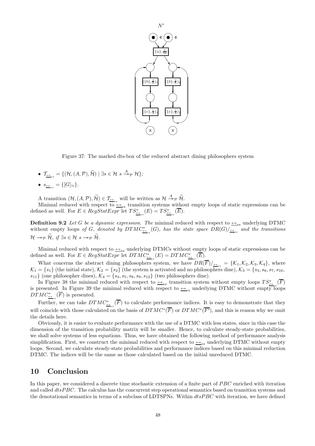

Figure 37: The marked dts-box of the reduced abstract dining philosophers system

- $\mathcal{T}_{\underline{\leftrightarrow}_{ss}} = \{(\mathcal{H}, (A, \mathcal{P}), \widetilde{\mathcal{H}}) \mid \exists s \in \mathcal{H} \ s \stackrel{A}{\twoheadrightarrow}_{\mathcal{P}} \mathcal{H}\};$
- $\bullet \ \ s_{\underline{\leftrightarrow}_{ss}} = \{[G]_{\simeq}\}.$

A transition  $(\mathcal{H}, (A, \mathcal{P}), \widetilde{\mathcal{H}}) \in \mathcal{I}_{\underline{\leftrightarrow}_{ss}}$  will be written as  $\mathcal{H} \stackrel{A}{\rightarrow}_{\mathcal{P}} \widetilde{\mathcal{H}}$ .

Minimal reduced with respect to  $\triangleq_{ss}$  transition systems without empty loops of static expressions can be defined as well. For  $E \in RegStatExpr$  let  $TS^*_{\frac{\leftrightarrow}{\leftarrow ss}}(E) = TS^*_{\frac{\leftrightarrow}{\leftarrow ss}}(\overline{E}).$ 

**Definition 9.2** Let G be a dynamic expression. The minimal reduced with respect to  $\rightarrow$ <sub>ss</sub> underlying DTMC without empty loops of G, denoted by  $DTMC^*_{\frac{\leftarrow}{\sqrt{MS}}}(G)$ , has the state space  $DR(G)/_{\frac{\leftarrow}{\sqrt{MS}}}$  and the transitions  $\mathcal{H} \rightarrow_{\mathcal{P}} \widetilde{\mathcal{H}}, \text{ if } \exists s \in \mathcal{H} \text{ s} \rightarrow_{\mathcal{P}} \widetilde{\mathcal{H}}.$ 

Minimal reduced with respect to  $\triangleq_{ss}$  underlying DTMCs without empty loops of static expressions can be defined as well. For  $E \in RegStatexpr$  let  $DTMC^*_{\frac{\leftarrow}{\leftarrow ss}}(E) = DTMC^*_{\frac{\leftarrow}{\leftarrow ss}}(\overline{E}).$ 

What concerns the abstract dining philosophers system, we have  $DR(F)|_{\triangleq ss} = \{K_1, K_2, K_3, K_4\}$ , where  $\mathcal{K}_1 = \{s_1\}$  (the initial state),  $\mathcal{K}_2 = \{s_2\}$  (the system is activated and no philosophers dine),  $\mathcal{K}_3 = \{s_3, s_6, s_7, s_{10},$  $s_{11}$  (one philosopher dines),  $\mathcal{K}_4 = \{s_4, s_5, s_8, s_9, s_{12}\}$  (two philosophers dine).

In Figure 38 the minimal reduced with respect to  $\frac{\leftrightarrow_{ss}}{\leftarrow_{ss}}$  transition system without empty loops  $TS^*_{\frac{\leftrightarrow_{ss}}{\leftarrow_{ss}}}\left(\overline{F}\right)$ is presented. In Figure 39 the minimal reduced with respect to  $\leftrightarrow_{ss}$  underlying DTMC without empty loops  $DTMC^*_{\underline{\leftrightarrow}_{ss}}(\overline{F})$  is presented.

Further, we can take  $DTMC^*_{\frac{\leftarrow}{\sqrt{F}}}\right)$  to calculate performance indices. It is easy to demonstrate that they will coincide with those calculated on the basis of  $DTMC^*(\overline{F})$  or  $DTMC^*(\overline{F'})$ , and this is reason why we omit the details here.

Obviously, it is easier to evaluate performance with the use of a DTMC with less states, since in this case the dimension of the transition probability matrix will be smaller. Hence, to calculate steady-state probabilities, we shall solve systems of less equations. Thus, we have obtained the following method of performance analysis simplification. First, we construct the minimal reduced with respect to  $\rightarrow$ <sub>ss</sub> underlying DTMC without empty loops. Second, we calculate steady-state probabilities and performance indices based on this minimal reduction DTMC. The indices will be the same as those calculated based on the initial unreduced DTMC.

## 10 Conclusion

In this paper, we considered a discrete time stochastic extension of a finite part of PBC enriched with iteration and called  $dtsPBC$ . The calculus has the concurrent step operational semantics based on transition systems and the denotational semantics in terms of a subclass of LDTSPNs. Within  $dtsPBC$  with iteration, we have defined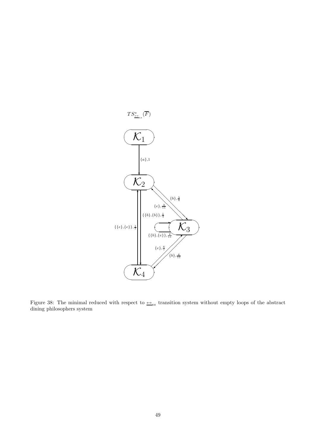

Figure 38: The minimal reduced with respect to  $\rightarrow$ <sub>ss</sub> transition system without empty loops of the abstract dining philosophers system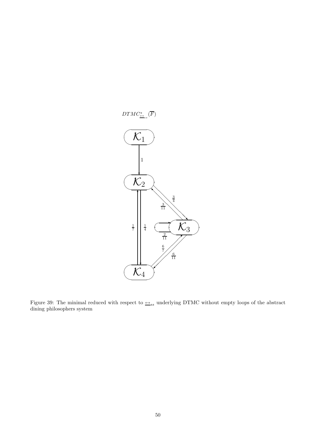

Figure 39: The minimal reduced with respect to  $\triangleq_{ss}$  underlying DTMC without empty loops of the abstract dining philosophers system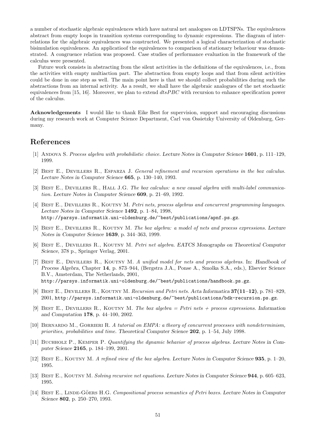a number of stochastic algebraic equivalences which have natural net analogues on LDTSPNs. The equivalences abstract from empty loops in transition systems corresponding to dynamic expressions. The diagram of interrelations for the algebraic equivalences was constructed. We presented a logical characterization of stochastic bisimulation equivalences. An applicatioof the equivalences to comparison of stationary behaviour was demonstrated. A congruence relation was proposed. Case studies of performance evaluation in the framework of the calculus were presented.

Future work consists in abstracting from the silent activities in the definitions of the equivalences, i.e., from the activities with empty multiaction part. The abstraction from empty loops and that from silent activities could be done in one step as well. The main point here is that we should collect probabilities during such the abstractions from an internal activity. As a result, we shall have the algebraic analogues of the net stochastic equivalences from [15, 16]. Moreover, we plan to extend  $dtsPBC$  with recursion to enhance specification power of the calculus.

Acknowledgements I would like to thank Eike Best for supervision, support and encouraging discussions during my research work at Computer Science Department, Carl von Ossietzky University of Oldenburg, Germany.

## References

- [1] ANDOVA S. Process algebra with probabilistic choice. Lecture Notes in Computer Science 1601, p. 111–129, 1999.
- [2] Best E., Devillers R., Esparza J. General refinement and recursion operations in the box calculus. Lecture Notes in Computer Science 665, p. 130–140, 1993.
- [3] BEST E., DEVILLERS R., HALL J.G. The box calculus: a new causal algebra with multi-label communication. Lecture Notes in Computer Science 609, p. 21–69, 1992.
- [4] BEST E., DEVILLERS R., KOUTNY M. Petri nets, process algebras and concurrent programming languages. Lecture Notes in Computer Science 1492, p. 1–84, 1998, http://parsys.informatik.uni-oldenburg.de/~best/publications/apnf.ps.gz.
- [5] BEST E., DEVILLERS R., KOUTNY M. The box algebra: a model of nets and process expressions. Lecture Notes in Computer Science 1639, p. 344–363, 1999.
- [6] BEST E., DEVILLERS R., KOUTNY M. Petri net algebra. EATCS Monographs on Theoretical Computer Science, 378 p., Springer Verlag, 2001.
- [7] BEST E., DEVILLERS R., KOUTNY M. A unified model for nets and process algebras. In: Handbook of Process Algebra, Chapter 14, p. 873–944, (Bergstra J.A., Ponse A., Smolka S.A., eds.), Elsevier Science B.V., Amsterdam, The Netherlands, 2001, http://parsys.informatik.uni-oldenburg.de/~best/publications/handbook.ps.gz.
- [8] Best E., Devillers R., Koutny M. Recursion and Petri nets. Acta Informatica 37(11–12), p. 781–829, 2001, http://parsys.informatik.uni-oldenburg.de/~best/publications/bdk-recursion.ps.gz.
- [9] BEST E., DEVILLERS R., KOUTNY M. The box algebra = Petri nets + process expressions. Information and Computation 178, p. 44–100, 2002.
- [10] BERNARDO M., GORRIERI R. A tutorial on EMPA: a theory of concurrent processes with nondeterminism, priorities, probabilities and time. Theoretical Computer Science 202, p. 1–54, July 1998.
- [11] BUCHHOLZ P., KEMPER P. Quantifying the dynamic behavior of process algebras. Lecture Notes in Computer Science 2165, p. 184–199, 2001.
- [12] Best E., Koutny M. A refined view of the box algebra. Lecture Notes in Computer Science 935, p. 1–20, 1995.
- [13] BEST E., KOUTNY M. Solving recursive net equations. Lecture Notes in Computer Science 944, p. 605-623, 1995.
- [14] BEST E., LINDE-GÖERS H.G. Compositional process semantics of Petri boxes. Lecture Notes in Computer Science 802, p. 250–270, 1993.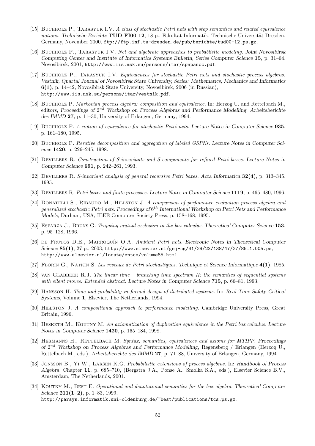- [15] BUCHHOLZ P., TARASYUK I.V. A class of stochastic Petri nets with step semantics and related equivalence notions. Technische Berichte  $TUD-FIO0-12$ , 18 p., Fakultät Informatik, Technische Universität Dresden, Germany, November 2000, ftp://ftp.inf.tu-dresden.de/pub/berichte/tud00-12.ps.gz.
- [16] Buchholz P., Tarasyuk I.V. Net and algebraic approaches to probablistic modeling. Joint Novosibirsk Computing Center and Institute of Informatics Systems Bulletin, Series Computer Science 15, p. 31–64, Novosibirsk, 2001, http://www.iis.nsk.su/persons/itar/spnpancc.pdf.
- [17] Buchholz P., Tarasyuk I.V. Equivalences for stochastic Petri nets and stochastic process algebras. Vestnik, Quartal Journal of Novosibirsk State University, Series: Mathematics, Mechanics and Informatics 6(1), p. 14–42, Novosibirsk State University, Novosibirsk, 2006 (in Russian), http://www.iis.nsk.su/persons/itar/vestnik.pdf.
- [18] BUCHHOLZ P. Markovian process algebra: composition and equivalence. In: Herzog U. and Rettelbach M., editors, Proceedings of 2<sup>nd</sup> Workshop on Process Algebras and Performance Modelling, Arbeitsberichte des IMMD 27, p. 11–30, University of Erlangen, Germany, 1994.
- [19] Buchholz P. A notion of equivalence for stochastic Petri nets. Lecture Notes in Computer Science 935, p. 161–180, 1995.
- [20] Buchholz P. Iterative decomposition and aggregation of labeled GSPNs. Lecture Notes in Computer Science 1420, p. 226–245, 1998.
- [21] Devillers R. Construction of S-invariants and S-components for refined Petri boxes. Lecture Notes in Computer Science 691, p. 242–261, 1993.
- [22] Devillers R. S-invariant analysis of general recursive Petri boxes. Acta Informatica 32(4), p. 313–345, 1995.
- [23] Devillers R. Petri boxes and finite processes. Lecture Notes in Computer Science 1119, p. 465–480, 1996.
- [24] DONATELLI S., RIBAUDO M., HILLSTON J. A comparison of perfomance evaluation process algebra and generalized stochastic Petri nets. Proceedings of  $6^{th}$  International Workshop on Petri Nets and Performance Models, Durham, USA, IEEE Computer Society Press, p. 158–168, 1995.
- [25] ESPARZA J., BRUNS G. Trapping mutual exclusion in the box calculus. Theoretical Computer Science 153, p. 95–128, 1996.
- [26] DE FRUTOS D.E., MARROQUÍN O.A. Ambient Petri nets. Electronic Notes in Theoretical Computer Science 85(1), 27 p., 2003, http://www.elsevier.nl/gej-ng/31/29/23/138/47/27/85.1.005.ps, http://www.elsevier.nl/locate/entcs/volume85.html.
- [27] Florin G., Natkin S. Les reseaux de Petri stochastiques. Technique et Science Informatique 4(1), 1985.
- [28] van Glabbeek R.J. The linear time branching time spectrum II: the semantics of sequential systems with silent moves. Extended abstract. Lecture Notes in Computer Science 715, p. 66–81, 1993.
- [29] Hansson H. Time and probability in formal design of distributed systems. In: Real-Time Safety Critical Systems, Volume 1, Elsevier, The Netherlands, 1994.
- [30] Hillston J. A compositional approach to performance modelling. Cambridge University Press, Great Britain, 1996.
- [31] HESKETH M., KOUTNY M. An axiomatization of duplication equivalence in the Petri box calculus. Lecture Notes in Computer Science 1420, p. 165–184, 1998.
- [32] HERMANNS H., RETTELBACH M. Syntax, semantics, equivalences and axioms for MTIPP. Proceedings of 2<sup>nd</sup> Workshop on Process Algebras and Performance Modelling, Regensberg / Erlangen (Herzog U., Rettelbach M., eds.), Arbeitsberichte des IMMD 27, p. 71–88, University of Erlangen, Germany, 1994.
- [33] JONSSON B., YI W., LARSEN K.G. Probabilistic extensions of process algebras. In: Handbook of Process Algebra, Chapter 11, p. 685–710, (Bergstra J.A., Ponse A., Smolka S.A., eds.), Elsevier Science B.V., Amsterdam, The Netherlands, 2001.
- [34] KOUTNY M., BEST E. Operational and denotational semantics for the box algebra. Theoretical Computer Science  $211(1-2)$ , p. 1–83, 1999, http://parsys.informatik.uni-oldenburg.de/~best/publications/tcs.ps.gz.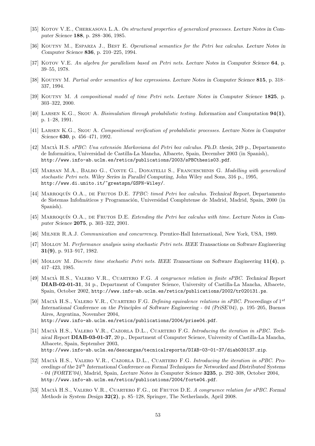- [35] KOTOV V.E., CHERKASOVA L.A. On structural properties of generalized processes. Lecture Notes in Computer Science 188, p. 288–306, 1985.
- [36] KOUTNY M., ESPARZA J., BEST E. Operational semantics for the Petri box calculus. Lecture Notes in Computer Science 836, p. 210–225, 1994.
- [37] KOTOV V.E. An algebra for parallelism based on Petri nets. Lecture Notes in Computer Science 64, p. 39–55, 1978.
- [38] KOUTNY M. Partial order semantics of box expressions. Lecture Notes in Computer Science 815, p. 318– 337, 1994.
- [39] KOUTNY M. A compositional model of time Petri nets. Lecture Notes in Computer Science 1825, p. 303–322, 2000.
- [40] Larsen K.G., Skou A. Bisimulation through probabilistic testing. Information and Computation 94(1), p. 1–28, 1991.
- [41] Larsen K.G., Skou A. Compositional verification of probabilistic processes. Lecture Notes in Computer Science 630, p. 456–471, 1992.
- [42] MACIÀ H.S. sPBC: Una extensión Markoviana del Petri box calculus. Ph.D. thesis, 249 p., Departamento de Inform´atica, Universidad de Castilla-La Mancha, Albacete, Spain, December 2003 (in Spanish), http://www.info-ab.uclm.es/retics/publications/2003/sPBCthesis03.pdf.
- [43] MARSAN M.A., BALBO G., CONTE G., DONATELLI S., FRANCESCHINIS G. Modelling with generalized stochastic Petri nets. Wiley Series in Parallel Computing, John Wiley and Sons, 316 p., 1995, http://www.di.unito.it/~greatspn/GSPN-Wiley/.
- [44] MARROQUÍN O.A., DE FRUTOS D.E. TPBC: timed Petri box calculus. Technical Report, Departamento de Sistemas Infofmáticos y Programación, Universidad Complutense de Madrid, Madrid, Spain, 2000 (in Spanish).
- [45] MARROQUÍN O.A., DE FRUTOS D.E. Extending the Petri box calculus with time. Lecture Notes in Computer Science 2075, p. 303–322, 2001.
- [46] Milner R.A.J. Communication and concurrency. Prentice-Hall International, New York, USA, 1989.
- [47] Molloy M. Performance analysis using stochastic Petri nets. IEEE Transactions on Software Engineering 31(9), p. 913–917, 1982.
- [48] Molloy M. Discrete time stochastic Petri nets. IEEE Transactions on Software Engineering 11(4), p. 417–423, 1985.
- [49] MACIÀ H.S., VALERO V.R., CUARTERO F.G. A congruence relation in finite sPBC. Technical Report DIAB-02-01-31, 34 p., Department of Computer Science, University of Castilla-La Mancha, Albacete, Spain, October 2002, http://www.info-ab.uclm.es/retics/publications/2002/tr020131.ps.
- [50] MACIÀ H.S., VALERO V.R., CUARTERO F.G. Defining equivalence relations in sPBC. Proceedings of  $1^{st}$ International Conference on the Principles of Software Engineering - 04 (PriSE'04), p. 195–205, Buenos Aires, Argentina, November 2004, http://www.info-ab.uclm.es/retics/publications/2004/prise04.pdf.
- [51] MACIÀ H.S., VALERO V.R., CAZORLA D.L., CUARTERO F.G. Introducing the iteration in sPBC. Technical Report DIAB-03-01-37, 20 p., Department of Computer Science, University of Castilla-La Mancha, Albacete, Spain, September 2003, http://www.info-ab.uclm.es/descargas/tecnicalreports/DIAB-03-01-37/diab030137.zip.
- [52] MACIÀ H.S., VALERO V.R., CAZORLA D.L., CUARTERO F.G. Introducing the iteration in sPBC. Proceedings of the 24th International Conference on Formal Techniques for Networked and Distributed Systems - 04 (FORTE'04), Madrid, Spain, Lecture Notes in Computer Science 3235, p. 292–308, October 2004, http://www.info-ab.uclm.es/retics/publications/2004/forte04.pdf.
- [53] MACIÀ H.S., VALERO V.R., CUARTERO F.G., DE FRUTOS D.E. A congruence relation for sPBC. Formal Methods in System Design 32(2), p. 85–128, Springer, The Netherlands, April 2008.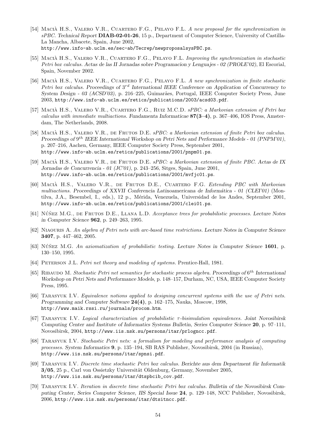- [54] MACIÀ H.S., VALERO V.R., CUARTERO F.G., PELAYO F.L. A new proposal for the synchronization in sPBC. Technical Report DIAB-02-01-26, 15 p., Department of Computer Science, University of Castilla-La Mancha, Albacete, Spain, June 2002, http://www.info-ab.uclm.es/sec-ab/Tecrep/newproposalsysPBC.ps.
- [55] MACIÀ H.S., VALERO V.R., CUARTERO F.G., PELAYO F.L. Improving the synchronization in stochastic Petri box calculus. Actas de las II Jornadas sobre Programacion y Lenguajes - 02 (PROLE'02), El Escorial, Spain, November 2002.
- [56] MACIÀ H.S., VALERO V.R., CUARTERO F.G., PELAYO F.L. A new synchronization in finite stochastic Petri box calculus. Proceedings of  $3^{rd}$  International IEEE Conference on Application of Concurrency to System Design - 03 (ACSD'03), p. 216–225, Guimarães, Portugal, IEEE Computer Society Press, June 2003, http://www.info-ab.uclm.es/retics/publications/2003/acsd03.pdf.
- [57] MACIÀ H.S., VALERO V.R., CUARTERO F.G., RUIZ M.C.D. sPBC: a Markovian extension of Petri box calculus with immediate multiactions. Fundamenta Informaticae  $87(3-4)$ , p. 367-406, IOS Press, Amsterdam, The Netherlands, 2008.
- [58] MACIÀ H.S., VALERO V.R., DE FRUTOS D.E. sPBC: a Markovian extension of finite Petri box calculus. Proceedings of  $9^{th}$  IEEE International Workshop on Petri Nets and Performance Models - 01 (PNPM'01), p. 207–216, Aachen, Germany, IEEE Computer Society Press, September 2001, http://www.info-ab.uclm.es/retics/publications/2001/pnpm01.ps.
- [59] MACIÀ H.S., VALERO V.R., DE FRUTOS D.E. sPBC: a Markovian extension of finite PBC. Actas de IX Jornadas de Concurrencia - 01 (JC'01), p. 243–256, Sitges, Spain, June 2001, http://www.info-ab.uclm.es/retics/publications/2001/mvfjc01.ps.
- [60] MACIÀ H.S., VALERO V.R., DE FRUTOS D.E., CUARTERO F.G. Extending PBC with Markovian multiactions. Proceedings of XXVII Conferencia Latinoamericana de Informática - 01 (CLEI'01) (Montilva, J.A., Besembel, I., eds.), 12 p., M´erida, Venezuela, Universidad de los Andes, September 2001, http://www.info-ab.uclm.es/retics/publications/2001/clei01.ps.
- [61] NÚÑEZ M.G., DE FRUTOS D.E., LLANA L.D. Acceptance trees for probabilistic processes. Lecture Notes in Computer Science 962, p. 249–263, 1995.
- [62] Niaouris A. An algebra of Petri nets with arc-based time restrictions. Lecture Notes in Computer Science 3407, p. 447–462, 2005.
- [63] NÚÑEZ M.G. An axiomatization of probabilistic testing. Lecture Notes in Computer Science 1601, p. 130–150, 1995.
- [64] PETERSON J.L. Petri net theory and modeling of systems. Prentice-Hall, 1981.
- [65] RIBAUDO M. Stochastic Petri net semantics for stochastic process algebra. Proceedings of  $6^{th}$  International Workshop on Petri Nets and Performance Models, p. 148–157, Durham, NC, USA, IEEE Computer Society Press, 1995.
- [66] Tarasyuk I.V. Equivalence notions applied to designing concurrent systems with the use of Petri nets. Programming and Computer Software 24(4), p. 162–175, Nauka, Moscow, 1998, http://www.maik.rssi.ru/journals/procom.htm.
- [67] Tarasyuk I.V. Logical characterization of probabilistic τ-bisimulation equivalences. Joint Novosibirsk Computing Center and Institute of Informatics Systems Bulletin, Series Computer Science 20, p. 97–111, Novosibirsk, 2004, http://www.iis.nsk.su/persons/itar/prlogncc.pdf.
- [68] Tarasyuk I.V. Stochastic Petri nets: a formalism for modeling and performance analysis of computing processes. System Informatics 9, p. 135–194, SB RAS Publisher, Novosibirsk, 2004 (in Russian), http://www.iis.nsk.su/persons/itar/spnsi.pdf.
- [69] TARASYUK I.V. Discrete time stochastic Petri box calculus. Berichte aus dem Department für Informatik 3/05, 25 p., Carl von Ossietzky Universität Oldenburg, Germany, November 2005, http://www.iis.nsk.su/persons/itar/dtspbcib\_cov.pdf.
- [70] Tarasyuk I.V. Iteration in discrete time stochastic Petri box calculus. Bulletin of the Novosibirsk Computing Center, Series Computer Science, IIS Special Issue 24, p. 129–148, NCC Publisher, Novosibirsk, 2006, http://www.iis.nsk.su/persons/itar/dtsitncc.pdf.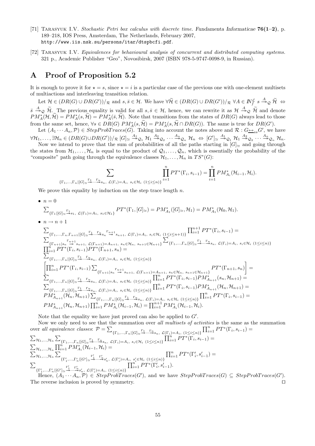- [71] TARASYUK I.V. Stochastic Petri box calculus with discrete time. Fundamenta Informaticae  $76(1-2)$ , p. 189–218, IOS Press, Amsterdam, The Netherlands, February 2007, http://www.iis.nsk.su/persons/itar/dtspbcfi.pdf.
- [72] Tarasyuk I.V. Equivalences for behavioural analysis of concurrent and distributed computing systems. 321 p., Academic Publisher "Geo", Novosibirsk, 2007 (ISBN 978-5-9747-0098-9, in Russian).

## A Proof of Proposition 5.2

It is enough to prove it for  $\star = s$ , since  $\star = i$  is a particular case of the previous one with one-element multisets of multiactions and interleaving transition relation.

Let  $\mathcal{H} \in (DR(G) \cup DR(G'))/_{\mathcal{R}}$  and  $s, \overline{s} \in \mathcal{H}$ . We have  $\forall \widetilde{\mathcal{H}} \in (DR(G) \cup DR(G'))/_{\mathcal{R}} \forall A \in \mathbb{N}_{f}^{\mathcal{L}} s \stackrel{A}{\longrightarrow}_{\mathcal{Q}} \widetilde{\mathcal{H}} \Leftrightarrow$  $\overline{s} \stackrel{A}{\rightarrow}_{\mathcal{Q}} \widetilde{\mathcal{H}}$ . The previous equality is valid for all  $s, \overline{s} \in \mathcal{H}$ , hence, we can rewrite it as  $\mathcal{H} \stackrel{A}{\rightarrow}_{\mathcal{Q}} \widetilde{\mathcal{H}}$  and denote  $PM_A^*(\mathcal{H}, \tilde{\mathcal{H}}) = PM_A^*(s, \tilde{\mathcal{H}}) = PM_A^*(\bar{s}, \tilde{\mathcal{H}}).$  Note that transitions from the states of  $DR(G)$  always lead to those from the same set, hence,  $\forall s \in DR(G) \ PM_A^*(s, \mathcal{H}) = PM_A^*(s, \mathcal{H} \cap DR(G))$ . The same is true for  $DR(G')$ .

Let  $(A_1 \cdots A_n, \mathcal{P}) \in StepProbTrace(G)$ . Taking into account the notes above and  $\mathcal{R}: G \rightarrow_{ss} G'$ , we have  $\forall \mathcal{H}_1,\ldots,\exists \mathcal{H}_n\in (DR(G)\cup DR(G'))/\mathcal{R}\ [G]_{\simeq} \stackrel{A_1}{\twoheadrightarrow}\!\mathcal{Q}_1\ \mathcal{H}_1 \stackrel{A_2}{\twoheadrightarrow}\!\mathcal{Q}_2\ \cdots \stackrel{A_n}{\twoheadrightarrow}\!\mathcal{Q}_n\ \mathcal{H}_n \ \Leftrightarrow\ [G']_{\simeq} \stackrel{A_1}{\twoheadrightarrow}\!\mathcal{Q}_1\ \mathcal{H}_1 \stackrel{A_2}{\twoheadrightarrow}\!\mathcal{Q}_2\ \cdots \stackrel{A_n}{\twoheadrightarrow}\!\mathcal{Q}_n\ \mathcal{H}_n$ 

Now we intend to prove that the sum of probabilities of all the paths starting in  $[G]_{\simeq}$  and going through the states from  $\mathcal{H}_1, \ldots, \mathcal{H}_n$  is equal to the product of  $\mathcal{Q}_1, \ldots, \mathcal{Q}_n$ , which is essentially the probability of the "composite" path going through the equivalence classes  $\mathcal{H}_1, \ldots, \mathcal{H}_n$  in  $TS^*(G)$ :

$$
\sum_{\{\Gamma_1,\ldots,\Gamma_n\mid [G]\simeq\frac{\Gamma_1}{\sigma},\ldots,\frac{\Gamma_n}{\sigma},\zeta(\Gamma_i)=A_i,\ s_i\in\mathcal{H}_i\ (1\leq i\leq n)\}}\prod_{i=1}^nPT^*(\Gamma_i,s_{i-1})=\prod_{i=1}^nPM^*_{A_i}(\mathcal{H}_{i-1},\mathcal{H}_i).
$$

We prove this equality by induction on the step trace length  $n$ .

 $\bullet$   $n=0$ 

$$
\sum_{\{\Gamma_1|[G]_{\simeq}\xrightarrow{\Gamma_1} s_1, \ \mathcal{L}(\Gamma_1)=A_1, \ s_1\in\mathcal{H}_1\}} PT^*(\Gamma_1, [G]_{\simeq})=PM^*_{A_1}([G]_{\simeq}, \mathcal{H}_1)=PM^*_{A_1}(\mathcal{H}_0, \mathcal{H}_1).
$$

• 
$$
n \to n+1
$$
  
\n
$$
\sum_{\{\Gamma_{1},\ldots,\Gamma_{n},\Gamma_{n+1}|[G] \underset{\sim}{\sim}} \frac{\Gamma_{1} \Gamma_{1} \Gamma_{n}}{\sum_{\{\Gamma_{n+1}|s_{n}} \Gamma_{n+1} \Gamma_{1} \cup \Gamma_{1} \cup \Gamma_{2} \cup \Gamma_{1} \cup \Gamma_{1} \cup \Gamma_{1} \cup \Gamma_{1} \cup \Gamma_{1} \cup \Gamma_{1} \cup \Gamma_{1} \cup \Gamma_{1} \cup \Gamma_{1} \cup \Gamma_{1} \cup \Gamma_{1} \cup \Gamma_{1} \cup \Gamma_{1} \cup \Gamma_{1} \cup \Gamma_{1} \cup \Gamma_{1} \cup \Gamma_{1} \cup \Gamma_{1} \cup \Gamma_{1} \cup \Gamma_{1} \cup \Gamma_{1} \cup \Gamma_{1} \cup \Gamma_{1} \cup \Gamma_{1} \cup \Gamma_{1} \cup \Gamma_{1} \cup \Gamma_{1} \cup \Gamma_{1} \cup \Gamma_{1} \cup \Gamma_{1} \cup \Gamma_{1} \cup \Gamma_{1} \cup \Gamma_{1} \cup \Gamma_{1} \cup \Gamma_{1} \cup \Gamma_{1} \cup \Gamma_{1} \cup \Gamma_{1} \cup \Gamma_{1} \cup \Gamma_{1} \cup \Gamma_{1} \cup \Gamma_{1} \cup \Gamma_{1} \cup \Gamma_{1} \cup \Gamma_{1} \cup \Gamma_{1} \cup \Gamma_{1} \cup \Gamma_{1} \cup \Gamma_{1} \cup \Gamma_{1} \cup \Gamma_{1} \cup \Gamma_{1} \cup \Gamma_{1} \cup \Gamma_{1} \cup \Gamma_{1} \cup \Gamma_{1} \cup \Gamma_{1} \cup \Gamma_{1} \cup \Gamma_{1} \cup \Gamma_{1} \cup \Gamma_{1} \cup \Gamma_{1} \cup \Gamma_{1} \cup \Gamma_{1} \cup \Gamma_{1} \cup \Gamma_{1} \cup \Gamma_{1} \cup \Gamma_{1} \cup \Gamma_{1} \cup \Gamma_{1} \cup \Gamma_{1} \cup \Gamma_{1} \cup \Gamma_{1} \cup \Gamma_{1} \cup \Gamma_{1} \cup \Gamma_{1} \cup \Gamma_{1} \cup \Gamma_{1} \cup \Gamma_{1} \cup \Gamma_{1} \cup \Gamma_{1} \cup \Gamma_{1} \cup \Gamma_{1} \cup \Gamma_{1} \cup \Gamma_{1} \cup \Gamma_{1} \cup \Gamma_{1} \cup \Gamma_{1} \cup \Gamma_{1} \cup \Gamma_{1} \cup \Gamma_{1} \cup \Gamma_{1} \cup \Gamma_{1}
$$

Note that the equality we have just proved can also be applied to  $G'$ .

Now we only need to see that the summation over all multisets of activities is the same as the summation over all equivalence classes:  $\mathcal{P} = \sum$  $\{\Gamma_1,...,\Gamma_n\mid [G]\simeq\stackrel{\Gamma_1}{\longrightarrow}\cdots\stackrel{\Gamma_n}{\longrightarrow}s_n, \mathcal{L}(\Gamma_i)=A_i, (1\leq i\leq n)\}\$  $\prod_{i=1}^{n}PT^{*}(\Gamma_{i}, s_{i-1}) =$  $\sum_{\mathcal{H}_1,\dots,\mathcal{H}_n} \sum$  $\{\Gamma_1,...,\Gamma_n\mid [G]\simeq\frac{\Gamma_1\ldots\Gamma_n}{\to}s_n, \mathcal{L}(\Gamma_i)=A_i, s_i\in\mathcal{H}_i \ (1\leq i\leq n)\}\$  $\prod_{i=1}^n PT^*\overline{(\Gamma_i,s_{i-1})}=$  $\sum_{\mathcal{H}_1,...,\mathcal{H}_n} \prod_{i=1}^n PM_{A_i}^{*}(\mathcal{H}_{i-1},\mathcal{H}_i) =$  $\sum_{\mathcal{H}_1,...,\mathcal{H}_n} \sum$  $\{\Gamma'_1,...,\Gamma'_n|[G']\underset{\simeq}{\overset{\Gamma'_1}{\longrightarrow}}\cdots\overset{\Gamma'_n}{\overset{\simeq}{\twoheadrightarrow}}s'_n, \ \mathcal{L}(\Gamma'_i){=}A_i, \ s'_i{\in}\mathcal{H}_i \ \ (1{\le}i{\le}n)\}$  $\prod_{i=1}^{n}PT^{*}(\Gamma'_{i}, s'_{i-1}) =$  $\overline{\Sigma}$  $\prod_{i=1}^{n}PT^{*}(\Gamma'_{i}, s'_{i-1}).$ 

 $\{\Gamma'_1, ..., \Gamma'_n | [G'] {\, \simeq\, \xrightarrow{\Gamma'_1} \quad \Gamma'_n \atop \xrightarrow{\quad \cdots \xrightarrow{\quad} \quad}} \, \mathcal{L}(\Gamma'_i) {=} A_i, \ (1 {\leq} i {\leq} n) \}$ Hence,  $(A_1 \cdots A_n, \mathcal{P}) \in StepProbTrace(G')$ , and we have  $StepProbTrace(G) \subseteq StepProbTrace(G')$ . The reverse inclusion is proved by symmetry. ⊓⊔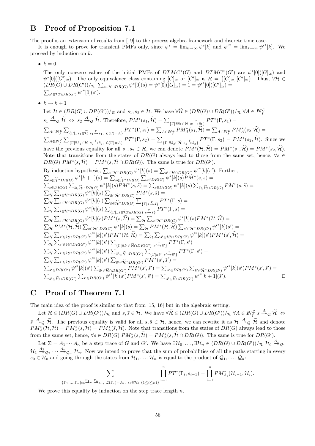## B Proof of Proposition 7.1

The proof is an extension of results from [19] to the process algebra framework and discrete time case.

It is enough to prove for transient PMFs only, since  $\psi^* = \lim_{k \to \infty} \psi^*[k]$  and  $\psi'^* = \lim_{k \to \infty} \psi'^*[k]$ . We proceed by induction on k.

•  $k = 0$ 

The only nonzero values of the initial PMFs of  $DTMC^*(G)$  and  $DTMC^*(G')$  are  $\psi^*[0]([G]_{\simeq})$  and  $\psi^*[0]([G']_\simeq)$ . The only equivalence class containing  $[G]_\simeq$  or  $[G']_\simeq$  is  $\mathcal{H} = \{[G]_\simeq,[G']_\simeq\}$ . Thus,  $\forall\mathcal{H}\in\mathcal{H}$  $(DR(G) \cup DR(G'))/R \sum_{s \in \mathcal{H} \cap DR(G)} \psi^*[0](s) = \psi^*[0]([G]_{\simeq}) = 1 = \psi'^*[0]([G']_{\simeq}) =$  $\sum_{s' \in \mathcal{H} \cap DR(G')} \psi'^*[0](s').$ 

•  $k \rightarrow k+1$ 

Let 
$$
\mathcal{H} \in (DR(G) \cup DR(G'))/\pi
$$
 and  $s_1, s_2 \in \mathcal{H}$ . We have  $\forall \tilde{H} \in (DR(G) \cup DR(G'))/\pi$   $\forall A \in \mathbb{N}^{\mathcal{F}}_{f}$  $s_1 \xrightarrow{A} 2 \widetilde{\mathcal{H}} \Leftrightarrow s_2 \xrightarrow{A} 2 \widetilde{\mathcal{H}}$ . Therefore,  $PM^*(s_1, \tilde{\mathcal{H}}) = \sum_{\{ \Gamma | \exists \tilde{s}_1 \in \widetilde{\mathcal{H}} \ s_1 \xrightarrow{K} \tilde{s}_1 \}} PT^*(\Gamma, s_1) = \sum_{\{ \Gamma | \exists \tilde{s}_1 \in \widetilde{\mathcal{H}} \ s_1 \xrightarrow{K} \tilde{s}_1 \}} PT^*(\Gamma, s_1) = \sum_{A \in \mathbb{N}^{\mathcal{F}}_{f}} PM^*(s_1, \tilde{\mathcal{H}}) = \sum_{A \in \mathbb{N}^{\mathcal{F}}_{f}} PM^*(s_2, \tilde{\mathcal{H}}) = \sum_{A \in \mathbb{N}^{\mathcal{F}}_{f}} \sum_{\{ \Gamma | \exists \tilde{s}_2 \in \widetilde{\mathcal{H}} \ s_2 \xrightarrow{K} \ s_2 \xrightarrow{K} \ s_1 \}} PT^*(\Gamma, s_2) = \sum_{\{ \Gamma | \exists \tilde{s}_2 \in \widetilde{\mathcal{H}} \ s_2 \xrightarrow{K} \ s_2 \xrightarrow{K} \} \}} PT^*(\Gamma, s_2) = PM^*(s_2, \tilde{\mathcal{H}})$ . Since we have the previous equality for all  $s_1, s_2 \in \mathcal{H}$ , we can denote  $PM^*(\mathcal{H}, \tilde{\mathcal{H}}) = PM^*(s_1, \tilde{\mathcal{H}}) = PM^*(s_2, \tilde{\mathcal{H}})$ . Note that transitions from the states of  $DR(G)$  always lead to those from the same set, hence,  $\forall s \in DR(G) \sum_{\tilde{s} \in \widetilde{\mathcal{H}} \cap DR(G)} \mathcal{W}^*(s, \tilde{\mathcal{H}}) = \sum_{\tilde{s} \in \widetilde{\mathcal{H}} \cap DR(G)} \$ 

## C Proof of Theorem 7.1

The main idea of the proof is similar to that from [15, 16] but in the algebraic setting.

Let  $\mathcal{H} \in (DR(G) \cup DR(G'))/_{\mathcal{R}}$  and  $s, \overline{s} \in \mathcal{H}$ . We have  $\forall \widetilde{\mathcal{H}} \in (DR(G) \cup DR(G'))/_{\mathcal{R}} \forall A \in \mathbb{N}_{f}^{\mathcal{L}} s \stackrel{A}{\longrightarrow}_{\mathcal{Q}} \widetilde{\mathcal{H}} \Leftrightarrow$  $\overline{s} \stackrel{A}{\rightarrow}_{\mathcal{Q}} \widetilde{\mathcal{H}}$ . The previous equality is valid for all  $s, \overline{s} \in \mathcal{H}$ , hence, we can rewrite it as  $\mathcal{H} \stackrel{A}{\rightarrow}_{\mathcal{Q}} \widetilde{\mathcal{H}}$  and denote  $PM_A^*(\mathcal{H}, \tilde{\mathcal{H}}) = PM_A^*(s, \tilde{\mathcal{H}}) = PM_A^*(\bar{s}, \tilde{\mathcal{H}}).$  Note that transitions from the states of  $DR(G)$  always lead to those from the same set, hence,  $\forall s \in DR(G) \ PM_A^*(s, \mathcal{H}) = PM_A^*(s, \mathcal{H} \cap DR(G))$ . The same is true for  $DR(G')$ .

Let  $\Sigma = A_1 \cdots A_n$  be a step trace of G and G'. We have  $\exists \mathcal{H}_0, \ldots, \exists \mathcal{H}_n \in (DR(G) \cup DR(G'))/R$   $\mathcal{H}_0 \stackrel{A_1}{\rightarrow} Q_1$  $\mathcal{H}_1 \stackrel{A_2}{\twoheadrightarrow} \mathcal{Q}_2 \cdots \stackrel{A_n}{\twoheadrightarrow} \mathcal{Q}_n$   $\mathcal{H}_n$ . Now we intend to prove that the sum of probabilities of all the paths starting in every  $s_0 \in \mathcal{H}_0$  and going through the states from  $\mathcal{H}_1, \ldots, \mathcal{H}_n$  is equal to the product of  $\mathcal{Q}_1, \ldots, \mathcal{Q}_n$ .

$$
\sum_{\{\Gamma_1,\ldots,\Gamma_n\mid s_0\stackrel{\Gamma_1}{\to}\ldots\stackrel{\Gamma_n}{\to} s_n,\ \mathcal{L}(\Gamma_i)=A_i,\ s_i\in\mathcal{H}_i\ (1\leq i\leq n)\}}\prod_{i=1}^n PT^*(\Gamma_i,s_{i-1})=\prod_{i=1}^n PM^*_{A_i}(\mathcal{H}_{i-1},\mathcal{H}_i).
$$

We prove this equality by induction on the step trace length  $n$ .